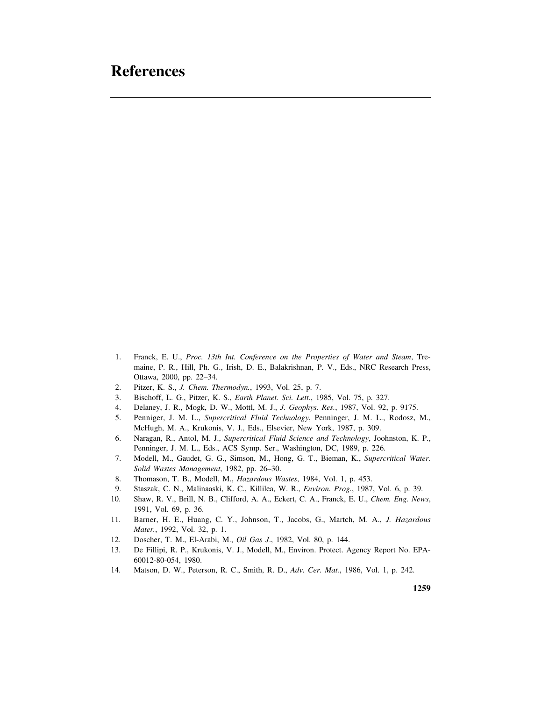## **References**

- 1. Franck, E. U., *Proc. 13th Int. Conference on the Properties of Water and Steam*, Tremaine, P. R., Hill, Ph. G., Irish, D. E., Balakrishnan, P. V., Eds., NRC Research Press, Ottawa, 2000, pp. 22–34.
- 2. Pitzer, K. S., *J. Chem. Thermodyn.*, 1993, Vol. 25, p. 7.
- 3. Bischoff, L. G., Pitzer, K. S., *Earth Planet. Sci. Lett.*, 1985, Vol. 75, p. 327.
- 4. Delaney, J. R., Mogk, D. W., Mottl, M. J., *J. Geophys. Res.*, 1987, Vol. 92, p. 9175.
- 5. Penniger, J. M. L., *Supercritical Fluid Technology*, Penninger, J. M. L., Rodosz, M., McHugh, M. A., Krukonis, V. J., Eds., Elsevier, New York, 1987, p. 309.
- 6. Naragan, R., Antol, M. J., *Supercritical Fluid Science and Technology*, Joohnston, K. P., Penninger, J. M. L., Eds., ACS Symp. Ser., Washington, DC, 1989, p. 226.
- 7. Modell, M., Gaudet, G. G., Simson, M., Hong, G. T., Bieman, K., *Supercritical Water. Solid Wastes Management*, 1982, pp. 26–30.
- 8. Thomason, T. B., Modell, M., *Hazardous Wastes*, 1984, Vol. 1, p. 453.
- 9. Staszak, C. N., Malinaaski, K. C., Killilea, W. R., *Environ. Prog.*, 1987, Vol. 6, p. 39.
- 10. Shaw, R. V., Brill, N. B., Clifford, A. A., Eckert, C. A., Franck, E. U., *Chem. Eng. News*, 1991, Vol. 69, p. 36.
- 11. Barner, H. E., Huang, C. Y., Johnson, T., Jacobs, G., Martch, M. A., *J. Hazardous Mater.*, 1992, Vol. 32, p. 1.
- 12. Doscher, T. M., El-Arabi, M., *Oil Gas J*., 1982, Vol. 80, p. 144.
- 13. De Fillipi, R. P., Krukonis, V. J., Modell, M., Environ. Protect. Agency Report No. EPA-60012-80-054, 1980.
- 14. Matson, D. W., Peterson, R. C., Smith, R. D., *Adv. Cer. Mat.*, 1986, Vol. 1, p. 242.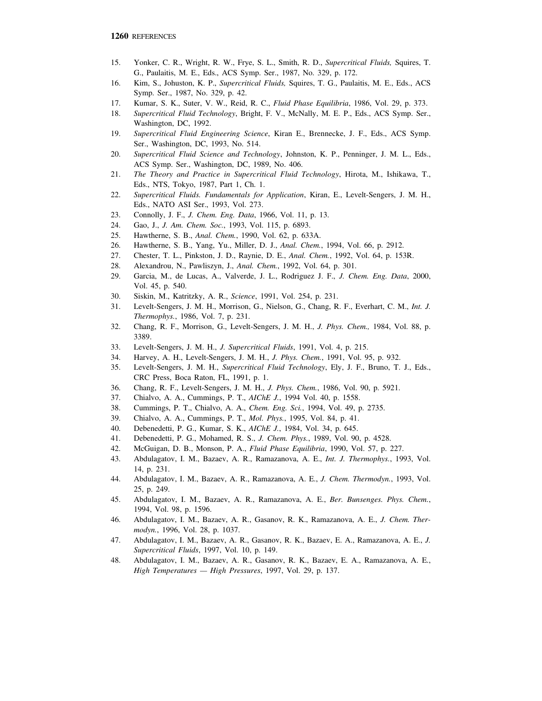- 15. Yonker, C. R., Wright, R. W., Frye, S. L., Smith, R. D., *Supercritical Fluids,* Squires, T. G., Paulaitis, M. E., Eds., ACS Symp. Ser., 1987, No. 329, p. 172.
- 16. Kim, S., Johuston, K. P., *Supercritical Fluids,* Squires, T. G., Paulaitis, M. E., Eds., ACS Symp. Ser., 1987, No. 329, p. 42.
- 17. Kumar, S. K., Suter, V. W., Reid, R. C., *Fluid Phase Equilibria*, 1986, Vol. 29, p. 373.
- 18. *Supercritical Fluid Technology*, Bright, F. V., McNally, M. E. P., Eds., ACS Symp. Ser., Washington, DC, 1992.
- 19. *Supercritical Fluid Engineering Science*, Kiran E., Brennecke, J. F., Eds., ACS Symp. Ser., Washington, DC, 1993, No. 514.
- 20. *Supercritical Fluid Science and Technology*, Johnston, K. P., Penninger, J. M. L., Eds., ACS Symp. Ser., Washington, DC, 1989, No. 406.
- 21. *The Theory and Practice in Supercritical Fluid Technology*, Hirota, M., Ishikawa, T., Eds., NTS, Tokyo, 1987, Part 1, Ch. 1.
- 22. *Supercritical Fluids. Fundamentals for Application*, Kiran, E., Levelt-Sengers, J. M. H., Eds., NATO ASI Ser., 1993, Vol. 273.
- 23. Connolly, J. F., *J. Chem. Eng. Data*, 1966, Vol. 11, p. 13.
- 24. Gao, J., *J. Am. Chem. Soc.*, 1993, Vol. 115, p. 6893.
- 25. Hawtherne, S. B., *Anal. Chem.*, 1990, Vol. 62, p. 633A.
- 26. Hawtherne, S. B., Yang, Yu., Miller, D. J., *Anal. Chem.*, 1994, Vol. 66, p. 2912.
- 27. Chester, T. L., Pinkston, J. D., Raynie, D. E., *Anal. Chem.*, 1992, Vol. 64, p. 153R.
- 28. Alexandrou, N., Pawliszyn, J., *Anal. Chem.*, 1992, Vol. 64, p. 301.
- 29. Garcia, M., de Lucas, A., Valverde, J. L., Rodriguez J. F., *J. Chem. Eng. Data*, 2000, Vol. 45, p. 540.
- 30. Siskin, M., Katritzky, A. R., *Science*, 1991, Vol. 254, p. 231.
- 31. Levelt-Sengers, J. M. H., Morrison, G., Nielson, G., Chang, R. F., Everhart, C. M., *Int. J. Thermophys.*, 1986, Vol. 7, p. 231.
- 32. Chang, R. F., Morrison, G., Levelt-Sengers, J. M. H., *J. Phys. Chem.,* 1984, Vol. 88, p. 3389.
- 33. Levelt-Sengers, J. M. H., *J. Supercritical Fluids*, 1991, Vol. 4, p. 215.
- 34. Harvey, A. H., Levelt-Sengers, J. M. H., *J. Phys. Chem.*, 1991, Vol. 95, p. 932.
- 35. Levelt-Sengers, J. M. H., *Supercritical Fluid Technology*, Ely, J. F., Bruno, T. J., Eds., CRC Press, Boca Raton, FL, 1991, p. 1.
- 36. Chang, R. F., Levelt-Sengers, J. M. H., *J. Phys. Chem.*, 1986, Vol. 90, p. 5921.
- 37. Chialvo, A. A., Cummings, P. T., *AIChE J.*, 1994 Vol. 40, p. 1558.
- 38. Cummings, P. T., Chialvo, A. A., *Chem. Eng. Sci.*, 1994, Vol. 49, p. 2735.
- 39. Chialvo, A. A., Cummings, P. T., *Mol. Phys.*, 1995, Vol. 84, p. 41.
- 40. Debenedetti, P. G., Kumar, S. K., *AIChE J.*, 1984, Vol. 34, p. 645.
- 41. Debenedetti, P. G., Mohamed, R. S., *J. Chem. Phys.*, 1989, Vol. 90, p. 4528.
- 42. McGuigan, D. B., Monson, P. A., *Fluid Phase Equilibria*, 1990, Vol. 57, p. 227.
- 43. Abdulagatov, I. M., Bazaev, A. R., Ramazanova, A. E., *Int. J. Thermophys.*, 1993, Vol. 14, p. 231.
- 44. Abdulagatov, I. M., Bazaev, A. R., Ramazanova, A. E., *J. Chem. Thermodyn.*, 1993, Vol. 25, p. 249.
- 45. Abdulagatov, I. M., Bazaev, A. R., Ramazanova, A. E., *Ber. Bunsenges. Phys. Chem.*, 1994, Vol. 98, p. 1596.
- 46. Abdulagatov, I. M., Bazaev, A. R., Gasanov, R. K., Ramazanova, A. E., *J. Chem. Thermodyn.*, 1996, Vol. 28, p. 1037.
- 47. Abdulagatov, I. M., Bazaev, A. R., Gasanov, R. K., Bazaev, E. A., Ramazanova, A. E., *J. Supercritical Fluids*, 1997, Vol. 10, p. 149.
- 48. Abdulagatov, I. M., Bazaev, A. R., Gasanov, R. K., Bazaev, E. A., Ramazanova, A. E., *High Temperatures — High Pressures*, 1997, Vol. 29, p. 137.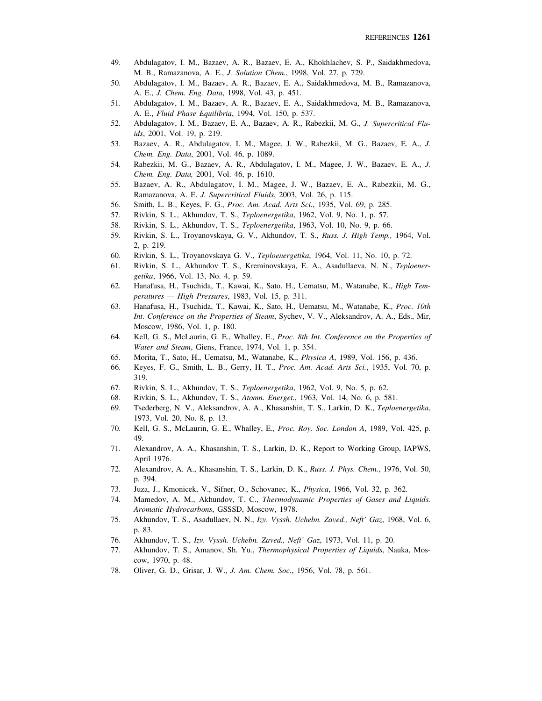- 49. Abdulagatov, I. M., Bazaev, A. R., Bazaev, E. A., Khokhlachev, S. P., Saidakhmedova, M. B., Ramazanova, A. E., *J. Solution Chem.*, 1998, Vol. 27, p. 729.
- 50. Abdulagatov, I. M., Bazaev, A. R., Bazaev, E. A., Saidakhmedova, M. B., Ramazanova, A. E., *J. Chem. Eng. Data*, 1998, Vol. 43, p. 451.
- 51. Abdulagatov, I. M., Bazaev, A. R., Bazaev, E. A., Saidakhmedova, M. B., Ramazanova, A. E., *Fluid Phase Equilibria*, 1994, Vol. 150, p. 537.
- 52. Abdulagatov, I. M., Bazaev, E. A., Bazaev, A. R., Rabezkii, M. G., *J. Supercritical Fluids*, 2001, Vol. 19, p. 219.
- 53. Bazaev, A. R., Abdulagatov, I. M., Magee, J. W., Rabezkii, M. G., Bazaev, E. A., *J. Chem. Eng. Data*, 2001, Vol. 46, p. 1089.
- 54. Rabezkii, M. G., Bazaev, A. R., Abdulagatov, I. M., Magee, J. W., Bazaev, E. A., *J. Chem. Eng. Data,* 2001, Vol. 46, p. 1610.
- 55. Bazaev, A. R., Abdulagatov, I. M., Magee, J. W., Bazaev, E. A., Rabezkii, M. G., Ramazanova, A. E. *J. Supercritical Fluids*, 2003, Vol. 26, p. 115.
- 56. Smith, L. B., Keyes, F. G., *Proc. Am. Acad. Arts Sci.*, 1935, Vol. 69, p. 285.
- 57. Rivkin, S. L., Akhundov, T. S., *Teploenergetika*, 1962, Vol. 9, No. 1, p. 57.
- 58. Rivkin, S. L., Akhundov, T. S., *Teploenergetika*, 1963, Vol. 10, No. 9, p. 66.
- 59. Rivkin, S. L., Troyanovskaya, G. V., Akhundov, T. S., *Russ. J. High Temp.,* 1964, Vol. 2, p. 219.
- 60. Rivkin, S. L., Troyanovskaya G. V., *Teploenergetika*, 1964, Vol. 11, No. 10, p. 72.
- 61. Rivkin, S. L., Akhundov T. S., Kreminovskaya, E. A., Asadullaeva, N. N., *Teploenergetika*, 1966, Vol. 13, No. 4, p. 59.
- 62. Hanafusa, H., Tsuchida, T., Kawai, K., Sato, H., Uematsu, M., Watanabe, K., *High Temperatures — High Pressures*, 1983, Vol. 15, p. 311.
- 63. Hanafusa, H., Tsuchida, T., Kawai, K., Sato, H., Uematsu, M., Watanabe, K., *Proc. 10th Int. Conference on the Properties of Steam*, Sychev, V. V., Aleksandrov, A. A., Eds., Mir, Moscow, 1986, Vol. 1, p. 180.
- 64. Kell, G. S., McLaurin, G. E., Whalley, E., *Proc. 8th Int. Conference on the Properties of Water and Steam*, Giens, France, 1974, Vol. 1, p. 354.
- 65. Morita, T., Sato, H., Uematsu, M., Watanabe, K., *Physica A*, 1989, Vol. 156, p. 436.
- 66. Keyes, F. G., Smith, L. B., Gerry, H. T., *Proc. Am. Acad. Arts Sci.*, 1935, Vol. 70, p. 319.
- 67. Rivkin, S. L., Akhundov, T. S., *Teploenergetika*, 1962, Vol. 9, No. 5, p. 62.
- 68. Rivkin, S. L., Akhundov, T. S., *Atomn. Energet.*, 1963, Vol. 14, No. 6, p. 581.
- 69. Tsederberg, N. V., Aleksandrov, A. A., Khasanshin, T. S., Larkin, D. K., *Teploenergetika*, 1973, Vol. 20, No. 8, p. 13.
- 70. Kell, G. S., McLaurin, G. E., Whalley, E., *Proc. Roy. Soc. London A*, 1989, Vol. 425, p. 49.
- 71. Alexandrov, A. A., Khasanshin, T. S., Larkin, D. K., Report to Working Group, IAPWS, April 1976.
- 72. Alexandrov, A. A., Khasanshin, T. S., Larkin, D. K., *Russ. J. Phys. Chem.*, 1976, Vol. 50, p. 394.
- 73. Juza, J., Kmonicek, V., Sifner, O., Schovanec, K., *Physica*, 1966, Vol. 32, p. 362.
- 74. Mamedov, A. M., Akhundov, T. C., *Thermodynamic Properties of Gases and Liquids. Aromatic Hydrocarbons*, GSSSD, Moscow, 1978.
- 75. Akhundov, T. S., Asadullaev, N. N., *Izv. Vyssh. Uchebn. Zaved., Neft' Gaz*, 1968, Vol. 6, p. 83.
- 76. Akhundov, T. S., *Izv. Vyssh. Uchebn. Zaved., Neft' Gaz*, 1973, Vol. 11, p. 20.
- 77. Akhundov, T. S., Amanov, Sh. Yu., *Thermophysical Properties of Liquids*, Nauka, Moscow, 1970, p. 48.
- 78. Oliver, G. D., Grisar, J. W., *J. Am. Chem. Soc.*, 1956, Vol. 78, p. 561.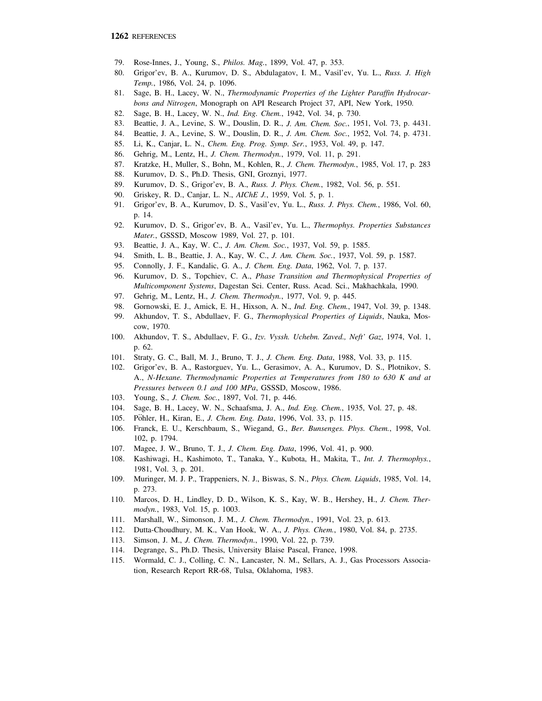- 79. Rose-Innes, J., Young, S., *Philos. Mag.*, 1899, Vol. 47, p. 353.
- 80. Grigor'ev, B. A., Kurumov, D. S., Abdulagatov, I. M., Vasil'ev, Yu. L., *Russ. J. High Temp.*, 1986, Vol. 24, p. 1096.
- 81. Sage, B. H., Lacey, W. N., *Thermodynamic Properties of the Lighter Paraffin Hydrocarbons and Nitrogen*, Monograph on API Research Project 37, API, New York, 1950.
- 82. Sage, B. H., Lacey, W. N., *Ind. Eng. Chem.*, 1942, Vol. 34, p. 730.
- 83. Beattie, J. A., Levine, S. W., Douslin, D. R., *J. Am. Chem. Soc.*, 1951, Vol. 73, p. 4431.
- 84. Beattie, J. A., Levine, S. W., Douslin, D. R., *J. Am. Chem. Soc.*, 1952, Vol. 74, p. 4731.
- 85. Li, K., Canjar, L. N., *Chem. Eng. Prog. Symp. Ser.*, 1953, Vol. 49, p. 147.
- 86. Gehrig, M., Lentz, H., *J. Chem. Thermodyn.*, 1979, Vol. 11, p. 291.
- 87. Kratzke, H., Muller, S., Bohn, M., Kohlen, R., *J. Chem. Thermodyn.*, 1985, Vol. 17, p. 283
- 88. Kurumov, D. S., Ph.D. Thesis, GNI, Groznyi, 1977.
- 89. Kurumov, D. S., Grigor'ev, B. A., *Russ. J. Phys. Chem.*, 1982, Vol. 56, p. 551.
- 90. Griskey, R. D., Canjar, L. N., *AIChE J.*, 1959, Vol. 5, p. 1.
- 91. Grigor'ev, B. A., Kurumov, D. S., Vasil'ev, Yu. L., *Russ. J. Phys. Chem.*, 1986, Vol. 60, p. 14.
- 92. Kurumov, D. S., Grigor'ev, B. A., Vasil'ev, Yu. L., *Thermophys. Properties Substances Mater.*, GSSSD, Moscow 1989, Vol. 27, p. 101.
- 93. Beattie, J. A., Kay, W. C., *J. Am. Chem. Soc.*, 1937, Vol. 59, p. 1585.
- 94. Smith, L. B., Beattie, J. A., Kay, W. C., *J. Am. Chem. Soc.*, 1937, Vol. 59, p. 1587.
- 95. Connolly, J. F., Kandalic, G. A., *J. Chem. Eng. Data*, 1962, Vol. 7, p. 137.
- 96. Kurumov, D. S., Topchiev, C. A., *Phase Transition and Thermophysical Properties of Multicomponent Systems*, Dagestan Sci. Center, Russ. Acad. Sci., Makhachkala, 1990.
- 97. Gehrig, M., Lentz, H., *J. Chem. Thermodyn.*, 1977, Vol. 9, p. 445.
- 98. Gornowski, E. J., Amick, E. H., Hixson, A. N., *Ind. Eng. Chem.*, 1947, Vol. 39, p. 1348.
- 99. Akhundov, T. S., Abdullaev, F. G., *Thermophysical Properties of Liquids*, Nauka, Moscow, 1970.
- 100. Akhundov, T. S., Abdullaev, F. G., *Izv. Vyssh. Uchebn. Zaved., Neft' Gaz*, 1974, Vol. 1, p. 62.
- 101. Straty, G. C., Ball, M. J., Bruno, T. J., *J. Chem. Eng. Data*, 1988, Vol. 33, p. 115.
- 102. Grigor'ev, B. A., Rastorguev, Yu. L., Gerasimov, A. A., Kurumov, D. S., Plotnikov, S. A., *N-Hexane. Thermodynamic Properties at Temperatures from 180 to 630 K and at Pressures between 0.1 and 100 MPa*, GSSSD, Moscow, 1986.
- 103. Young, S., *J. Chem. Soc.*, 1897, Vol. 71, p. 446.
- 104. Sage, B. H., Lacey, W. N., Schaafsma, J. A., *Ind. Eng. Chem.*, 1935, Vol. 27, p. 48.
- 105. Pöhler, H., Kiran, E., *J. Chem. Eng. Data*, 1996, Vol. 33, p. 115.
- 106. Franck, E. U., Kerschbaum, S., Wiegand, G., *Ber. Bunsenges. Phys. Chem.*, 1998, Vol. 102, p. 1794.
- 107. Magee, J. W., Bruno, T. J., *J. Chem. Eng. Data*, 1996, Vol. 41, p. 900.
- 108. Kashiwagi, H., Kashimoto, T., Tanaka, Y., Kubota, H., Makita, T., *Int. J. Thermophys.*, 1981, Vol. 3, p. 201.
- 109. Muringer, M. J. P., Trappeniers, N. J., Biswas, S. N., *Phys. Chem. Liquids*, 1985, Vol. 14, p. 273.
- 110. Marcos, D. H., Lindley, D. D., Wilson, K. S., Kay, W. B., Hershey, H., *J. Chem. Thermodyn.*, 1983, Vol. 15, p. 1003.
- 111. Marshall, W., Simonson, J. M., *J. Chem. Thermodyn.*, 1991, Vol. 23, p. 613.
- 112. Dutta-Choudhury, M. K., Van Hook, W. A., *J. Phys. Chem.*, 1980, Vol. 84, p. 2735.
- 113. Simson, J. M., *J. Chem. Thermodyn.*, 1990, Vol. 22, p. 739.
- 114. Degrange, S., Ph.D. Thesis, University Blaise Pascal, France, 1998.
- 115. Wormald, C. J., Colling, C. N., Lancaster, N. M., Sellars, A. J., Gas Processors Association, Research Report RR-68, Tulsa, Oklahoma, 1983.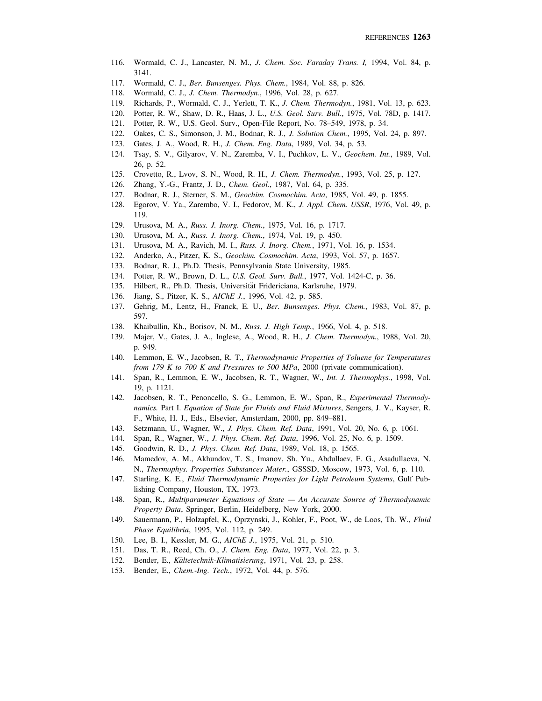- 116. Wormald, C. J., Lancaster, N. M., *J. Chem. Soc. Faraday Trans. I,* 1994, Vol. 84, p. 3141.
- 117. Wormald, C. J., *Ber. Bunsenges. Phys. Chem.*, 1984, Vol. 88, p. 826.
- 118. Wormald, C. J., *J. Chem. Thermodyn.*, 1996, Vol. 28, p. 627.
- 119. Richards, P., Wormald, C. J., Yerlett, T. K., *J. Chem. Thermodyn.*, 1981, Vol. 13, p. 623.
- 120. Potter, R. W., Shaw, D. R., Haas, J. L., *U.S. Geol. Surv. Bull*., 1975, Vol. 78D, p. 1417.
- 121. Potter, R. W., U.S. Geol. Surv., Open-File Report, No. 78–549, 1978, p. 34.
- 122. Oakes, C. S., Simonson, J. M., Bodnar, R. J., *J. Solution Chem.*, 1995, Vol. 24, p. 897.
- 123. Gates, J. A., Wood, R. H., *J. Chem. Eng. Data*, 1989, Vol. 34, p. 53.
- 124. Tsay, S. V., Gilyarov, V. N., Zaremba, V. I., Puchkov, L. V., *Geochem. Int.*, 1989, Vol. 26, p. 52.
- 125. Crovetto, R., Lvov, S. N., Wood, R. H., *J. Chem. Thermodyn.*, 1993, Vol. 25, p. 127.
- 126. Zhang, Y.-G., Frantz, J. D., *Chem. Geol.*, 1987, Vol. 64, p. 335.
- 127. Bodnar, R. J., Sterner, S. M., *Geochim. Cosmochim. Acta*, 1985, Vol. 49, p. 1855.
- 128. Egorov, V. Ya., Zarembo, V. I., Fedorov, M. K., *J. Appl. Chem. USSR*, 1976, Vol. 49, p. 119.
- 129. Urusova, M. A., *Russ. J. Inorg. Chem.*, 1975, Vol. 16, p. 1717.
- 130. Urusova, M. A., *Russ. J. Inorg. Chem.*, 1974, Vol. 19, p. 450.
- 131. Urusova, M. A., Ravich, M. I., *Russ. J. Inorg. Chem.*, 1971, Vol. 16, p. 1534.
- 132. Anderko, A., Pitzer, K. S., *Geochim. Cosmochim. Acta*, 1993, Vol. 57, p. 1657.
- 133. Bodnar, R. J., Ph.D. Thesis, Pennsylvania State University, 1985.
- 134. Potter, R. W., Brown, D. L., *U.S. Geol. Surv. Bull.*, 1977, Vol. 1424-C, p. 36.
- 135. Hilbert, R., Ph.D. Thesis, Universität Fridericiana, Karlsruhe, 1979.
- 136. Jiang, S., Pitzer, K. S., *AIChE J.*, 1996, Vol. 42, p. 585.
- 137. Gehrig, M., Lentz, H., Franck, E. U., *Ber. Bunsenges. Phys. Chem.*, 1983, Vol. 87, p. 597.
- 138. Khaibullin, Kh., Borisov, N. M., *Russ. J. High Temp.*, 1966, Vol. 4, p. 518.
- 139. Majer, V., Gates, J. A., Inglese, A., Wood, R. H., *J. Chem. Thermodyn.*, 1988, Vol. 20, p. 949.
- 140. Lemmon, E. W., Jacobsen, R. T., *Thermodynamic Properties of Toluene for Temperatures from 179 K to 700 K and Pressures to 500 MPa*, 2000 (private communication).
- 141. Span, R., Lemmon, E. W., Jacobsen, R. T., Wagner, W., *Int. J. Thermophys.*, 1998, Vol. 19, p. 1121.
- 142. Jacobsen, R. T., Penoncello, S. G., Lemmon, E. W., Span, R., *Experimental Thermodynamics.* Part I. *Equation of State for Fluids and Fluid Mixtures*, Sengers, J. V., Kayser, R. F., White, H. J., Eds., Elsevier, Amsterdam, 2000, pp. 849–881.
- 143. Setzmann, U., Wagner, W., *J. Phys. Chem. Ref. Data*, 1991, Vol. 20, No. 6, p. 1061.
- 144. Span, R., Wagner, W., *J. Phys. Chem. Ref. Data*, 1996, Vol. 25, No. 6, p. 1509.
- 145. Goodwin, R. D., *J. Phys. Chem. Ref. Data*, 1989, Vol. 18, p. 1565.
- 146. Mamedov, A. M., Akhundov, T. S., Imanov, Sh. Yu., Abdullaev, F. G., Asadullaeva, N. N., *Thermophys. Properties Substances Mater.*, GSSSD, Moscow, 1973, Vol. 6, p. 110.
- 147. Starling, K. E., *Fluid Thermodynamic Properties for Light Petroleum Systems*, Gulf Publishing Company, Houston, TX, 1973.
- 148. Span, R., *Multiparameter Equations of State An Accurate Source of Thermodynamic Property Data*, Springer, Berlin, Heidelberg, New York, 2000.
- 149. Sauermann, P., Holzapfel, K., Oprzynski, J., Kohler, F., Poot, W., de Loos, Th. W., *Fluid Phase Equilibria*, 1995, Vol. 112, p. 249.
- 150. Lee, B. I., Kessler, M. G., *AIChE J.*, 1975, Vol. 21, p. 510.
- 151. Das, T. R., Reed, Ch. O., *J. Chem. Eng. Data*, 1977, Vol. 22, p. 3.
- 151. Bas, 1: R., *Reed*, en. 8., *J. enem. Eng. Bata*, 1577, vol. 22, 152. Bender, E., *Kaltetechnik-Klimatisierung*, 1971, Vol. 23, p. 258.
- 153. Bender, E., *Chem.-Ing. Tech.*, 1972, Vol. 44, p. 576.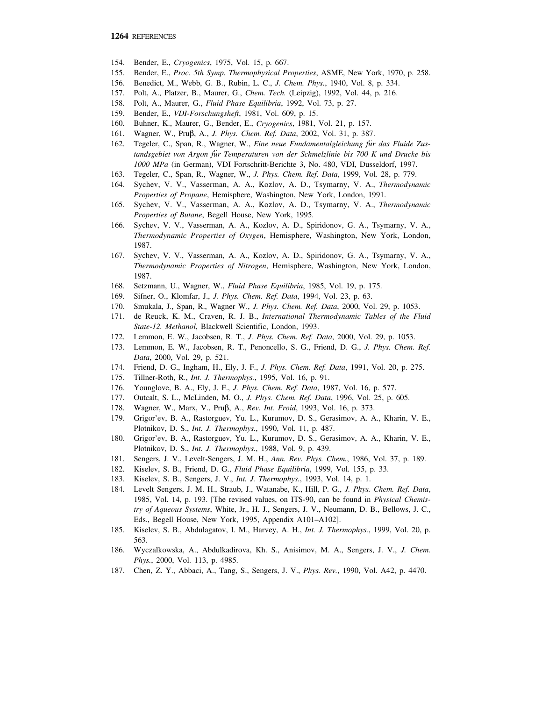- 154. Bender, E., *Cryogenics*, 1975, Vol. 15, p. 667.
- 155. Bender, E., *Proc. 5th Symp. Thermophysical Properties*, ASME, New York, 1970, p. 258.
- 156. Benedict, M., Webb, G. B., Rubin, L. C., *J. Chem. Phys.*, 1940, Vol. 8, p. 334.
- 157. Polt, A., Platzer, B., Maurer, G., *Chem. Tech.* (Leipzig), 1992, Vol. 44, p. 216.
- 158. Polt, A., Maurer, G., *Fluid Phase Equilibria*, 1992, Vol. 73, p. 27.
- 159. Bender, E., *VDI-Forschungsheft*, 1981, Vol. 609, p. 15.
- 160. Buhner, K., Maurer, G., Bender, E., *Cryogenics*, 1981, Vol. 21, p. 157.
- 161. Wagner, W., Pruβ, A., *J. Phys. Chem. Ref. Data*, 2002, Vol. 31, p. 387.
- 162. Tegeler, C., Span, R., Wagner, W., *Eine neue Fundamentalgleichung für das Fluide Zustandsgebiet von Argon fu*..*r Temperaturen von der Schmelzlinie bis 700 K und Drucke bis 1000 MPa* (in German), VDI Fortschritt-Berichte 3, No. 480, VDI, Dusseldorf, 1997.
- 163. Tegeler, C., Span, R., Wagner, W., *J. Phys. Chem. Ref. Data*, 1999, Vol. 28, p. 779.
- 164. Sychev, V. V., Vasserman, A. A., Kozlov, A. D., Tsymarny, V. A., *Thermodynamic Properties of Propane*, Hemisphere, Washington, New York, London, 1991.
- 165. Sychev, V. V., Vasserman, A. A., Kozlov, A. D., Tsymarny, V. A., *Thermodynamic Properties of Butane*, Begell House, New York, 1995.
- 166. Sychev, V. V., Vasserman, A. A., Kozlov, A. D., Spiridonov, G. A., Tsymarny, V. A., *Thermodynamic Properties of Oxygen*, Hemisphere, Washington, New York, London, 1987.
- 167. Sychev, V. V., Vasserman, A. A., Kozlov, A. D., Spiridonov, G. A., Tsymarny, V. A., *Thermodynamic Properties of Nitrogen*, Hemisphere, Washington, New York, London, 1987.
- 168. Setzmann, U., Wagner, W., *Fluid Phase Equilibria*, 1985, Vol. 19, p. 175.
- 169. Sifner, O., Klomfar, J., *J. Phys. Chem. Ref. Data*, 1994, Vol. 23, p. 63.
- 170. Smukala, J., Span, R., Wagner W., *J. Phys. Chem. Ref. Data*, 2000, Vol. 29, p. 1053.
- 171. de Reuck, K. M., Craven, R. J. B., *International Thermodynamic Tables of the Fluid State-12. Methanol*, Blackwell Scientific, London, 1993.
- 172. Lemmon, E. W., Jacobsen, R. T., *J. Phys. Chem. Ref. Data*, 2000, Vol. 29, p. 1053.
- 173. Lemmon, E. W., Jacobsen, R. T., Penoncello, S. G., Friend, D. G., *J. Phys. Chem. Ref. Data*, 2000, Vol. 29, p. 521.
- 174. Friend, D. G., Ingham, H., Ely, J. F., *J. Phys. Chem. Ref. Data*, 1991, Vol. 20, p. 275.
- 175. Tillner-Roth, R., *Int. J. Thermophys.*, 1995, Vol. 16, p. 91.
- 176. Younglove, B. A., Ely, J. F., *J. Phys. Chem. Ref. Data*, 1987, Vol. 16, p. 577.
- 177. Outcalt, S. L., McLinden, M. O., *J. Phys. Chem. Ref. Data*, 1996, Vol. 25, p. 605.
- 178. Wagner, W., Marx, V., Pruβ, A., *Rev. Int. Froid*, 1993, Vol. 16, p. 373.
- 179. Grigor'ev, B. A., Rastorguev, Yu. L., Kurumov, D. S., Gerasimov, A. A., Kharin, V. E., Plotnikov, D. S., *Int. J. Thermophys.*, 1990, Vol. 11, p. 487.
- 180. Grigor'ev, B. A., Rastorguev, Yu. L., Kurumov, D. S., Gerasimov, A. A., Kharin, V. E., Plotnikov, D. S., *Int. J. Thermophys.*, 1988, Vol. 9, p. 439.
- 181. Sengers, J. V., Levelt-Sengers, J. M. H., *Ann. Rev. Phys. Chem.*, 1986, Vol. 37, p. 189.
- 182. Kiselev, S. B., Friend, D. G., *Fluid Phase Equilibria*, 1999, Vol. 155, p. 33.
- 183. Kiselev, S. B., Sengers, J. V., *Int. J. Thermophys.*, 1993, Vol. 14, p. 1.
- 184. Levelt Sengers, J. M. H., Straub, J., Watanabe, K., Hill, P. G., *J. Phys. Chem. Ref. Data*, 1985, Vol. 14, p. 193. [The revised values, on ITS-90, can be found in *Physical Chemistry of Aqueous Systems*, White, Jr., H. J., Sengers, J. V., Neumann, D. B., Bellows, J. C., Eds., Begell House, New York, 1995, Appendix A101–A102].
- 185. Kiselev, S. B., Abdulagatov, I. M., Harvey, A. H., *Int. J. Thermophys.*, 1999, Vol. 20, p. 563.
- 186. Wyczalkowska, A., Abdulkadirova, Kh. S., Anisimov, M. A., Sengers, J. V., *J. Chem. Phys.*, 2000, Vol. 113, p. 4985.
- 187. Chen, Z. Y., Abbaci, A., Tang, S., Sengers, J. V., *Phys. Rev.*, 1990, Vol. A42, p. 4470.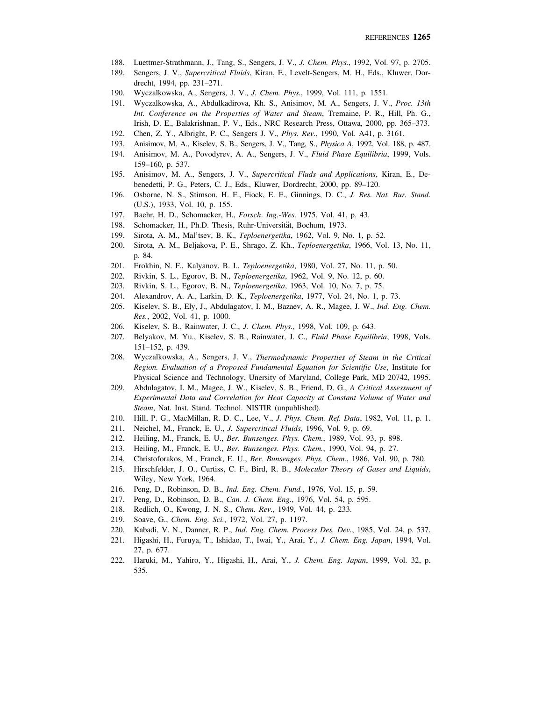- 188. Luettmer-Strathmann, J., Tang, S., Sengers, J. V., *J. Chem. Phys.*, 1992, Vol. 97, p. 2705.
- 189. Sengers, J. V., *Supercritical Fluids*, Kiran, E., Levelt-Sengers, M. H., Eds., Kluwer, Dordrecht, 1994, pp. 231–271.
- 190. Wyczalkowska, A., Sengers, J. V., *J. Chem. Phys.*, 1999, Vol. 111, p. 1551.
- 191. Wyczalkowska, A., Abdulkadirova, Kh. S., Anisimov, M. A., Sengers, J. V., *Proc. 13th Int. Conference on the Properties of Water and Steam*, Tremaine, P. R., Hill, Ph. G., Irish, D. E., Balakrishnan, P. V., Eds., NRC Research Press, Ottawa, 2000, pp. 365–373.
- 192. Chen, Z. Y., Albright, P. C., Sengers J. V., *Phys. Rev.*, 1990, Vol. A41, p. 3161.
- 193. Anisimov, M. A., Kiselev, S. B., Sengers, J. V., Tang, S., *Physica A*, 1992, Vol. 188, p. 487.
- 194. Anisimov, M. A., Povodyrev, A. A., Sengers, J. V., *Fluid Phase Equilibria*, 1999, Vols. 159–160, p. 537.
- 195. Anisimov, M. A., Sengers, J. V., *Supercritical Fluds and Applications*, Kiran, E., Debenedetti, P. G., Peters, C. J., Eds., Kluwer, Dordrecht, 2000, pp. 89–120.
- 196. Osborne, N. S., Stimson, H. F., Fiock, E. F., Ginnings, D. C., *J. Res. Nat. Bur. Stand.* (U.S.), 1933, Vol. 10, p. 155.
- 197. Baehr, H. D., Schomacker, H., *Forsch*. *Ing.-Wes.* 1975, Vol. 41, p. 43.
- 198. Schomacker, H., Ph.D. Thesis, Ruhr-Universität, Bochum, 1973.
- 199. Sirota, A. M., Mal'tsev, B. K., *Teploenergetika*, 1962, Vol. 9, No. 1, p. 52.
- 200. Sirota, A. M., Beljakova, P. E., Shrago, Z. Kh., *Teploenergetika*, 1966, Vol. 13, No. 11, p. 84.
- 201. Erokhin, N. F., Kalyanov, B. I., *Teploenergetika*, 1980, Vol. 27, No. 11, p. 50.
- 202. Rivkin, S. L., Egorov, B. N., *Teploenergetika*, 1962, Vol. 9, No. 12, p. 60.
- 203. Rivkin, S. L., Egorov, B. N., *Teploenergetika*, 1963, Vol. 10, No. 7, p. 75.
- 204. Alexandrov, A. A., Larkin, D. K., *Teploenergetika*, 1977, Vol. 24, No. 1, p. 73.
- 205. Kiselev, S. B., Ely, J., Abdulagatov, I. M., Bazaev, A. R., Magee, J. W., *Ind. Eng. Chem. Res.*, 2002, Vol. 41, p. 1000.
- 206. Kiselev, S. B., Rainwater, J. C., *J. Chem. Phys.*, 1998, Vol. 109, p. 643.
- 207. Belyakov, M. Yu., Kiselev, S. B., Rainwater, J. C., *Fluid Phase Equilibria*, 1998, Vols. 151–152, p. 439.
- 208. Wyczalkowska, A., Sengers, J. V., *Thermodynamic Properties of Steam in the Critical Region. Evaluation of a Proposed Fundamental Equation for Scientific Use*, Institute for Physical Science and Technology, Unersity of Maryland, College Park, MD 20742, 1995.
- 209. Abdulagatov, I. M., Magee, J. W., Kiselev, S. B., Friend, D. G., *A Critical Assessment of Experimental Data and Correlation for Heat Capacity at Constant Volume of Water and Steam*, Nat. Inst. Stand. Technol. NISTIR (unpublished).
- 210. Hill, P. G., MacMillan, R. D. C., Lee, V., *J. Phys. Chem. Ref. Data*, 1982, Vol. 11, p. 1.
- 211. Neichel, M., Franck, E. U., *J. Supercritical Fluids*, 1996, Vol. 9, p. 69.
- 212. Heiling, M., Franck, E. U., *Ber. Bunsenges. Phys. Chem.*, 1989, Vol. 93, p. 898.
- 213. Heiling, M., Franck, E. U., *Ber. Bunsenges. Phys. Chem.*, 1990, Vol. 94, p. 27.
- 214. Christoforakos, M., Franck, E. U., *Ber. Bunsenges. Phys. Chem.*, 1986, Vol. 90, p. 780.
- 215. Hirschfelder, J. O., Curtiss, C. F., Bird, R. B., *Molecular Theory of Gases and Liquids*, Wiley, New York, 1964.
- 216. Peng, D., Robinson, D. B., *Ind. Eng. Chem. Fund.*, 1976, Vol. 15, p. 59.
- 217. Peng, D., Robinson, D. B., *Can. J. Chem. Eng.*, 1976, Vol. 54, p. 595.
- 218. Redlich, O., Kwong, J. N. S., *Chem. Rev.*, 1949, Vol. 44, p. 233.
- 219. Soave, G., *Chem. Eng. Sci.*, 1972, Vol. 27, p. 1197.
- 220. Kabadi, V. N., Danner, R. P., *Ind. Eng. Chem. Process Des. Dev.*, 1985, Vol. 24, p. 537.
- 221. Higashi, H., Furuya, T., Ishidao, T., Iwai, Y., Arai, Y., *J. Chem. Eng. Japan*, 1994, Vol. 27, p. 677.
- 222. Haruki, M., Yahiro, Y., Higashi, H., Arai, Y., *J. Chem. Eng. Japan*, 1999, Vol. 32, p. 535.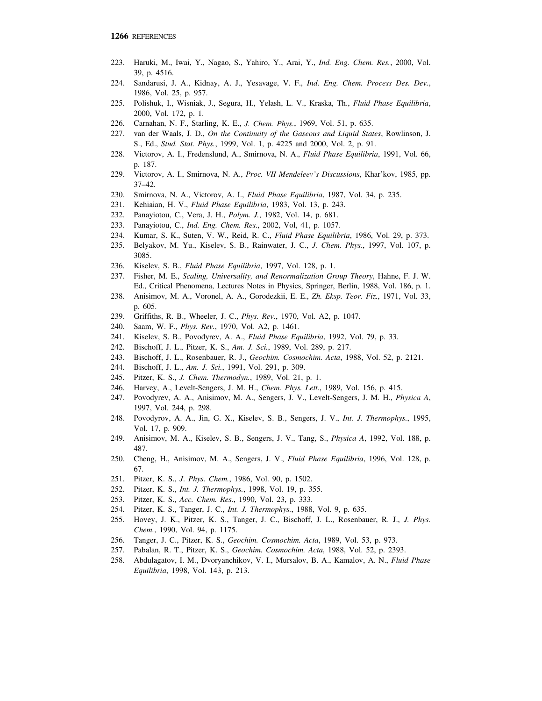- 223. Haruki, M., Iwai, Y., Nagao, S., Yahiro, Y., Arai, Y., *Ind. Eng. Chem. Res.*, 2000, Vol. 39, p. 4516.
- 224. Sandarusi, J. A., Kidnay, A. J., Yesavage, V. F., *Ind. Eng. Chem. Process Des. Dev.*, 1986, Vol. 25, p. 957.
- 225. Polishuk, I., Wisniak, J., Segura, H., Yelash, L. V., Kraska, Th., *Fluid Phase Equilibria*, 2000, Vol. 172, p. 1.
- 226. Carnahan, N. F., Starling, K. E., *J. Chem. Phys.*, 1969, Vol. 51, p. 635.
- 227. van der Waals, J. D., *On the Continuity of the Gaseous and Liquid States*, Rowlinson, J. S., Ed., *Stud. Stat. Phys.*, 1999, Vol. 1, p. 4225 and 2000, Vol. 2, p. 91.
- 228. Victorov, A. I., Fredenslund, A., Smirnova, N. A., *Fluid Phase Equilibria*, 1991, Vol. 66, p. 187.
- 229. Victorov, A. I., Smirnova, N. A., *Proc. VII Mendeleev's Discussions*, Khar'kov, 1985, pp. 37–42.
- 230. Smirnova, N. A., Victorov, A. I., *Fluid Phase Equilibria*, 1987, Vol. 34, p. 235.
- 231. Kehiaian, H. V., *Fluid Phase Equilibria*, 1983, Vol. 13, p. 243.
- 232. Panayiotou, C., Vera, J. H., *Polym. J.*, 1982, Vol. 14, p. 681.
- 233. Panayiotou, C., *Ind. Eng. Chem. Res*., 2002, Vol, 41, p. 1057.
- 234. Kumar, S. K., Suten, V. W., Reid, R. C., *Fluid Phase Equilibria*, 1986, Vol. 29, p. 373.
- 235. Belyakov, M. Yu., Kiselev, S. B., Rainwater, J. C., *J. Chem. Phys.*, 1997, Vol. 107, p. 3085.
- 236. Kiselev, S. B., *Fluid Phase Equilibria*, 1997, Vol. 128, p. 1.
- 237. Fisher, M. E., *Scaling, Universality, and Renormalization Group Theory*, Hahne, F. J. W. Ed., Critical Phenomena, Lectures Notes in Physics, Springer, Berlin, 1988, Vol. 186, p. 1.
- 238. Anisimov, M. A., Voronel, A. A., Gorodezkii, E. E., *Zh. Eksp. Teor. Fiz.*, 1971, Vol. 33, p. 605.
- 239. Griffiths, R. B., Wheeler, J. C., *Phys. Rev.*, 1970, Vol. A2, p. 1047.
- 240. Saam, W. F., *Phys. Rev.*, 1970, Vol. A2, p. 1461.
- 241. Kiselev, S. B., Povodyrev, A. A., *Fluid Phase Equilibria*, 1992, Vol. 79, p. 33.
- 242. Bischoff, J. L., Pitzer, K. S., *Am. J. Sci.*, 1989, Vol. 289, p. 217.
- 243. Bischoff, J. L., Rosenbauer, R. J., *Geochim. Cosmochim. Acta*, 1988, Vol. 52, p. 2121.
- 244. Bischoff, J. L., *Am. J. Sci.*, 1991, Vol. 291, p. 309.
- 245. Pitzer, K. S., *J. Chem. Thermodyn.*, 1989, Vol. 21, p. 1.
- 246. Harvey, A., Levelt-Sengers, J. M. H., *Chem. Phys. Lett.*, 1989, Vol. 156, p. 415.
- 247. Povodyrev, A. A., Anisimov, M. A., Sengers, J. V., Levelt-Sengers, J. M. H., *Physica A*, 1997, Vol. 244, p. 298.
- 248. Povodyrov, A. A., Jin, G. X., Kiselev, S. B., Sengers, J. V., *Int. J. Thermophys.*, 1995, Vol. 17, p. 909.
- 249. Anisimov, M. A., Kiselev, S. B., Sengers, J. V., Tang, S., *Physica A*, 1992, Vol. 188, p. 487.
- 250. Cheng, H., Anisimov, M. A., Sengers, J. V., *Fluid Phase Equilibria*, 1996, Vol. 128, p. 67.
- 251. Pitzer, K. S., *J*. *Phys. Chem.*, 1986, Vol. 90, p. 1502.
- 252. Pitzer, K. S., *Int. J. Thermophys.*, 1998, Vol. 19, p. 355.
- 253. Pitzer, K. S., *Acc. Chem. Res.*, 1990, Vol. 23, p. 333.
- 254. Pitzer, K. S., Tanger, J. C., *Int. J. Thermophys.*, 1988, Vol. 9, p. 635.
- 255. Hovey, J. K., Pitzer, K. S., Tanger, J. C., Bischoff, J. L., Rosenbauer, R. J., *J. Phys. Chem.*, 1990, Vol. 94, p. 1175.
- 256. Tanger, J. C., Pitzer, K. S., *Geochim. Cosmochim. Acta*, 1989, Vol. 53, p. 973.
- 257. Pabalan, R. T., Pitzer, K. S., *Geochim. Cosmochim. Acta*, 1988, Vol. 52, p. 2393.
- 258. Abdulagatov, I. M., Dvoryanchikov, V. I., Mursalov, B. A., Kamalov, A. N., *Fluid Phase Equilibria*, 1998, Vol. 143, p. 213.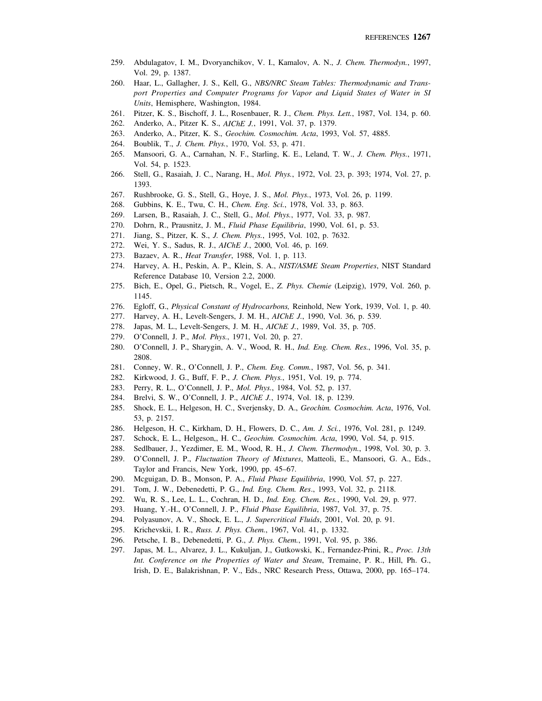- 259. Abdulagatov, I. M., Dvoryanchikov, V. I., Kamalov, A. N., *J. Chem. Thermodyn.*, 1997, Vol. 29, p. 1387.
- 260. Haar, L., Gallagher, J. S., Kell, G., *NBS/NRC Steam Tables: Thermodynamic and Transport Properties and Computer Programs for Vapor and Liquid States of Water in SI Units*, Hemisphere, Washington, 1984.
- 261. Pitzer, K. S., Bischoff, J. L., Rosenbauer, R. J., *Chem. Phys. Lett.*, 1987, Vol. 134, p. 60.
- 262. Anderko, A., Pitzer K. S., *AIChE J.*, 1991, Vol. 37, p. 1379.
- 263. Anderko, A., Pitzer, K. S., *Geochim. Cosmochim. Acta*, 1993, Vol. 57, 4885.
- 264. Boublik, T., *J. Chem. Phys.*, 1970, Vol. 53, p. 471.
- 265. Mansoori, G. A., Carnahan, N. F., Starling, K. E., Leland, T. W., *J. Chem. Phys.*, 1971, Vol. 54, p. 1523.
- 266. Stell, G., Rasaiah, J. C., Narang, H., *Mol. Phys.*, 1972, Vol. 23, p. 393; 1974, Vol. 27, p. 1393.
- 267. Rushbrooke, G. S., Stell, G., Hoye, J. S., *Mol. Phys.*, 1973, Vol. 26, p. 1199.
- 268. Gubbins, K. E., Twu, C. H., *Chem. Eng. Sci.*, 1978, Vol. 33, p. 863.
- 269. Larsen, B., Rasaiah, J. C., Stell, G., *Mol. Phys.*, 1977, Vol. 33, p. 987.
- 270. Dohrn, R., Prausnitz, J. M., *Fluid Phase Equilibria*, 1990, Vol. 61, p. 53.
- 271. Jiang, S., Pitzer, K. S., *J. Chem. Phys.*, 1995, Vol. 102, p. 7632.
- 272. Wei, Y. S., Sadus, R. J., *AIChE J.*, 2000, Vol. 46, p. 169.
- 273. Bazaev, A. R., *Heat Transfer*, 1988, Vol. 1, p. 113.
- 274. Harvey, A. H., Peskin, A. P., Klein, S. A., *NIST/ASME Steam Properties*, NIST Standard Reference Database 10, Version 2.2, 2000.
- 275. Bich, E., Opel, G., Pietsch, R., Vogel, E., *Z. Phys. Chemie* (Leipzig), 1979, Vol. 260, p. 1145.
- 276. Egloff, G., *Physical Constant of Hydrocarbons,* Reinhold, New York, 1939, Vol. 1, p. 40.
- 277. Harvey, A. H., Levelt-Sengers, J. M. H., *AIChE J.*, 1990, Vol. 36, p. 539.
- 278. Japas, M. L., Levelt-Sengers, J. M. H., *AIChE J.*, 1989, Vol. 35, p. 705.
- 279. O'Connell, J. P., *Mol. Phys.*, 1971, Vol. 20, p. 27.
- 280. O'Connell, J. P., Sharygin, A. V., Wood, R. H., *Ind. Eng. Chem. Res.*, 1996, Vol. 35, p. 2808.
- 281. Conney, W. R., O'Connell, J. P., *Chem. Eng. Comm.*, 1987, Vol. 56, p. 341.
- 282. Kirkwood, J. G., Buff, F. P., *J. Chem. Phys.*, 1951, Vol. 19, p. 774.
- 283. Perry, R. L., O'Connell, J. P., *Mol. Phys.*, 1984, Vol. 52, p. 137.
- 284. Brelvi, S. W., O'Connell, J. P., *AIChE J.*, 1974, Vol. 18, p. 1239.
- 285. Shock, E. L., Helgeson, H. C., Sverjensky, D. A., *Geochim. Cosmochim. Acta*, 1976, Vol. 53, p. 2157.
- 286. Helgeson, H. C., Kirkham, D. H., Flowers, D. C., *Am. J. Sci.*, 1976, Vol. 281, p. 1249.
- 287. Schock, E. L., Helgeson,, H. C., *Geochim. Cosmochim. Acta*, 1990, Vol. 54, p. 915.
- 288. Sedlbauer, J., Yezdimer, E. M., Wood, R. H., *J. Chem. Thermodyn.*, 1998, Vol. 30, p. 3.
- 289. O'Connell, J. P., *Fluctuation Theory of Mixtures*, Matteoli, E., Mansoori, G. A., Eds., Taylor and Francis, New York, 1990, pp. 45–67.
- 290. Mcguigan, D. B., Monson, P. A., *Fluid Phase Equilibria*, 1990, Vol. 57, p. 227.
- 291. Tom, J. W., Debenedetti, P. G., *Ind. Eng. Chem. Res*., 1993, Vol. 32, p. 2118.
- 292. Wu, R. S., Lee, L. L., Cochran, H. D., *Ind. Eng. Chem. Res.*, 1990, Vol. 29, p. 977.
- 293. Huang, Y.-H., O'Connell, J. P., *Fluid Phase Equilibria*, 1987, Vol. 37, p. 75.
- 294. Polyasunov, A. V., Shock, E. L., *J. Supercritical Fluids*, 2001, Vol. 20, p. 91.
- 295. Krichevskii, I. R., *Russ. J. Phys. Chem.*, 1967, Vol. 41, p. 1332.
- 296. Petsche, I. B., Debenedetti, P. G., *J. Phys. Chem.*, 1991, Vol. 95, p. 386.
- 297. Japas, M. L., Alvarez, J. L., Kukuljan, J., Gutkowski, K., Fernandez-Prini, R., *Proc. 13th Int. Conference on the Properties of Water and Steam*, Tremaine, P. R., Hill, Ph. G., Irish, D. E., Balakrishnan, P. V., Eds., NRC Research Press, Ottawa, 2000, pp. 165–174.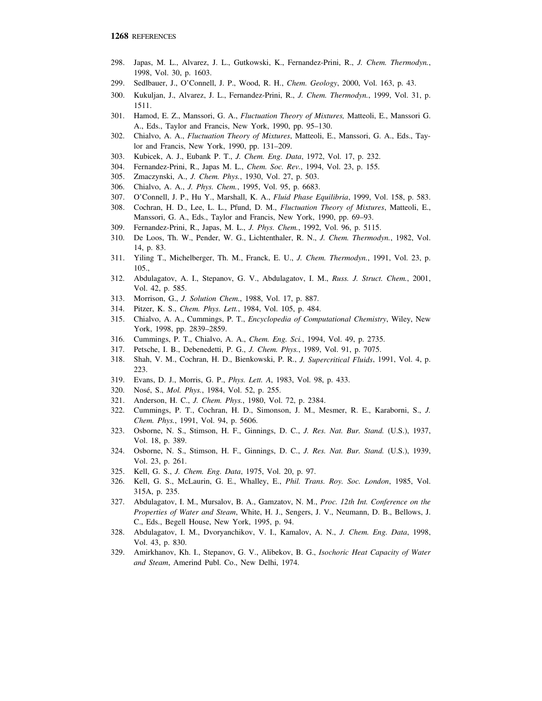- 298. Japas, M. L., Alvarez, J. L., Gutkowski, K., Fernandez-Prini, R., *J. Chem. Thermodyn.*, 1998, Vol. 30, p. 1603.
- 299. Sedlbauer, J., O'Connell, J. P., Wood, R. H., *Chem. Geology*, 2000, Vol. 163, p. 43.
- 300. Kukuljan, J., Alvarez, J. L., Fernandez-Prini, R., *J. Chem. Thermodyn.*, 1999, Vol. 31, p. 1511.
- 301. Hamod, E. Z., Manssori, G. A., *Fluctuation Theory of Mixtures,* Matteoli, E., Manssori G. A., Eds., Taylor and Francis, New York, 1990, pp. 95–130.
- 302. Chialvo, A. A., *Fluctuation Theory of Mixtures*, Matteoli, E., Manssori, G. A., Eds., Taylor and Francis, New York, 1990, pp. 131–209.
- 303. Kubicek, A. J., Eubank P. T., *J. Chem. Eng. Data*, 1972, Vol. 17, p. 232.
- 304. Fernandez-Prini, R., Japas M. L., *Chem. Soc. Rev.*, 1994, Vol. 23, p. 155.
- 305. Zmaczynski, A., *J. Chem. Phys.*, 1930, Vol. 27, p. 503.
- 306. Chialvo, A. A., *J. Phys. Chem.*, 1995, Vol. 95, p. 6683.
- 307. O'Connell, J. P., Hu Y., Marshall, K. A., *Fluid Phase Equilibria*, 1999, Vol. 158, p. 583.
- 308. Cochran, H. D., Lee, L. L., Pfund, D. M., *Fluctuation Theory of Mixtures*, Matteoli, E., Manssori, G. A., Eds., Taylor and Francis, New York, 1990, pp. 69–93.
- 309. Fernandez-Prini, R., Japas, M. L., *J. Phys. Chem.*, 1992, Vol. 96, p. 5115.
- 310. De Loos, Th. W., Pender, W. G., Lichtenthaler, R. N., *J. Chem. Thermodyn.*, 1982, Vol. 14, p. 83.
- 311. Yiling T., Michelberger, Th. M., Franck, E. U., *J. Chem. Thermodyn.*, 1991, Vol. 23, p. 105.,
- 312. Abdulagatov, A. I., Stepanov, G. V., Abdulagatov, I. M., *Russ. J. Struct. Chem.*, 2001, Vol. 42, p. 585.
- 313. Morrison, G., *J. Solution Chem.*, 1988, Vol. 17, p. 887.
- 314. Pitzer, K. S., *Chem. Phys. Lett.*, 1984, Vol. 105, p. 484.
- 315. Chialvo, A. A., Cummings, P. T., *Encyclopedia of Computational Chemistry*, Wiley, New York, 1998, pp. 2839–2859.
- 316. Cummings, P. T., Chialvo, A. A., *Chem. Eng. Sci.*, 1994, Vol. 49, p. 2735.
- 317. Petsche, I. B., Debenedetti, P. G., *J. Chem. Phys.*, 1989, Vol. 91, p. 7075.
- 318. Shah, V. M., Cochran, H. D., Bienkowski, P. R., *J. Supercritical Fluids*, 1991, Vol. 4, p. 223.
- 319. Evans, D. J., Morris, G. P., *Phys. Lett. A*, 1983, Vol. 98, p. 433.
- 320. Nosé, S., *Mol. Phys.*, 1984, Vol. 52, p. 255.
- 321. Anderson, H. C., *J. Chem. Phys.*, 1980, Vol. 72, p. 2384.
- 322. Cummings, P. T., Cochran, H. D., Simonson, J. M., Mesmer, R. E., Karaborni, S., *J. Chem. Phys.*, 1991, Vol. 94, p. 5606.
- 323. Osborne, N. S., Stimson, H. F., Ginnings, D. C., *J. Res. Nat. Bur. Stand.* (U.S.), 1937, Vol. 18, p. 389.
- 324. Osborne, N. S., Stimson, H. F., Ginnings, D. C., *J. Res. Nat. Bur. Stand.* (U.S.), 1939, Vol. 23, p. 261.
- 325. Kell, G. S., *J. Chem. Eng. Data*, 1975, Vol. 20, p. 97.
- 326. Kell, G. S., McLaurin, G. E., Whalley, E., *Phil. Trans. Roy. Soc. London*, 1985, Vol. 315A, p. 235.
- 327. Abdulagatov, I. M., Mursalov, B. A., Gamzatov, N. M., *Proc. 12th Int. Conference on the Properties of Water and Steam*, White, H. J., Sengers, J. V., Neumann, D. B., Bellows, J. C., Eds., Begell House, New York, 1995, p. 94.
- 328. Abdulagatov, I. M., Dvoryanchikov, V. I., Kamalov, A. N., *J. Chem. Eng. Data*, 1998, Vol. 43, p. 830.
- 329. Amirkhanov, Kh. I., Stepanov, G. V., Alibekov, B. G., *Isochoric Heat Capacity of Water and Steam*, Amerind Publ. Co., New Delhi, 1974.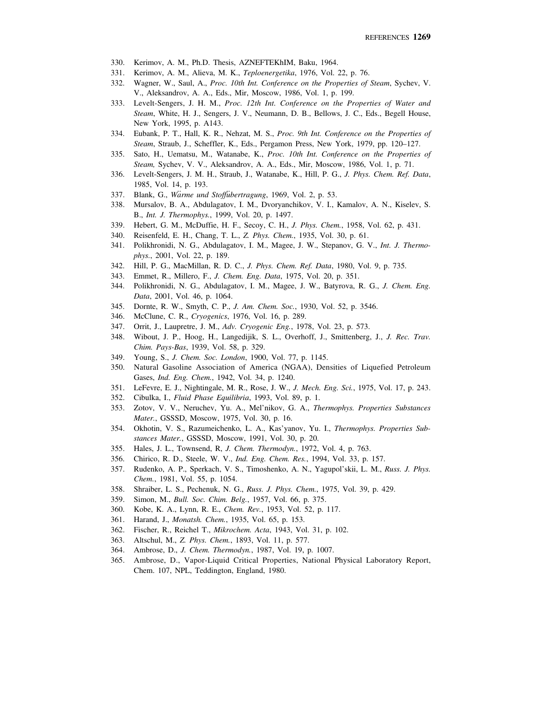- 330. Kerimov, A. M., Ph.D. Thesis, AZNEFTEKhIM, Baku, 1964.
- 331. Kerimov, A. M., Alieva, M. K., *Teploenergetika*, 1976, Vol. 22, p. 76.
- 332. Wagner, W., Saul, A., *Proc. 10th Int. Conference on the Properties of Steam*, Sychev, V. V., Aleksandrov, A. A., Eds., Mir, Moscow, 1986, Vol. 1, p. 199.
- 333. Levelt-Sengers, J. H. M., *Proc. 12th Int. Conference on the Properties of Water and Steam*, White, H. J., Sengers, J. V., Neumann, D. B., Bellows, J. C., Eds., Begell House, New York, 1995, p. A143.
- 334. Eubank, P. T., Hall, K. R., Nehzat, M. S., *Proc. 9th Int. Conference on the Properties of Steam*, Straub, J., Scheffler, K., Eds., Pergamon Press, New York, 1979, pp. 120–127.
- 335. Sato, H., Uematsu, M., Watanabe, K., *Proc. 10th Int. Conference on the Properties of Steam,* Sychev, V. V., Aleksandrov, A. A., Eds., Mir, Moscow, 1986, Vol. 1, p. 71.
- 336. Levelt-Sengers, J. M. H., Straub, J., Watanabe, K., Hill, P. G., *J. Phys. Chem. Ref. Data*, 1985, Vol. 14, p. 193.
- 337. Blank, G., *Warme und Stoffubertragung*, 1969, Vol. 2, p. 53.
- 338. Mursalov, B. A., Abdulagatov, I. M., Dvoryanchikov, V. I., Kamalov, A. N., Kiselev, S. B., *Int. J. Thermophys.*, 1999, Vol. 20, p. 1497.
- 339. Hebert, G. M., McDuffie, H. F., Secoy, C. H., *J. Phys. Chem.*, 1958, Vol. 62, p. 431.
- 340. Reisenfeld, E. H., Chang, T. L., *Z. Phys. Chem.*, 1935, Vol. 30, p. 61.
- 341. Polikhronidi, N. G., Abdulagatov, I. M., Magee, J. W., Stepanov, G. V., *Int. J. Thermophys.*, 2001, Vol. 22, p. 189.
- 342. Hill, P. G., MacMillan, R. D. C., *J. Phys. Chem. Ref. Data*, 1980, Vol. 9, p. 735.
- 343. Emmet, R., Millero, F., *J. Chem. Eng. Data*, 1975, Vol. 20, p. 351.
- 344. Polikhronidi, N. G., Abdulagatov, I. M., Magee, J. W., Batyrova, R. G., *J. Chem. Eng. Data*, 2001, Vol. 46, p. 1064.
- 345. Dornte, R. W., Smyth, C. P., *J. Am. Chem. Soc.*, 1930, Vol. 52, p. 3546.
- 346. McClune, C. R., *Cryogenics*, 1976, Vol. 16, p. 289.
- 347. Orrit, J., Laupretre, J. M., *Adv. Cryogenic Eng.*, 1978, Vol. 23, p. 573.
- 348. Wibout, J. P., Hoog, H., Langedijik, S. L., Overhoff, J., Smittenberg, J., *J. Rec. Trav. Chim. Pays-Bas*, 1939, Vol. 58, p. 329.
- 349. Young, S., *J. Chem. Soc. London*, 1900, Vol. 77, p. 1145.
- 350. Natural Gasoline Association of America (NGAA), Densities of Liquefied Petroleum Gases, *Ind. Eng. Chem.*, 1942, Vol. 34, p. 1240.
- 351. LeFevre, E. J., Nightingale, M. R., Rose, J. W., *J. Mech. Eng. Sci.*, 1975, Vol. 17, p. 243.
- 352. Cibulka, I., *Fluid Phase Equilibria*, 1993, Vol. 89, p. 1.
- 353. Zotov, V. V., Neruchev, Yu. A., Mel'nikov, G. A., *Thermophys. Properties Substances Mater.*, GSSSD, Moscow, 1975, Vol. 30, p. 16.
- 354. Okhotin, V. S., Razumeichenko, L. A., Kas'yanov, Yu. I., *Thermophys. Properties Substances Mater.*, GSSSD, Moscow, 1991, Vol. 30, p. 20.
- 355. Hales, J. L., Townsend, R, *J. Chem. Thermodyn.*, 1972, Vol. 4, p. 763.
- 356. Chirico, R. D., Steele, W. V., *Ind. Eng. Chem. Res.*, 1994, Vol. 33, p. 157.
- 357. Rudenko, A. P., Sperkach, V. S., Timoshenko, A. N., Yagupol'skii, L. M., *Russ. J. Phys. Chem.*, 1981, Vol. 55, p. 1054.
- 358. Shraiber, L. S., Pechenuk, N. G., *Russ. J. Phys. Chem.*, 1975, Vol. 39, p. 429.
- 359. Simon, M., *Bull. Soc. Chim. Belg.*, 1957, Vol. 66, p. 375.
- 360. Kobe, K. A., Lynn, R. E., *Chem. Rev.*, 1953, Vol. 52, p. 117.
- 361. Harand, J., *Monatsh. Chem.*, 1935, Vol. 65, p. 153.
- 362. Fischer, R., Reichel T., *Mikrochem. Acta*, 1943, Vol. 31, p. 102.
- 363. Altschul, M., *Z. Phys. Chem.*, 1893, Vol. 11, p. 577.
- 364. Ambrose, D., *J. Chem. Thermodyn.*, 1987, Vol. 19, p. 1007.
- 365. Ambrose, D., Vapor-Liquid Critical Properties, National Physical Laboratory Report, Chem. 107, NPL, Teddington, England, 1980.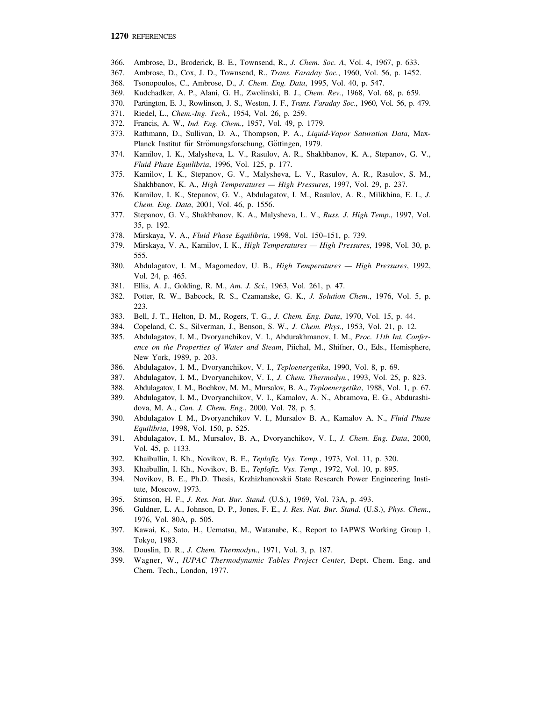- 366. Ambrose, D., Broderick, B. E., Townsend, R., *J. Chem. Soc. A*, Vol. 4, 1967, p. 633.
- 367. Ambrose, D., Cox, J. D., Townsend, R., *Trans. Faraday Soc.*, 1960, Vol. 56, p. 1452.
- 368. Tsonopoulos, C., Ambrose, D., *J. Chem. Eng. Data*, 1995, Vol. 40, p. 547.
- 369. Kudchadker, A. P., Alani, G. H., Zwolinski, B. J., *Chem. Rev.*, 1968, Vol. 68, p. 659.
- 370. Partington, E. J., Rowlinson, J. S., Weston, J. F., *Trans. Faraday Soc*., 1960, Vol. 56, p. 479.
- 371. Riedel, L., *Chem.-Ing. Tech.*, 1954, Vol. 26, p. 259.
- 372. Francis, A. W., *Ind. Eng. Chem.*, 1957, Vol. 49, p. 1779.
- 373. Rathmann, D., Sullivan, D. A., Thompson, P. A., *Liquid-Vapor Saturation Data*, Max-Planck Institut für Strömungsforschung, Göttingen, 1979.
- 374. Kamilov, I. K., Malysheva, L. V., Rasulov, A. R., Shakhbanov, K. A., Stepanov, G. V., *Fluid Phase Equilibria*, 1996, Vol. 125, p. 177.
- 375. Kamilov, I. K., Stepanov, G. V., Malysheva, L. V., Rasulov, A. R., Rasulov, S. M., Shakhbanov, K. A., *High Temperatures — High Pressures*, 1997, Vol. 29, p. 237.
- 376. Kamilov, I. K., Stepanov, G. V., Abdulagatov, I. M., Rasulov, A. R., Milikhina, E. I., *J. Chem. Eng. Data*, 2001, Vol. 46, p. 1556.
- 377. Stepanov, G. V., Shakhbanov, K. A., Malysheva, L. V., *Russ. J. High Temp*., 1997, Vol. 35, p. 192.
- 378. Mirskaya, V. A., *Fluid Phase Equilibria*, 1998, Vol. 150–151, p. 739.
- 379. Mirskaya, V. A., Kamilov, I. K., *High Temperatures High Pressures*, 1998, Vol. 30, p. 555.
- 380. Abdulagatov, I. M., Magomedov, U. B., *High Temperatures High Pressures*, 1992, Vol. 24, p. 465.
- 381. Ellis, A. J., Golding, R. M., *Am. J. Sci.*, 1963, Vol. 261, p. 47.
- 382. Potter, R. W., Babcock, R. S., Czamanske, G. K., *J. Solution Chem.*, 1976, Vol. 5, p. 223.
- 383. Bell, J. T., Helton, D. M., Rogers, T. G., *J. Chem. Eng. Data*, 1970, Vol. 15, p. 44.
- 384. Copeland, C. S., Silverman, J., Benson, S. W., *J. Chem. Phys.*, 1953, Vol. 21, p. 12.
- 385. Abdulagatov, I. M., Dvoryanchikov, V. I., Abdurakhmanov, I. M., *Proc. 11th Int. Conference on the Properties of Water and Steam*, Piichal, M., Shifner, O., Eds., Hemisphere, New York, 1989, p. 203.
- 386. Abdulagatov, I. M., Dvoryanchikov, V. I., *Teploenergetika*, 1990, Vol. 8, p. 69.
- 387. Abdulagatov, I. M., Dvoryanchikov, V. I., *J. Chem. Thermodyn.*, 1993, Vol. 25, p. 823.
- 388. Abdulagatov, I. M., Bochkov, M. M., Mursalov, B. A., *Teploenergetika*, 1988, Vol. 1, p. 67.
- 389. Abdulagatov, I. M., Dvoryanchikov, V. I., Kamalov, A. N., Abramova, E. G., Abdurashidova, M. A., *Can. J. Chem. Eng.*, 2000, Vol. 78, p. 5.
- 390. Abdulagatov I. M., Dvoryanchikov V. I., Mursalov B. A., Kamalov A. N., *Fluid Phase Equilibria*, 1998, Vol. 150, p. 525.
- 391. Abdulagatov, I. M., Mursalov, B. A., Dvoryanchikov, V. I., *J. Chem. Eng. Data*, 2000, Vol. 45, p. 1133.
- 392. Khaibullin, I. Kh., Novikov, B. E., *Teplofiz. Vys. Temp.*, 1973, Vol. 11, p. 320.
- 393. Khaibullin, I. Kh., Novikov, B. E., *Teplofiz. Vys. Temp.*, 1972, Vol. 10, p. 895.
- 394. Novikov, B. E., Ph.D. Thesis, Krzhizhanovskii State Research Power Engineering Institute, Moscow, 1973.
- 395. Stimson, H. F., *J. Res. Nat. Bur. Stand.* (U.S.), 1969, Vol. 73A, p. 493.
- 396. Guldner, L. A., Johnson, D. P., Jones, F. E., *J. Res. Nat. Bur. Stand.* (U.S.), *Phys. Chem.*, 1976, Vol. 80A, p. 505.
- 397. Kawai, K., Sato, H., Uematsu, M., Watanabe, K., Report to IAPWS Working Group 1, Tokyo, 1983.
- 398. Douslin, D. R., *J. Chem. Thermodyn.*, 1971, Vol. 3, p. 187.
- 399. Wagner, W., *IUPAC Thermodynamic Tables Project Center*, Dept. Chem. Eng. and Chem. Tech., London, 1977.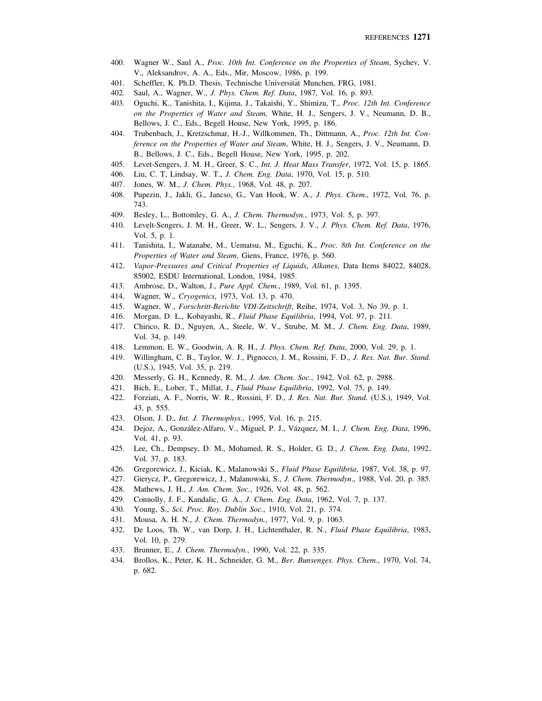- 400. Wagner W., Saul A., *Proc. 10th Int. Conference on the Properties of Steam*, Sychev, V. V., Aleksandrov, A. A., Eds., Mir, Moscow, 1986, p. 199.
- 401. Scheffler, K. Ph.D. Thesis, Technische Universität Munchen, FRG, 1981.
- 402. Saul, A., Wagner, W., *J. Phys. Chem. Ref. Data*, 1987, Vol. 16, p. 893.
- 403. Oguchi, K., Tanishita, I., Kijima, J., Takaishi, Y., Shimizu, T., *Proc. 12th Int. Conference on the Properties of Water and Steam,* White, H. J., Sengers, J. V., Neumann, D. B., Bellows, J. C., Eds., Begell House, New York, 1995, p. 186.
- 404. Trubenbach, J., Kretzschmar, H.-J., Willkommen, Th., Dittmann, A., *Proc. 12th Int. Conference on the Properties of Water and Steam*, White, H. J., Sengers, J. V., Neumann, D. B., Bellows, J. C., Eds., Begell House, New York, 1995, p. 202.
- 405. Levet-Sengers, J. M. H., Greer, S. C., *Int. J. Heat Mass Transfer*, 1972, Vol. 15, p. 1865.
- 406. Liu, C. T, Lindsay, W. T., *J. Chem. Eng. Data*, 1970, Vol. 15, p. 510.
- 407. Jones, W. M., *J. Chem. Phys.*, 1968, Vol. 48, p. 207.
- 408. Pupezin, J., Jakli, G., Jancso, G., Van Hook, W. A., *J. Phys. Chem.*, 1972, Vol. 76, p. 743.
- 409. Besley, L., Bottomley, G. A., *J. Chem. Thermodyn.*, 1973, Vol. 5, p. 397.
- 410. Levelt-Sengers, J. M. H., Greer, W. L., Sengers, J. V., *J. Phys. Chem. Ref. Data*, 1976, Vol. 5, p. 1.
- 411. Tanishita, I., Watanabe, M., Uematsu, M., Eguchi, K., *Proc. 8th Int. Conference on the Properties of Water and Steam*, Giens, France, 1976, p. 560.
- 412. *Vapor-Pressures and Critical Properties of Liquids*, *Alkanes*, Data Items 84022, 84028, 85002, ESDU International, London, 1984, 1985.
- 413. Ambrose, D., Walton, J., *Pure Appl. Chem.*, 1989, Vol. 61, p. 1395.
- 414. Wagner, W., *Cryogenics*, 1973, Vol. 13, p. 470.
- 415. Wagner, W., *Forschritt-Berichte VDI-Zeitschrift*, Reihe, 1974, Vol. 3, No 39, p. 1.
- 416. Morgan, D. L., Kobayashi, R., *Fluid Phase Equilibria*, 1994, Vol. 97, p. 211.
- 417. Chirico, R. D., Nguyen, A., Steele, W. V., Strube, M. M., *J. Chem. Eng. Data*, 1989, Vol. 34, p. 149.
- 418. Lemmon, E. W., Goodwin, A. R. H., *J. Phys. Chem. Ref. Data*, 2000, Vol. 29, p. 1.
- 419. Willingham, C. B., Taylor, W. J., Pignocco, J. M., Rossini, F. D., *J. Res. Nat. Bur. Stand.* (U.S.), 1945, Vol. 35, p. 219.
- 420. Messerly, G. H., Kennedy, R. M., *J. Am. Chem. Soc.*, 1942, Vol. 62, p. 2988.
- 421. Bich, E., Lober, T., Millat, J., *Fluid Phase Equilibria*, 1992, Vol. 75, p. 149.
- 422. Forziati, A. F., Norris, W. R., Rossini, F. D., *J. Res. Nat. Bur. Stand.* (U.S.), 1949, Vol. 43, p. 555.
- 423. Olson, J. D., *Int. J. Thermophys.*, 1995, Vol. 16, p. 215.
- 424. Dejoz, A., González-Alfaro, V., Miguel, P. J., Vázquez, M. I., *J. Chem. Eng. Data*, 1996, Vol. 41, p. 93.
- 425. Lee, Ch., Dempsey, D. M., Mohamed, R. S., Holder, G. D., *J. Chem. Eng. Data*, 1992, Vol. 37, p. 183.
- 426. Gregorewicz, J., Kiciak, K., Malanowski S., *Fluid Phase Equilibria*, 1987, Vol. 38, p. 97.
- 427. Gierycz, P., Gregorewicz, J., Malanowski, S., *J. Chem. Thermodyn*., 1988, Vol. 20, p. 385.
- 428. Mathews, J. H., *J. Am. Chem. Soc.*, 1926, Vol. 48, p. 562.
- 429. Connolly, J. F., Kandalic, G. A., *J. Chem. Eng. Data*, 1962, Vol. 7, p. 137.
- 430. Young, S., *Sci. Proc. Roy. Dublin Soc.*, 1910, Vol. 21, p. 374.
- 431. Mousa, A. H. N., *J. Chem. Thermodyn.*, 1977, Vol. 9, p. 1063.
- 432. De Loos, Th. W., van Dorp, J. H., Lichtenthaler, R. N., *Fluid Phase Equilibria*, 1983, Vol. 10, p. 279.
- 433. Brunner, E., *J. Chem. Thermodyn.*, 1990, Vol. 22, p. 335.
- 434. Brollos, K., Peter, K. H., Schneider, G. M., *Ber. Bunsenges. Phys. Chem.*, 1970, Vol. 74, p. 682.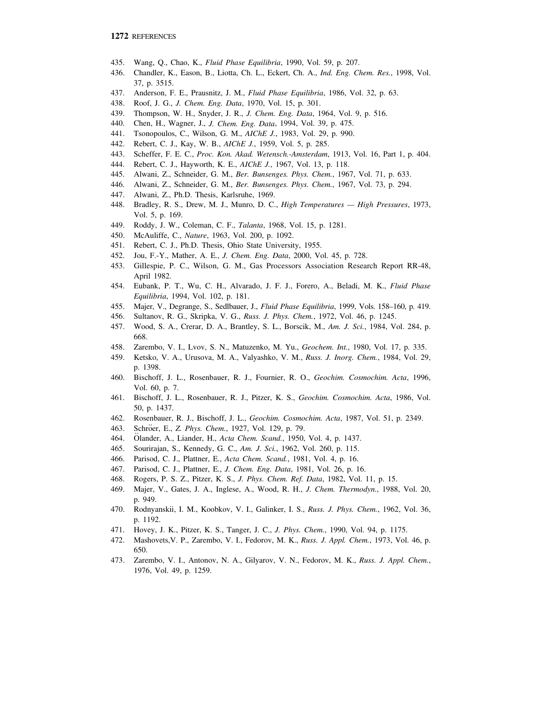- 435. Wang, Q., Chao, K., *Fluid Phase Equilibria*, 1990, Vol. 59, p. 207.
- 436. Chandler, K., Eason, B., Liotta, Ch. L., Eckert, Ch. A., *Ind. Eng. Chem. Res.*, 1998, Vol. 37, p. 3515.
- 437. Anderson, F. E., Prausnitz, J. M., *Fluid Phase Equilibria*, 1986, Vol. 32, p. 63.
- 438. Roof, J. G., *J. Chem. Eng. Data*, 1970, Vol. 15, p. 301.
- 439. Thompson, W. H., Snyder, J. R., *J. Chem. Eng. Data*, 1964, Vol. 9, p. 516.
- 440. Chen, H., Wagner, J., *J. Chem. Eng. Data*, 1994, Vol. 39, p. 475.
- 441. Tsonopoulos, C., Wilson, G. M., *AIChE J.*, 1983, Vol. 29, p. 990.
- 442. Rebert, C. J., Kay, W. B., *AIChE J.*, 1959, Vol. 5, p. 285.
- 443. Scheffer, F. E. C., *Proc. Kon. Akad. Wetensch.-Amsterdam*, 1913, Vol. 16, Part 1, p. 404.
- 444. Rebert, C. J., Hayworth, K. E., *AIChE J.*, 1967, Vol. 13, p. 118.
- 445. Alwani, Z., Schneider, G. M., *Ber. Bunsenges. Phys. Chem.*, 1967, Vol. 71, p. 633.
- 446. Alwani, Z., Schneider, G. M., *Ber. Bunsenges. Phys. Chem.*, 1967, Vol. 73, p. 294.
- 447. Alwani, Z., Ph.D. Thesis, Karlsruhe, 1969.
- 448. Bradley, R. S., Drew, M. J., Munro, D. C., *High Temperatures High Pressures*, 1973, Vol. 5, p. 169.
- 449. Roddy, J. W., Coleman, C. F., *Talanta*, 1968, Vol. 15, p. 1281.
- 450. McAuliffe, C., *Nature*, 1963, Vol. 200, p. 1092.
- 451. Rebert, C. J., Ph.D. Thesis, Ohio State University, 1955.
- 452. Jou, F.-Y., Mather, A. E., *J. Chem. Eng. Data*, 2000, Vol. 45, p. 728.
- 453. Gillespie, P. C., Wilson, G. M., Gas Processors Association Research Report RR-48, April 1982.
- 454. Eubank, P. T., Wu, C. H., Alvarado, J. F. J., Forero, A., Beladi, M. K., *Fluid Phase Equilibria*, 1994, Vol. 102, p. 181.
- 455. Majer, V., Degrange, S., Sedlbauer, J., *Fluid Phase Equilibria*, 1999, Vols. 158–160, p. 419.
- 456. Sultanov, R. G., Skripka, V. G., *Russ. J. Phys. Chem.*, 1972, Vol. 46, p. 1245.
- 457. Wood, S. A., Crerar, D. A., Brantley, S. L., Borscik, M., *Am. J. Sci.*, 1984, Vol. 284, p. 668.
- 458. Zarembo, V. I., Lvov, S. N., Matuzenko, M. Yu., *Geochem. Int.*, 1980, Vol. 17, p. 335.
- 459. Ketsko, V. A., Urusova, M. A., Valyashko, V. M., *Russ. J. Inorg. Chem.*, 1984, Vol. 29, p. 1398.
- 460. Bischoff, J. L., Rosenbauer, R. J., Fournier, R. O., *Geochim. Cosmochim. Acta*, 1996, Vol. 60, p. 7.
- 461. Bischoff, J. L., Rosenbauer, R. J., Pitzer, K. S., *Geochim. Cosmochim. Acta*, 1986, Vol. 50, p. 1437.
- 462. Rosenbauer, R. J., Bischoff, J. L., *Geochim. Cosmochim. Acta*, 1987, Vol. 51, p. 2349.
- 463. Schröer, E., *Z. Phys. Chem.*, 1927, Vol. 129, p. 79.
- 465. Schroer, E., *Z. Phys. Chem.*, 1927, Vol. 129, p. 79.<br>464. Ölander, A., Liander, H., *Acta Chem. Scand.*, 1950, Vol. 4, p. 1437.
- 465. Sourirajan, S., Kennedy, G. C., *Am. J. Sci.*, 1962, Vol. 260, p. 115.
- 466. Parisod, C. J., Plattner, E., *Acta Chem. Scand.*, 1981, Vol. 4, p. 16.
- 467. Parisod, C. J., Plattner, E., *J. Chem. Eng. Data*, 1981, Vol. 26, p. 16.
- 468. Rogers, P. S. Z., Pitzer, K. S., *J. Phys. Chem. Ref. Data*, 1982, Vol. 11, p. 15.
- 469. Majer, V., Gates, J. A., Inglese, A., Wood, R. H., *J. Chem. Thermodyn.*, 1988, Vol. 20, p. 949.
- 470. Rodnyanskii, I. M., Koobkov, V. I., Galinker, I. S., *Russ. J. Phys. Chem.*, 1962, Vol. 36, p. 1192.
- 471. Hovey, J. K., Pitzer, K. S., Tanger, J. C., *J. Phys. Chem.*, 1990, Vol. 94, p. 1175.
- 472. Mashovets,V. P., Zarembo, V. I., Fedorov, M. K., *Russ. J. Appl. Chem.*, 1973, Vol. 46, p. 650.
- 473. Zarembo, V. I., Antonov, N. A., Gilyarov, V. N., Fedorov, M. K., *Russ. J. Appl. Chem.*, 1976, Vol. 49, p. 1259.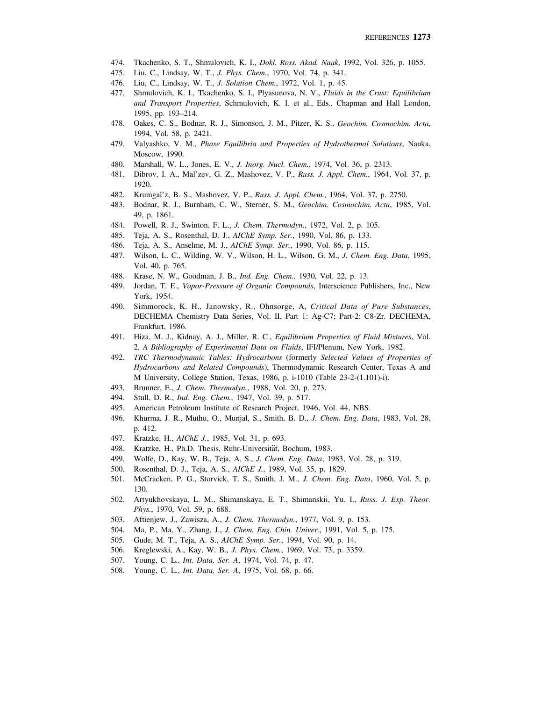- 474. Tkachenko, S. T., Shmulovich, K. I., *Dokl. Ross. Akad. Nauk*, 1992, Vol. 326, p. 1055.
- 475. Liu, C., Lindsay, W. T., *J. Phys. Chem.*, 1970, Vol. 74, p. 341.
- 476. Liu, C., Lindsay, W. T., *J. Solution Chem.*, 1972, Vol. 1, p. 45.
- 477. Shmulovich, K. I., Tkachenko, S. I., Plyasunova, N. V., *Fluids in the Crust: Equilibrium and Transport Properties*, Schmulovich, K. I. et al., Eds., Chapman and Hall London, 1995, pp. 193–214.
- 478. Oakes, C. S., Bodnar, R. J., Simonson, J. M., Pitzer, K. S., *Geochim. Cosmochim. Acta*, 1994, Vol. 58, p. 2421.
- 479. Valyashko, V. M., *Phase Equilibria and Properties of Hydrothermal Solutions*, Nauka, Moscow, 1990.
- 480. Marshall, W. L., Jones, E. V., *J. Inorg. Nucl. Chem.*, 1974, Vol. 36, p. 2313.
- 481. Dibrov, I. A., Mal'zev, G. Z., Mashovez, V. P., *Russ. J. Appl. Chem.*, 1964, Vol. 37, p. 1920.
- 482. Krumgal'z, B. S., Mashovez, V. P., *Russ. J. Appl. Chem.*, 1964, Vol. 37, p. 2750.
- 483. Bodnar, R. J., Burnham, C. W., Sterner, S. M., *Geochim. Cosmochim. Acta*, 1985, Vol. 49, p. 1861.
- 484. Powell, R. J., Swinton, F. L., *J. Chem. Thermodyn.*, 1972, Vol. 2, p. 105.
- 485. Teja, A. S., Rosenthal, D. J., *AIChE Symp. Ser.*, 1990, Vol. 86, p. 133.
- 486. Teja, A. S., Anselme, M. J., *AIChE Symp. Ser.*, 1990, Vol. 86, p. 115.
- 487. Wilson, L. C., Wilding, W. V., Wilson, H. L., Wilson, G. M., *J. Chem. Eng. Data*, 1995, Vol. 40, p. 765.
- 488. Krase, N. W., Goodman, J. B., *Ind. Eng. Chem.*, 1930, Vol. 22, p. 13.
- 489. Jordan, T. E., *Vapor-Pressure of Organic Compounds*, Interscience Publishers, Inc., New York, 1954.
- 490. Simmorock, K. H., Janowsky, R., Ohnsorge, A, *Critical Data of Pure Substances*, DECHEMA Chemistry Data Series, Vol. II, Part 1: Ag-C7; Part-2: C8-Zr. DECHEMA, Frankfurt, 1986.
- 491. Hiza, M. J., Kidnay, A. J., Miller, R. C., *Equilibrium Properties of Fluid Mixtures*, Vol. 2, *A Bibliography of Experimental Data on Fluids*, IFI/Plenum, New York, 1982.
- 492. *TRC Thermodynamic Tables: Hydrocarbons* (formerly *Selected Values of Properties of Hydrocarbons and Related Compounds*), Thermodynamic Research Center, Texas A and M University, College Station, Texas, 1986, p. i-1010 (Table 23-2-(1.101)-i).
- 493. Brunner, E., *J. Chem. Thermodyn.*, 1988, Vol. 20, p. 273.
- 494. Stull, D. R., *Ind. Eng. Chem.*, 1947, Vol. 39, p. 517.
- 495. American Petroleum Institute of Research Project, 1946, Vol. 44, NBS.
- 496. Khurma, J. R., Muthu, O., Munjal, S., Smith, B. D., *J. Chem. Eng. Data*, 1983, Vol. 28, p. 412.
- 497. Kratzke, H., *AIChE J.*, 1985, Vol. 31, p. 693.
- 498. Kratzke, H., Ph.D. Thesis, Ruhr-Universität, Bochum, 1983.
- 499. Wolfe, D., Kay, W. B., Teja, A. S., *J. Chem. Eng. Data*, 1983, Vol. 28, p. 319.
- 500. Rosenthal, D. J., Teja, A. S., *AIChE J.*, 1989, Vol. 35, p. 1829.
- 501. McCracken, P. G., Storvick, T. S., Smith, J. M., *J. Chem. Eng. Data*, 1960, Vol. 5, p. 130.
- 502. Artyukhovskaya, L. M., Shimanskaya, E. T., Shimanskii, Yu. I., *Russ. J. Exp. Theor. Phys.*, 1970, Vol. 59, p. 688.
- 503. Aftienjew, J., Zawisza, A., *J. Chem. Thermodyn.*, 1977, Vol. 9, p. 153.
- 504. Ma, P., Ma, Y., Zhang, J., *J. Chem. Eng. Chin. Univer.*, 1991, Vol. 5, p. 175.
- 505. Gude, M. T., Teja, A. S., *AIChE Symp. Ser.*, 1994, Vol. 90, p. 14.
- 506. Kreglewski, A., Kay, W. B., *J. Phys. Chem.*, 1969, Vol. 73, p. 3359.
- 507. Young, C. L., *Int. Data, Ser. A*, 1974, Vol. 74, p. 47.
- 508. Young, C. L., *Int. Data, Ser. A*, 1975, Vol. 68, p. 66.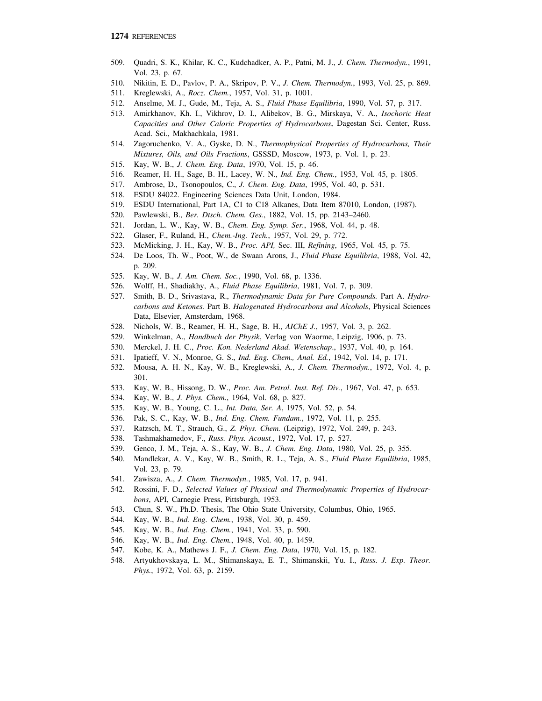- 509. Quadri, S. K., Khilar, K. C., Kudchadker, A. P., Patni, M. J., *J. Chem. Thermodyn.*, 1991, Vol. 23, p. 67.
- 510. Nikitin, E. D., Pavlov, P. A., Skripov, P. V., *J. Chem. Thermodyn.*, 1993, Vol. 25, p. 869.
- 511. Kreglewski, A., *Rocz. Chem.*, 1957, Vol. 31, p. 1001.
- 512. Anselme, M. J., Gude, M., Teja, A. S., *Fluid Phase Equilibria*, 1990, Vol. 57, p. 317.
- 513. Amirkhanov, Kh. I., Vikhrov, D. I., Alibekov, B. G., Mirskaya, V. A., *Isochoric Heat Capacities and Other Caloric Properties of Hydrocarbons*, Dagestan Sci. Center, Russ. Acad. Sci., Makhachkala, 1981.
- 514. Zagoruchenko, V. A., Gyske, D. N., *Thermophysical Properties of Hydrocarbons, Their Mixtures, Oils, and Oils Fractions*, GSSSD, Moscow, 1973, p. Vol. 1, p. 23.
- 515. Kay, W. B., *J. Chem. Eng. Data*, 1970, Vol. 15, p. 46.
- 516. Reamer, H. H., Sage, B. H., Lacey, W. N., *Ind. Eng. Chem.*, 1953, Vol. 45, p. 1805.
- 517. Ambrose, D., Tsonopoulos, C., *J. Chem. Eng. Data*, 1995, Vol. 40, p. 531.
- 518. ESDU 84022. Engineering Sciences Data Unit, London, 1984.
- 519. ESDU International, Part 1A, C1 to C18 Alkanes, Data Item 87010, London, (1987).
- 520. Pawlewski, B., *Ber. Dtsch. Chem. Ges.*, 1882, Vol. 15, pp. 2143–2460.
- 521. Jordan, L. W., Kay, W. B., *Chem. Eng. Symp. Ser.*, 1968, Vol. 44, p. 48.
- 522. Glaser, F., Ruland, H., *Chem.-Ing. Tech.*, 1957, Vol. 29, p. 772.
- 523. McMicking, J. H., Kay, W. B., *Proc. API,* Sec. III, *Refining*, 1965, Vol. 45, p. 75.
- 524. De Loos, Th. W., Poot, W., de Swaan Arons, J., *Fluid Phase Equilibria*, 1988, Vol. 42, p. 209.
- 525. Kay, W. B., *J. Am. Chem. Soc.*, 1990, Vol. 68, p. 1336.
- 526. Wolff, H., Shadiakhy, A., *Fluid Phase Equilibria*, 1981, Vol. 7, p. 309.
- 527. Smith, B. D., Srivastava, R., *Thermodynamic Data for Pure Compounds.* Part A. *Hydrocarbons and Ketones.* Part B. *Halogenated Hydrocarbons and Alcohols*, Physical Sciences Data, Elsevier, Amsterdam, 1968.
- 528. Nichols, W. B., Reamer, H. H., Sage, B. H., *AIChE J.*, 1957, Vol. 3, p. 262.
- 529. Winkelman, A., *Handbuch der Physik*, Verlag von Waorme, Leipzig, 1906, p. 73.
- 530. Merckel, J. H. C., *Proc. Kon. Nederland Akad. Wetenschap*., 1937, Vol. 40, p. 164.
- 531. Ipatieff, V. N., Monroe, G. S., *Ind. Eng. Chem., Anal. Ed.*, 1942, Vol. 14, p. 171.
- 532. Mousa, A. H. N., Kay, W. B., Kreglewski, A., *J. Chem. Thermodyn.*, 1972, Vol. 4, p. 301.
- 533. Kay, W. B., Hissong, D. W., *Proc. Am. Petrol. Inst. Ref. Div.*, 1967, Vol. 47, p. 653.
- 534. Kay, W. B., *J. Phys. Chem.*, 1964, Vol. 68, p. 827.
- 535. Kay, W. B., Young, C. L., *Int. Data, Ser. A*, 1975, Vol. 52, p. 54.
- 536. Pak, S. C., Kay, W. B., *Ind. Eng. Chem. Fundam.*, 1972, Vol. 11, p. 255.
- 537. Ratzsch, M. T., Strauch, G., *Z. Phys. Chem.* (Leipzig), 1972, Vol. 249, p. 243.
- 538. Tashmakhamedov, F., *Russ. Phys. Acoust.*, 1972, Vol. 17, p. 527.
- 539. Genco, J. M., Teja, A. S., Kay, W. B., *J. Chem. Eng. Data*, 1980, Vol. 25, p. 355.
- 540. Mandlekar, A. V., Kay, W. B., Smith, R. L., Teja, A. S., *Fluid Phase Equilibria*, 1985, Vol. 23, p. 79.
- 541. Zawisza, A., *J. Chem. Thermodyn.*, 1985, Vol. 17, p. 941.
- 542. Rossini, F. D., *Selected Values of Physical and Thermodynamic Properties of Hydrocarbons*, API, Carnegie Press, Pittsburgh, 1953.
- 543. Chun, S. W., Ph.D. Thesis, The Ohio State University, Columbus, Ohio, 1965.
- 544. Kay, W. B., *Ind. Eng. Chem.*, 1938, Vol. 30, p. 459.
- 545. Kay, W. B., *Ind. Eng. Chem.*, 1941, Vol. 33, p. 590.
- 546. Kay, W. B., *Ind. Eng. Chem.*, 1948, Vol. 40, p. 1459.
- 547. Kobe, K. A., Mathews J. F., *J. Chem. Eng. Data*, 1970, Vol. 15, p. 182.
- 548. Artyukhovskaya, L. M., Shimanskaya, E. T., Shimanskii, Yu. I., *Russ. J. Exp. Theor. Phys.*, 1972, Vol. 63, p. 2159.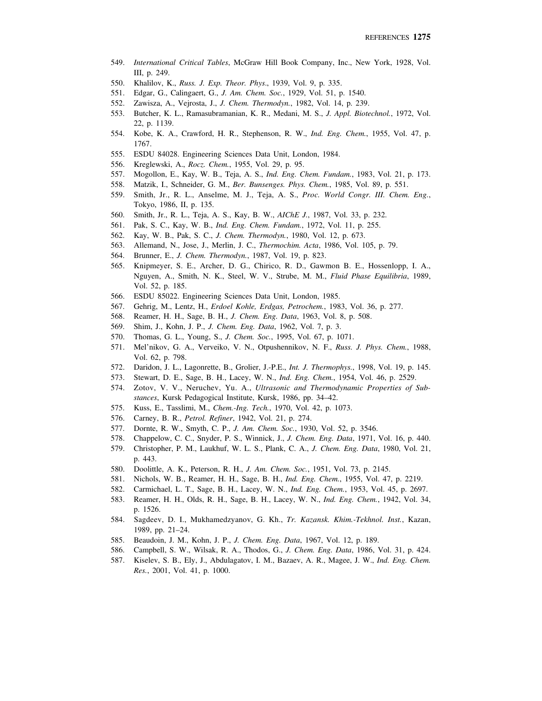- 549. *International Critical Tables*, McGraw Hill Book Company, Inc., New York, 1928, Vol. III, p. 249.
- 550. Khalilov, K., *Russ. J. Exp. Theor. Phys*., 1939, Vol. 9, p. 335.
- 551. Edgar, G., Calingaert, G., *J. Am. Chem. Soc.*, 1929, Vol. 51, p. 1540.
- 552. Zawisza, A., Vejrosta, J., *J. Chem. Thermodyn.*, 1982, Vol. 14, p. 239.
- 553. Butcher, K. L., Ramasubramanian, K. R., Medani, M. S., *J. Appl. Biotechnol.*, 1972, Vol. 22, p. 1139.
- 554. Kobe, K. A., Crawford, H. R., Stephenson, R. W., *Ind. Eng. Chem.*, 1955, Vol. 47, p. 1767.
- 555. ESDU 84028. Engineering Sciences Data Unit, London, 1984.
- 556. Kreglewski, A., *Rocz. Chem.*, 1955, Vol. 29, p. 95.
- 557. Mogollon, E., Kay, W. B., Teja, A. S., *Ind. Eng. Chem. Fundam.*, 1983, Vol. 21, p. 173.
- 558. Matzik, I., Schneider, G. M., *Ber. Bunsenges. Phys. Chem.*, 1985, Vol. 89, p. 551.
- 559. Smith, Jr., R. L., Anselme, M. J., Teja, A. S., *Proc. World Congr. III. Chem. Eng.*, Tokyo, 1986, II, p. 135.
- 560. Smith, Jr., R. L., Teja, A. S., Kay, B. W., *AIChE J.*, 1987, Vol. 33, p. 232.
- 561. Pak, S. C., Kay, W. B., *Ind. Eng. Chem. Fundam.*, 1972, Vol. 11, p. 255.
- 562. Kay, W. B., Pak, S. C., *J. Chem. Thermodyn.*, 1980, Vol. 12, p. 673.
- 563. Allemand, N., Jose, J., Merlin, J. C., *Thermochim. Acta*, 1986, Vol. 105, p. 79.
- 564. Brunner, E., *J. Chem. Thermodyn.*, 1987, Vol. 19, p. 823.
- 565. Knipmeyer, S. E., Archer, D. G., Chirico, R. D., Gawmon B. E., Hossenlopp, I. A., Nguyen, A., Smith, N. K., Steel, W. V., Strube, M. M., *Fluid Phase Equilibria*, 1989, Vol. 52, p. 185.
- 566. ESDU 85022. Engineering Sciences Data Unit, London, 1985.
- 567. Gehrig, M., Lentz, H., *Erdoel Kohle, Erdgas, Petrochem.*, 1983, Vol. 36, p. 277.
- 568. Reamer, H. H., Sage, B. H., *J. Chem. Eng. Data*, 1963, Vol. 8, p. 508.
- 569. Shim, J., Kohn, J. P., *J. Chem. Eng. Data*, 1962, Vol. 7, p. 3.
- 570. Thomas, G. L., Young, S., *J. Chem. Soc.*, 1995, Vol. 67, p. 1071.
- 571. Mel'nikov, G. A., Verveiko, V. N., Otpushennikov, N. F., *Russ. J. Phys. Chem.*, 1988, Vol. 62, p. 798.
- 572. Daridon, J. L., Lagonrette, B., Grolier, J.-P.E., *Int. J. Thermophys.*, 1998, Vol. 19, p. 145.
- 573. Stewart, D. E., Sage, B. H., Lacey, W. N., *Ind. Eng. Chem.*, 1954, Vol. 46, p. 2529.
- 574. Zotov, V. V., Neruchev, Yu. A., *Ultrasonic and Thermodynamic Properties of Substances*, Kursk Pedagogical Institute, Kursk, 1986, pp. 34–42.
- 575. Kuss, E., Tasslimi, M., *Chem.-Ing. Tech.*, 1970, Vol. 42, p. 1073.
- 576. Carney, B. R., *Petrol. Refiner*, 1942, Vol. 21, p. 274.
- 577. Dornte, R. W., Smyth, C. P., *J. Am. Chem. Soc.*, 1930, Vol. 52, p. 3546.
- 578. Chappelow, C. C., Snyder, P. S., Winnick, J., *J. Chem. Eng. Data*, 1971, Vol. 16, p. 440.
- 579. Christopher, P. M., Laukhuf, W. L. S., Plank, C. A., *J. Chem. Eng. Data*, 1980, Vol. 21, p. 443.
- 580. Doolittle, A. K., Peterson, R. H., *J. Am. Chem. Soc.*, 1951, Vol. 73, p. 2145.
- 581. Nichols, W. B., Reamer, H. H., Sage, B. H., *Ind. Eng. Chem.*, 1955, Vol. 47, p. 2219.
- 582. Carmichael, L. T., Sage, B. H., Lacey, W. N., *Ind. Eng. Chem.*, 1953, Vol. 45, p. 2697.
- 583. Reamer, H. H., Olds, R. H., Sage, B. H., Lacey, W. N., *Ind. Eng. Chem.*, 1942, Vol. 34, p. 1526.
- 584. Sagdeev, D. I., Mukhamedzyanov, G. Kh., *Tr. Kazansk. Khim.-Tekhnol. Inst.*, Kazan, 1989, pp. 21–24.
- 585. Beaudoin, J. M., Kohn, J. P., *J. Chem. Eng. Data*, 1967, Vol. 12, p. 189.
- 586. Campbell, S. W., Wilsak, R. A., Thodos, G., *J. Chem. Eng. Data*, 1986, Vol. 31, p. 424.
- 587. Kiselev, S. B., Ely, J., Abdulagatov, I. M., Bazaev, A. R., Magee, J. W., *Ind. Eng. Chem. Res.*, 2001, Vol. 41, p. 1000.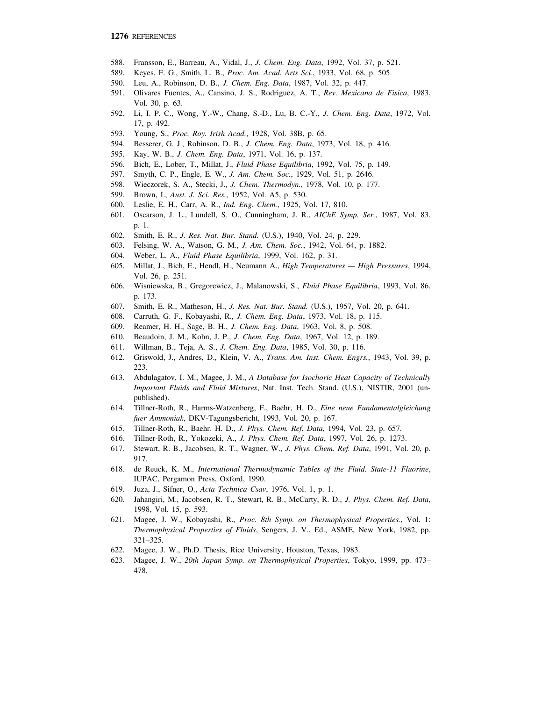- 588. Fransson, E., Barreau, A., Vidal, J., *J. Chem. Eng. Data*, 1992, Vol. 37, p. 521.
- 589. Keyes, F. G., Smith, L. B., *Proc. Am. Acad. Arts Sci*., 1933, Vol. 68, p. 505.
- 590. Leu, A., Robinson, D. B., *J. Chem. Eng. Data*, 1987, Vol. 32, p. 447.
- 591. Olivares Fuentes, A., Cansino, J. S., Rodriguez, A. T., *Rev. Mexicana de Fisica*, 1983, Vol. 30, p. 63.
- 592. Li, I. P. C., Wong, Y.-W., Chang, S.-D., Lu, B. C.-Y., *J. Chem. Eng. Data*, 1972, Vol. 17, p. 492.
- 593. Young, S., *Proc. Roy. Irish Acad.*, 1928, Vol. 38B, p. 65.
- 594. Besserer, G. J., Robinson, D. B., *J. Chem. Eng. Data*, 1973, Vol. 18, p. 416.
- 595. Kay, W. B., *J. Chem. Eng. Data*, 1971, Vol. 16, p. 137.
- 596. Bich, E., Lober, T., Millat, J., *Fluid Phase Equilibria*, 1992, Vol. 75, p. 149.
- 597. Smyth, C. P., Engle, E. W., *J. Am. Chem. Soc.*, 1929, Vol. 51, p. 2646.
- 598. Wieczorek, S. A., Stecki, J., *J. Chem. Thermodyn.*, 1978, Vol. 10, p. 177.
- 599. Brown, I., *Aust. J. Sci. Res.*, 1952, Vol. A5, p. 530.
- 600. Leslie, E. H., Carr, A. R., *Ind. Eng. Chem.*, 1925, Vol. 17, 810.
- 601. Oscarson, J. L., Lundell, S. O., Cunningham, J. R., *AIChE Symp. Ser.*, 1987, Vol. 83, p. 1.
- 602. Smith, E. R., *J. Res. Nat. Bur. Stand.* (U.S.), 1940, Vol. 24, p. 229.
- 603. Felsing, W. A., Watson, G. M., *J. Am. Chem. Soc.*, 1942, Vol. 64, p. 1882.
- 604. Weber, L. A., *Fluid Phase Equilibria*, 1999, Vol. 162, p. 31.
- 605. Millat, J., Bich, E., Hendl, H., Neumann A., *High Temperatures High Pressures*, 1994, Vol. 26, p. 251.
- 606. Wisniewska, B., Gregorewicz, J., Malanowski, S., *Fluid Phase Equilibria*, 1993, Vol. 86, p. 173.
- 607. Smith, E. R., Matheson, H., *J. Res. Nat. Bur. Stand.* (U.S.), 1957, Vol. 20, p. 641.
- 608. Carruth, G. F., Kobayashi, R., *J. Chem. Eng. Data*, 1973, Vol. 18, p. 115.
- 609. Reamer, H. H., Sage, B. H., *J. Chem. Eng. Data*, 1963, Vol. 8, p. 508.
- 610. Beaudoin, J. M., Kohn, J. P., *J. Chem. Eng. Data*, 1967, Vol. 12, p. 189.
- 611. Willman, B., Teja, A. S., *J. Chem. Eng. Data*, 1985, Vol. 30, p. 116.
- 612. Griswold, J., Andres, D., Klein, V. A., *Trans. Am. Inst. Chem. Engrs.*, 1943, Vol. 39, p. 223.
- 613. Abdulagatov, I. M., Magee, J. M., *A Database for Isochoric Heat Capacity of Technically Important Fluids and Fluid Mixtures*, Nat. Inst. Tech. Stand. (U.S.), NISTIR, 2001 (unpublished).
- 614. Tillner-Roth, R., Harms-Watzenberg, F., Baehr, H. D., *Eine neue Fundamentalgleichung fuer Ammoniak*, DKV-Tagungsbericht, 1993, Vol. 20, p. 167.
- 615. Tillner-Roth, R., Baehr. H. D., *J. Phys. Chem. Ref. Data*, 1994, Vol. 23, p. 657.
- 616. Tillner-Roth, R., Yokozeki, A., *J. Phys. Chem. Ref. Data*, 1997, Vol. 26, p. 1273.
- 617. Stewart, R. B., Jacobsen, R. T., Wagner, W., *J. Phys. Chem. Ref. Data*, 1991, Vol. 20, p. 917.
- 618. de Reuck, K. M., *International Thermodynamic Tables of the Fluid. State-11 Fluorine*, IUPAC, Pergamon Press, Oxford, 1990.
- 619. Juza, J., Sifner, O., *Acta Technica Csav*, 1976, Vol. 1, p. 1.
- 620. Jahangiri, M., Jacobsen, R. T., Stewart, R. B., McCarty, R. D., *J. Phys. Chem. Ref. Data*, 1998, Vol. 15, p. 593.
- 621. Magee, J. W., Kobayashi, R., *Proc. 8th Symp. on Thermophysical Properties.*, Vol. 1: *Thermophysical Properties of Fluids*, Sengers, J. V., Ed., ASME, New York, 1982, pp. 321–325.
- 622. Magee, J. W., Ph.D. Thesis, Rice University, Houston, Texas, 1983.
- 623. Magee, J. W., *20th Japan Symp. on Thermophysical Properties*, Tokyo, 1999, pp. 473– 478.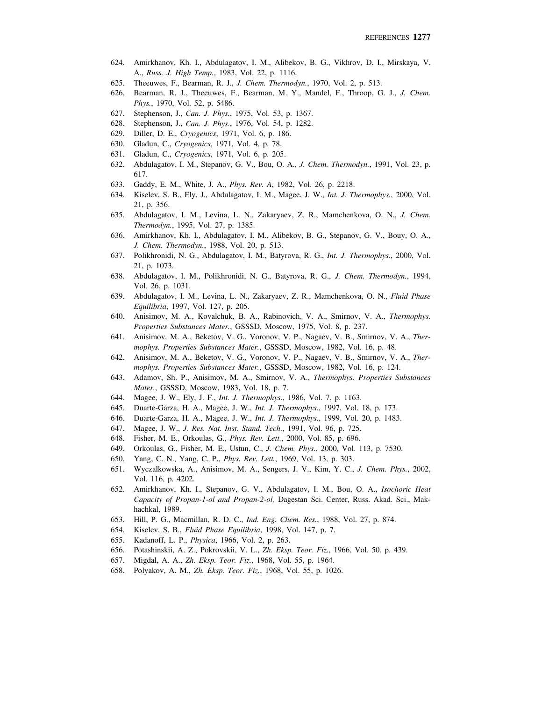- 624. Amirkhanov, Kh. I., Abdulagatov, I. M., Alibekov, B. G., Vikhrov, D. I., Mirskaya, V. A., *Russ. J. High Temp.*, 1983, Vol. 22, p. 1116.
- 625. Theeuwes, F., Bearman, R. J., *J. Chem. Thermodyn.*, 1970, Vol. 2, p. 513.
- 626. Bearman, R. J., Theeuwes, F., Bearman, M. Y., Mandel, F., Throop, G. J., *J. Chem. Phys.*, 1970, Vol. 52, p. 5486.
- 627. Stephenson, J., *Can. J. Phys.*, 1975, Vol. 53, p. 1367.
- 628. Stephenson, J., *Can. J. Phys.*, 1976, Vol. 54, p. 1282.
- 629. Diller, D. E., *Cryogenics*, 1971, Vol. 6, p. 186.
- 630. Gladun, C., *Cryogenics*, 1971, Vol. 4, p. 78.
- 631. Gladun, C., *Cryogenics*, 1971, Vol. 6, p. 205.
- 632. Abdulagatov, I. M., Stepanov, G. V., Bou, O. A., *J. Chem. Thermodyn.*, 1991, Vol. 23, p. 617.
- 633. Gaddy, E. M., White, J. A., *Phys. Rev. A*, 1982, Vol. 26, p. 2218.
- 634. Kiselev, S. B., Ely, J., Abdulagatov, I. M., Magee, J. W., *Int. J. Thermophys.*, 2000, Vol. 21, p. 356.
- 635. Abdulagatov, I. M., Levina, L. N., Zakaryaev, Z. R., Mamchenkova, O. N., *J. Chem. Thermodyn.*, 1995, Vol. 27, p. 1385.
- 636. Amirkhanov, Kh. I., Abdulagatov, I. M., Alibekov, B. G., Stepanov, G. V., Bouy, O. A., *J. Chem. Thermodyn.*, 1988, Vol. 20, p. 513.
- 637. Polikhronidi, N. G., Abdulagatov, I. M., Batyrova, R. G., *Int. J. Thermophys.*, 2000, Vol. 21, p. 1073.
- 638. Abdulagatov, I. M., Polikhronidi, N. G., Batyrova, R. G., *J. Chem. Thermodyn.*, 1994, Vol. 26, p. 1031.
- 639. Abdulagatov, I. M., Levina, L. N., Zakaryaev, Z. R., Mamchenkova, O. N., *Fluid Phase Equilibria*, 1997, Vol. 127, p. 205.
- 640. Anisimov, M. A., Kovalchuk, B. A., Rabinovich, V. A., Smirnov, V. A., *Thermophys. Properties Substances Mater.*, GSSSD, Moscow, 1975, Vol. 8, p. 237.
- 641. Anisimov, M. A., Beketov, V. G., Voronov, V. P., Nagaev, V. B., Smirnov, V. A., *Thermophys. Properties Substances Mater.*, GSSSD, Moscow, 1982, Vol. 16, p. 48.
- 642. Anisimov, M. A., Beketov, V. G., Voronov, V. P., Nagaev, V. B., Smirnov, V. A., *Thermophys. Properties Substances Mater.*, GSSSD, Moscow, 1982, Vol. 16, p. 124.
- 643. Adamov, Sh. P., Anisimov, M. A., Smirnov, V. A., *Thermophys. Properties Substances Mater.*, GSSSD, Moscow, 1983, Vol. 18, p. 7.
- 644. Magee, J. W., Ely, J. F., *Int. J. Thermophys.*, 1986, Vol. 7, p. 1163.
- 645. Duarte-Garza, H. A., Magee, J. W., *Int. J. Thermophys.*, 1997, Vol. 18, p. 173.
- 646. Duarte-Garza, H. A., Magee, J. W., *Int. J. Thermophys.*, 1999, Vol. 20, p. 1483.
- 647. Magee, J. W., *J. Res. Nat. Inst. Stand. Tech.*, 1991, Vol. 96, p. 725.
- 648. Fisher, M. E., Orkoulas, G., *Phys. Rev. Lett.*, 2000, Vol. 85, p. 696.
- 649. Orkoulas, G., Fisher, M. E., Ustun, C., *J. Chem. Phys.*, 2000, Vol. 113, p. 7530.
- 650. Yang, C. N., Yang, C. P., *Phys. Rev. Lett.*, 1969, Vol. 13, p. 303.
- 651. Wyczalkowska, A., Anisimov, M. A., Sengers, J. V., Kim, Y. C., *J. Chem. Phys.*, 2002, Vol. 116, p. 4202.
- 652. Amirkhanov, Kh. I., Stepanov, G. V., Abdulagatov, I. M., Bou, O. A., *Isochoric Heat Capacity of Propan-1-ol and Propan-2-ol,* Dagestan Sci. Center, Russ. Akad. Sci., Makhachkal, 1989.
- 653. Hill, P. G., Macmillan, R. D. C., *Ind. Eng. Chem. Res.*, 1988, Vol. 27, p. 874.
- 654. Kiselev, S. B., *Fluid Phase Equilibria*, 1998, Vol. 147, p. 7.
- 655. Kadanoff, L. P., *Physica*, 1966, Vol. 2, p. 263.
- 656. Potashinskii, A. Z., Pokrovskii, V. L., *Zh. Eksp. Teor. Fiz.*, 1966, Vol. 50, p. 439.
- 657. Migdal, A. A., *Zh. Eksp. Teor. Fiz.*, 1968, Vol. 55, p. 1964.
- 658. Polyakov, A. M., *Zh. Eksp. Teor. Fiz.*, 1968, Vol. 55, p. 1026.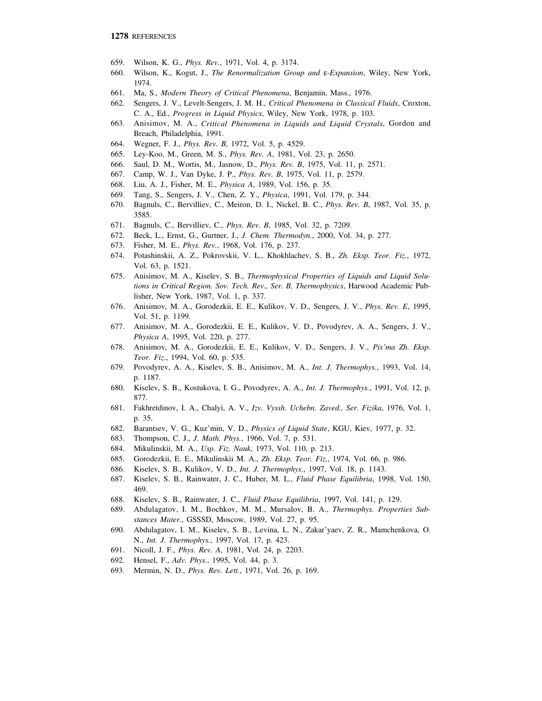- 659. Wilson, K. G., *Phys. Rev.*, 1971, Vol. 4, p. 3174.
- 660. Wilson, K., Kogut, J., *The Renormalization Group and* ε*-Expansion*, Wiley, New York, 1974.
- 661. Ma, S., *Modern Theory of Critical Phenomena*, Benjamin, Mass., 1976.
- 662. Sengers, J. V., Levelt-Sengers, J. M. H., *Critical Phenomena in Classical Fluids*, Croxton, C. A., Ed., *Progress in Liquid Physics*, Wiley, New York, 1978, p. 103.
- 663. Anisimov, M. A., *Critical Phenomena in Liquids and Liquid Crystals*, Gordon and Breach, Philadelphia, 1991.
- 664. Wegner, F. J., *Phys. Rev. B*, 1972, Vol. 5, p. 4529.
- 665. Ley-Koo, M., Green, M. S., *Phys. Rev. A*, 1981, Vol. 23, p. 2650.
- 666. Saul, D. M., Wortis, M., Jasnow, D., *Phys. Rev. B*, 1975, Vol. 11, p. 2571.
- 667. Camp, W. J., Van Dyke, J. P., *Phys. Rev. B*, 1975, Vol. 11, p. 2579.
- 668. Liu, A. J., Fisher, M. E., *Physica A*, 1989, Vol. 156, p. 35.
- 669. Tang, S., Sengers, J. V., Chen, Z. Y., *Physica*, 1991, Vol. 179, p. 344.
- 670. Bagnuls, C., Bervilliev, C., Meiron, D. I., Nickel, B. C., *Phys. Rev. B*, 1987, Vol. 35, p. 3585.
- 671. Bagnuls, C., Bervilliev, C., *Phys. Rev. B*, 1985, Vol. 32, p. 7209.
- 672. Beck, L., Ernst, G., Gurtner, J., *J. Chem. Thermodyn.*, 2000, Vol. 34, p. 277.
- 673. Fisher, M. E., *Phys. Rev.*, 1968, Vol. 176, p. 237.
- 674. Potashinskii, A. Z., Pokrovskii, V. L., Khokhlachev, S. B., *Zh. Eksp. Teor. Fiz.*, 1972, Vol. 63, p. 1521.
- 675. Anisimov, M. A., Kiselev, S. B., *Thermophysical Properties of Liquids and Liquid Solutions in Critical Region. Sov. Tech. Rev., Ser. B, Thermophysics*, Harwood Academic Publisher, New York, 1987, Vol. 1, p. 337.
- 676. Anisimov, M. A., Gorodezkii, E. E., Kulikov, V. D., Sengers, J. V., *Phys. Rev. E*, 1995, Vol. 51, p. 1199.
- 677. Anisimov, M. A., Gorodezkii, E. E., Kulikov, V. D., Povodyrev, A. A., Sengers, J. V., *Physica A*, 1995, Vol. 220, p. 277.
- 678. Anisimov, M. A., Gorodezkii, E. E., Kulikov, V. D., Sengers, J. V., *Pis'ma Zh. Eksp. Teor. Fiz*., 1994, Vol. 60, p. 535.
- 679. Povodyrev, A. A., Kiselev, S. B., Anisimov, M. A., *Int. J. Thermophys.*, 1993, Vol. 14, p. 1187.
- 680. Kiselev, S. B., Kostukova, I. G., Povodyrev, A. A., *Int. J. Thermophys.*, 1991, Vol. 12, p. 877.
- 681. Fakhretdinov, I. A., Chalyi, A. V., *Izv. Vyssh. Uchebn. Zaved., Ser. Fizika*, 1976, Vol. 1, p. 35.
- 682. Barantsev, V. G., Kuz'min, V. D., *Physics of Liquid State*, KGU, Kiev, 1977, p. 32.
- 683. Thompson, C. J., *J. Math. Phys.*, 1966, Vol. 7, p. 531.
- 684. Mikulinskii, M. A., *Usp. Fiz. Nauk*, 1973, Vol. 110, p. 213.
- 685. Gorodezkii, E. E., Mikulinskii M. A., *Zh. Eksp. Teor. Fiz.*, 1974, Vol. 66, p. 986.
- 686. Kiselev, S. B., Kulikov, V. D., *Int. J. Thermophys*., 1997, Vol. 18, p. 1143.
- 687. Kiselev, S. B., Rainwater, J. C., Huber, M. L., *Fluid Phase Equilibria*, 1998, Vol. 150, 469.
- 688. Kiselev, S. B., Rainwater, J. C., *Fluid Phase Equilibria*, 1997, Vol. 141, p. 129.
- 689. Abdulagatov, I. M., Bochkov, M. M., Mursalov, B. A., *Thermophys. Properties Substances Mater.*, GSSSD, Moscow, 1989, Vol. 27, p. 95.
- 690. Abdulagatov, I. M., Kiselev, S. B., Levina, L. N., Zakar'yaev, Z. R., Mamchenkova, O. N., *Int. J. Thermophys.*, 1997, Vol. 17, p. 423.
- 691. Nicoll, J. F., *Phys. Rev. A*, 1981, Vol. 24, p. 2203.
- 692. Hensel, F., *Adv. Phys.*, 1995, Vol. 44, p. 3.
- 693. Mermin, N. D., *Phys. Rev. Lett.*, 1971, Vol. 26, p. 169.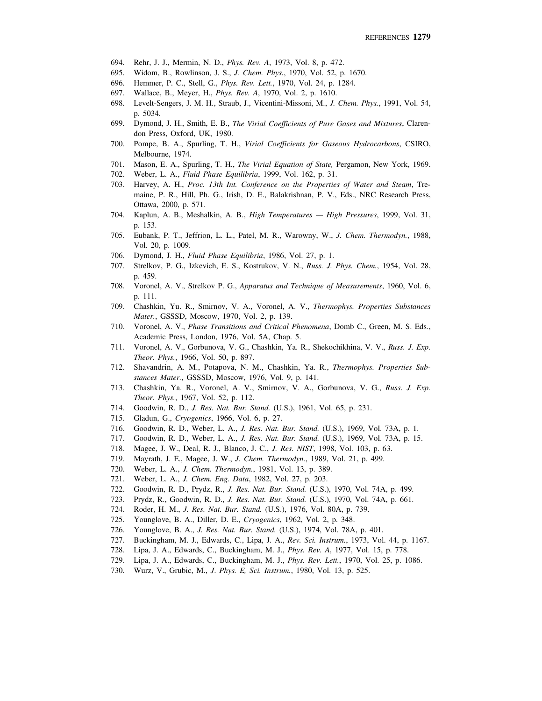- 694. Rehr, J. J., Mermin, N. D., *Phys. Rev. A*, 1973, Vol. 8, p. 472.
- 695. Widom, B., Rowlinson, J. S., *J. Chem. Phys.*, 1970, Vol. 52, p. 1670.
- 696. Hemmer, P. C., Stell, G., *Phys. Rev. Lett.*, 1970, Vol. 24, p. 1284.
- 697. Wallace, B., Meyer, H., *Phys. Rev. A*, 1970, Vol. 2, p. 1610.
- 698. Levelt-Sengers, J. M. H., Straub, J., Vicentini-Missoni, M., *J. Chem. Phys.*, 1991, Vol. 54, p. 5034.
- 699. Dymond, J. H., Smith, E. B., *The Virial Coefficients of Pure Gases and Mixtures*, Clarendon Press, Oxford, UK, 1980.
- 700. Pompe, B. A., Spurling, T. H., *Virial Coefficients for Gaseous Hydrocarbons*, CSIRO, Melbourne, 1974.
- 701. Mason, E. A., Spurling, T. H., *The Virial Equation of State,* Pergamon, New York, 1969.
- 702. Weber, L. A., *Fluid Phase Equilibria*, 1999, Vol. 162, p. 31.
- 703. Harvey, A. H., *Proc. 13th Int. Conference on the Properties of Water and Steam*, Tremaine, P. R., Hill, Ph. G., Irish, D. E., Balakrishnan, P. V., Eds., NRC Research Press, Ottawa, 2000, p. 571.
- 704. Kaplun, A. B., Meshalkin, A. B., *High Temperatures High Pressures*, 1999, Vol. 31, p. 153.
- 705. Eubank, P. T., Jeffrion, L. L., Patel, M. R., Warowny, W., *J. Chem. Thermodyn.*, 1988, Vol. 20, p. 1009.
- 706. Dymond, J. H., *Fluid Phase Equilibria*, 1986, Vol. 27, p. 1.
- 707. Strelkov, P. G., Izkevich, E. S., Kostrukov, V. N., *Russ. J. Phys. Chem.*, 1954, Vol. 28, p. 459.
- 708. Voronel, A. V., Strelkov P. G., *Apparatus and Technique of Measurements*, 1960, Vol. 6, p. 111.
- 709. Chashkin, Yu. R., Smirnov, V. A., Voronel, A. V., *Thermophys. Properties Substances Mater.*, GSSSD, Moscow, 1970, Vol. 2, p. 139.
- 710. Voronel, A. V., *Phase Transitions and Critical Phenomena*, Domb C., Green, M. S. Eds., Academic Press, London, 1976, Vol. 5A, Chap. 5.
- 711. Voronel, A. V., Gorbunova, V. G., Chashkin, Ya. R., Shekochikhina, V. V., *Russ. J. Exp. Theor. Phys.*, 1966, Vol. 50, p. 897.
- 712. Shavandrin, A. M., Potapova, N. M., Chashkin, Ya. R., *Thermophys. Properties Substances Mater.*, GSSSD, Moscow, 1976, Vol. 9, p. 141.
- 713. Chashkin, Ya. R., Voronel, A. V., Smirnov, V. A., Gorbunova, V. G., *Russ. J. Exp. Theor. Phys.*, 1967, Vol. 52, p. 112.
- 714. Goodwin, R. D., *J. Res. Nat. Bur. Stand.* (U.S.), 1961, Vol. 65, p. 231.
- 715. Gladun, G., *Cryogenics*, 1966, Vol. 6, p. 27.
- 716. Goodwin, R. D., Weber, L. A., *J. Res. Nat. Bur. Stand.* (U.S.), 1969, Vol. 73A, p. 1.
- 717. Goodwin, R. D., Weber, L. A., *J. Res. Nat. Bur. Stand.* (U.S.), 1969, Vol. 73A, p. 15.
- 718. Magee, J. W., Deal, R. J., Blanco, J. C., *J. Res. NIST*, 1998, Vol. 103, p. 63.
- 719. Mayrath, J. E., Magee, J. W., *J. Chem. Thermodyn.*, 1989, Vol. 21, p. 499.
- 720. Weber, L. A., *J. Chem. Thermodyn.*, 1981, Vol. 13, p. 389.
- 721. Weber, L. A., *J. Chem. Eng. Data*, 1982, Vol. 27, p. 203.
- 722. Goodwin, R. D., Prydz, R., *J. Res. Nat. Bur. Stand.* (U.S.), 1970, Vol. 74A, p. 499.
- 723. Prydz, R., Goodwin, R. D., *J. Res. Nat. Bur. Stand.* (U.S.), 1970, Vol. 74A, p. 661.
- 724. Roder, H. M., *J. Res. Nat. Bur. Stand.* (U.S.), 1976, Vol. 80A, p. 739.
- 725. Younglove, B. A., Diller, D. E., *Cryogenics*, 1962, Vol. 2, p. 348.
- 726. Younglove, B. A., *J. Res. Nat. Bur. Stand.* (U.S.), 1974, Vol. 78A, p. 401.
- 727. Buckingham, M. J., Edwards, C., Lipa, J. A., *Rev. Sci. Instrum.*, 1973, Vol. 44, p. 1167.
- 728. Lipa, J. A., Edwards, C., Buckingham, M. J., *Phys. Rev. A*, 1977, Vol. 15, p. 778.
- 729. Lipa, J. A., Edwards, C., Buckingham, M. J., *Phys. Rev. Lett.*, 1970, Vol. 25, p. 1086.
- 730. Wurz, V., Grubic, M., *J*. *Phys. E, Sci. Instrum.*, 1980, Vol. 13, p. 525.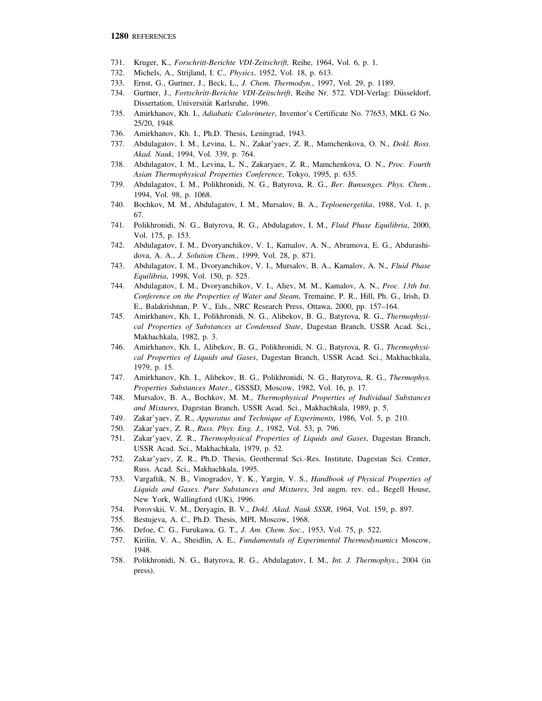- 731. Kruger, K., *Forschritt-Berichte VDI-Zeitschrift,* Reihe, 1964, Vol. 6, p. 1.
- 732. Michels, A., Strijland, I. C., *Physics*, 1952, Vol. 18, p. 613.
- 733. Ernst, G., Gurtner, J., Beck, L., *J. Chem. Thermodyn.*, 1997, Vol. 29, p. 1189.
- 734. Gurtner, J., *Fortschritt-Berichte VDI-Zeitschrift*, Reihe Nr. 572. VDI-Verlag: Düsseldorf, Dissertation, Universität Karlsruhe, 1996.
- 735. Amirkhanov, Kh. I., *Adiabatic Calorimeter*, Inventor's Certificate No. 77653, MKL G No. 25/20, 1948.
- 736. Amirkhanov, Kh. I., Ph.D. Thesis, Leningrad, 1943.
- 737. Abdulagatov, I. M., Levina, L. N., Zakar'yaev, Z. R., Mamchenkova, O. N., *Dokl. Ross. Akad. Nauk*, 1994, Vol. 339, p. 764.
- 738. Abdulagatov, I. M., Levina, L. N., Zakaryaev, Z. R., Mamchenkova, O. N., *Proc. Fourth Asian Thermophysical Properties Conference*, Tokyo, 1995, p. 635.
- 739. Abdulagatov, I. M., Polikhronidi, N. G., Batyrova, R. G., *Ber. Bunsenges. Phys. Chem.*, 1994, Vol. 98, p. 1068.
- 740. Bochkov, M. M., Abdulagatov, I. M., Mursalov, B. A., *Teploenergetika*, 1988, Vol. 1, p. 67.
- 741. Polikhronidi, N. G., Batyrova, R. G., Abdulagatov, I. M., *Fluid Phase Equilibria*, 2000, Vol. 175, p. 153.
- 742. Abdulagatov, I. M., Dvoryanchikov, V. I., Kamalov, A. N., Abramova, E. G., Abdurashidova, A. A., *J. Solution Chem.*, 1999, Vol. 28, p. 871.
- 743. Abdulagatov, I. M., Dvoryanchikov, V. I., Mursalov, B. A., Kamalov, A. N., *Fluid Phase Equilibria*, 1998, Vol. 150, p. 525.
- 744. Abdulagatov, I. M., Dvoryanchikov, V. I., Aliev, M. M., Kamalov, A. N., *Proc. 13th Int. Conference on the Properties of Water and Steam*, Tremaine, P. R., Hill, Ph. G., Irish, D. E., Balakrishnan, P. V., Eds., NRC Research Press, Ottawa, 2000, pp. 157–164.
- 745. Amirkhanov, Kh. I., Polikhronidi, N. G., Alibekov, B. G., Batyrova, R. G., *Thermophysical Properties of Substances at Condensed State*, Dagestan Branch, USSR Acad. Sci., Makhachkala, 1982, p. 3.
- 746. Amirkhanov, Kh. I., Alibekov, B. G., Polikhronidi, N. G., Batyrova, R. G., *Thermophysical Properties of Liquids and Gases*, Dagestan Branch, USSR Acad. Sci., Makhachkala, 1979, p. 15.
- 747. Amirkhanov, Kh. I., Alibekov, B. G., Polikhronidi, N. G., Batyrova, R. G., *Thermophys. Properties Substances Mater.*, GSSSD, Moscow, 1982, Vol. 16, p. 17.
- 748. Mursalov, B. A., Bochkov, M. M., *Thermophysical Properties of Individual Substances and Mixtures*, Dagestan Branch, USSR Acad. Sci., Makhachkala, 1989, p. 5.
- 749. Zakar'yaev, Z. R., *Apparatus and Technique of Experiments*, 1986, Vol. 5, p. 210.
- 750. Zakar'yaev, Z. R., *Russ. Phys. Eng. J.*, 1982, Vol. 53, p. 796.
- 751. Zakar'yaev, Z. R., *Thermophysical Properties of Liquids and Gases*, Dagestan Branch, USSR Acad. Sci., Makhachkala, 1979, p. 52.
- 752. Zakar'yaev, Z. R., Ph.D. Thesis, Geothermal Sci.-Res. Institute, Dagestan Sci. Center, Russ. Acad. Sci., Makhachkala, 1995.
- 753. Vargaftik, N. B., Vinogradov, Y. K., Yargin, V. S., *Handbook of Physical Properties of Liquids and Gases. Pure Substances and Mixtures*, 3rd augm. rev. ed., Begell House, New York, Wallingford (UK), 1996.
- 754. Porovskii, V. M., Deryagin, B. V., *Dokl. Akad. Nauk SSSR*, 1964, Vol. 159, p. 897.
- 755. Bestujeva, A. C., Ph.D. Thesis, MPI, Moscow, 1968.
- 756. Defoe, C. G., Furukawa, G. T., *J. Am. Chem. Soc.*, 1953, Vol. 75, p. 522.
- 757. Kirilin, V. A., Sheidlin, A. E., *Fundamentals of Experimental Thermodynamics* Moscow, 1948.
- 758. Polikhronidi, N. G., Batyrova, R. G., Abdulagatov, I. M., *Int. J. Thermophys.*, 2004 (in press).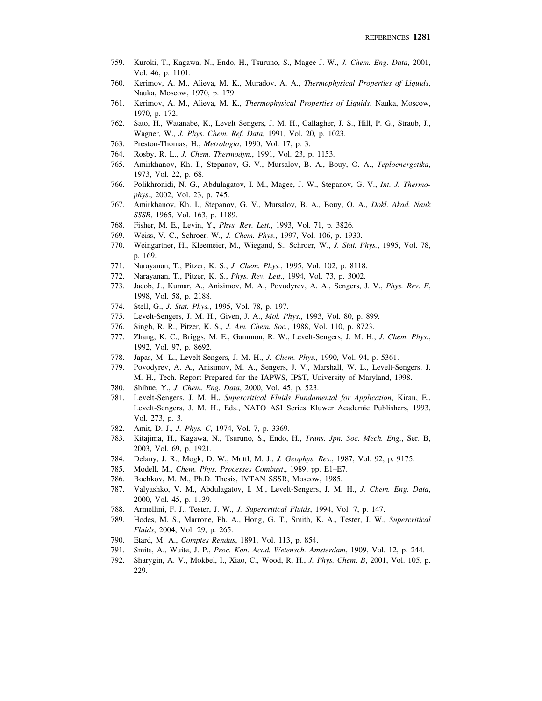- 759. Kuroki, T., Kagawa, N., Endo, H., Tsuruno, S., Magee J. W., *J. Chem. Eng. Data*, 2001, Vol. 46, p. 1101.
- 760. Kerimov, A. M., Alieva, M. K., Muradov, A. A., *Thermophysical Properties of Liquids*, Nauka, Moscow, 1970, p. 179.
- 761. Kerimov, A. M., Alieva, M. K., *Thermophysical Properties of Liquids*, Nauka, Moscow, 1970, p. 172.
- 762. Sato, H., Watanabe, K., Levelt Sengers, J. M. H., Gallagher, J. S., Hill, P. G., Straub, J., Wagner, W., *J. Phys. Chem. Ref. Data*, 1991, Vol. 20, p. 1023.
- 763. Preston-Thomas, H., *Metrologia*, 1990, Vol. 17, p. 3.
- 764. Rosby, R. L., *J. Chem. Thermodyn.*, 1991, Vol. 23, p. 1153.
- 765. Amirkhanov, Kh. I., Stepanov, G. V., Mursalov, B. A., Bouy, O. A., *Teploenergetika*, 1973, Vol. 22, p. 68.
- 766. Polikhronidi, N. G., Abdulagatov, I. M., Magee, J. W., Stepanov, G. V., *Int. J. Thermophys.*, 2002, Vol. 23, p. 745.
- 767. Amirkhanov, Kh. I., Stepanov, G. V., Mursalov, B. A., Bouy, O. A., *Dokl. Akad. Nauk SSSR*, 1965, Vol. 163, p. 1189.
- 768. Fisher, M. E., Levin, Y., *Phys. Rev. Lett.*, 1993, Vol. 71, p. 3826.
- 769. Weiss, V. C., Schroer, W., *J. Chem. Phys.*, 1997, Vol. 106, p. 1930.
- 770. Weingartner, H., Kleemeier, M., Wiegand, S., Schroer, W., *J. Stat. Phys.*, 1995, Vol. 78, p. 169.
- 771. Narayanan, T., Pitzer, K. S., *J. Chem. Phys.*, 1995, Vol. 102, p. 8118.
- 772. Narayanan, T., Pitzer, K. S., *Phys. Rev. Lett.*, 1994, Vol. 73, p. 3002.
- 773. Jacob, J., Kumar, A., Anisimov, M. A., Povodyrev, A. A., Sengers, J. V., *Phys. Rev. E*, 1998, Vol. 58, p. 2188.
- 774. Stell, G., *J. Stat. Phys.*, 1995, Vol. 78, p. 197.
- 775. Levelt-Sengers, J. M. H., Given, J. A., *Mol. Phys.*, 1993, Vol. 80, p. 899.
- 776. Singh, R. R., Pitzer, K. S., *J. Am. Chem. Soc.*, 1988, Vol. 110, p. 8723.
- 777. Zhang, K. C., Briggs, M. E., Gammon, R. W., Levelt-Sengers, J. M. H., *J. Chem. Phys.*, 1992, Vol. 97, p. 8692.
- 778. Japas, M. L., Levelt-Sengers, J. M. H., *J. Chem. Phys.*, 1990, Vol. 94, p. 5361.
- 779. Povodyrev, A. A., Anisimov, M. A., Sengers, J. V., Marshall, W. L., Levelt-Sengers, J. M. H., Tech. Report Prepared for the IAPWS, IPST, University of Maryland, 1998.
- 780. Shibue, Y., *J. Chem. Eng. Data*, 2000, Vol. 45, p. 523.
- 781. Levelt-Sengers, J. M. H., *Supercritical Fluids Fundamental for Application*, Kiran, E., Levelt-Sengers, J. M. H., Eds., NATO ASI Series Kluwer Academic Publishers, 1993, Vol. 273, p. 3.
- 782. Amit, D. J., *J. Phys. C*, 1974, Vol. 7, p. 3369.
- 783. Kitajima, H., Kagawa, N., Tsuruno, S., Endo, H., *Trans. Jpn. Soc. Mech. Eng.*, Ser. B, 2003, Vol. 69, p. 1921.
- 784. Delany, J. R., Mogk, D. W., Mottl, M. J., *J. Geophys. Res.*, 1987, Vol. 92, p. 9175.
- 785. Modell, M., *Chem. Phys. Processes Combust*., 1989, pp. E1–E7.
- 786. Bochkov, M. M., Ph.D. Thesis, IVTAN SSSR, Moscow, 1985.
- 787. Valyashko, V. M., Abdulagatov, I. M., Levelt-Sengers, J. M. H., *J. Chem. Eng. Data*, 2000, Vol. 45, p. 1139.
- 788. Armellini, F. J., Tester, J. W., *J. Supercritical Fluids*, 1994, Vol. 7, p. 147.
- 789. Hodes, M. S., Marrone, Ph. A., Hong, G. T., Smith, K. A., Tester, J. W., *Supercritical Fluids*, 2004, Vol. 29, p. 265.
- 790. Etard, M. A., *Comptes Rendus*, 1891, Vol. 113, p. 854.
- 791. Smits, A., Wuite, J. P., *Proc. Kon. Acad. Wetensch. Amsterdam*, 1909, Vol. 12, p. 244.
- 792. Sharygin, A. V., Mokbel, I., Xiao, C., Wood, R. H., *J. Phys. Chem. B*, 2001, Vol. 105, p. 229.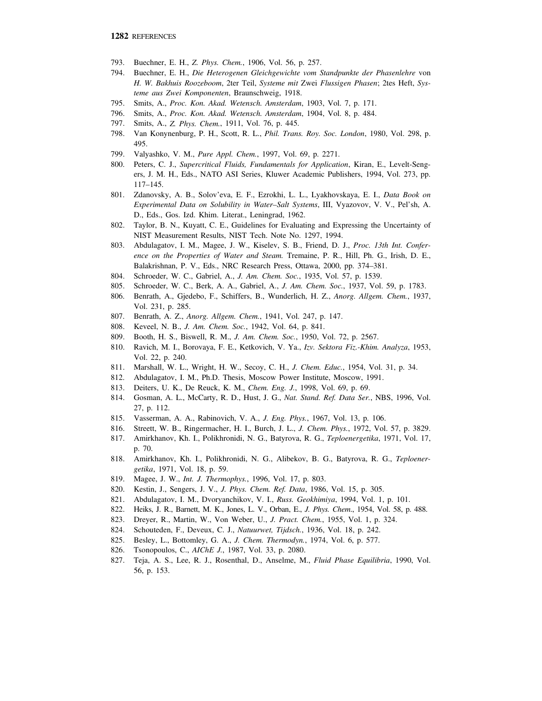- 793. Buechner, E. H., *Z. Phys. Chem.*, 1906, Vol. 56, p. 257.
- 794. Buechner, E. H., *Die Heterogenen Gleichgewichte vom Standpunkte der Phasenlehre* von *H. W. Bakhuis Roozeboom*, 2ter Teil, *Systeme mit* Zwei *Flussigen Phasen*; 2tes Heft, *Systeme aus Zwei Komponenten*, Braunschweig, 1918.
- 795. Smits, A., *Proc. Kon. Akad. Wetensch. Amsterdam*, 1903, Vol. 7, p. 171.
- 796. Smits, A., *Proc. Kon. Akad. Wetensch. Amsterdam*, 1904, Vol. 8, p. 484.
- 797. Smits, A., *Z. Phys. Chem.*, 1911, Vol. 76, p. 445.
- 798. Van Konynenburg, P. H., Scott, R. L., *Phil. Trans. Roy. Soc. London*, 1980, Vol. 298, p. 495.
- 799. Valyashko, V. M., *Pure Appl. Chem.*, 1997, Vol. 69, p. 2271.
- 800. Peters, C. J., *Supercritical Fluids, Fundamentals for Application*, Kiran, E., Levelt-Sengers, J. M. H., Eds., NATO ASI Series, Kluwer Academic Publishers, 1994, Vol. 273, pp. 117–145.
- 801. Zdanovsky, A. B., Solov'eva, E. F., Ezrokhi, L. L., Lyakhovskaya, E. I., *Data Book on Experimental Data on Solubility in Water–Salt Systems*, III, Vyazovov, V. V., Pel'sh, A. D., Eds., Gos. Izd. Khim. Literat., Leningrad, 1962.
- 802. Taylor, B. N., Kuyatt, C. E., Guidelines for Evaluating and Expressing the Uncertainty of NIST Measurement Results, NIST Tech. Note No. 1297, 1994.
- 803. Abdulagatov, I. M., Magee, J. W., Kiselev, S. B., Friend, D. J., *Proc. 13th Int. Conference on the Properties of Water and Steam.* Tremaine, P. R., Hill, Ph. G., Irish, D. E., Balakrishnan, P. V., Eds., NRC Research Press, Ottawa, 2000, pp. 374–381.
- 804. Schroeder, W. C., Gabriel, A., *J. Am. Chem. Soc.*, 1935, Vol. 57, p. 1539.
- 805. Schroeder, W. C., Berk, A. A., Gabriel, A., *J. Am. Chem. Soc.*, 1937, Vol. 59, p. 1783.
- 806. Benrath, A., Gjedebo, F., Schiffers, B., Wunderlich, H. Z., *Anorg. Allgem. Chem.*, 1937, Vol. 231, p. 285.
- 807. Benrath, A. Z., *Anorg. Allgem. Chem.*, 1941, Vol. 247, p. 147.
- 808. Keveel, N. B., *J. Am. Chem. Soc.*, 1942, Vol. 64, p. 841.
- 809. Booth, H. S., Biswell, R. M., *J. Am. Chem. Soc.*, 1950, Vol. 72, p. 2567.
- 810. Ravich, M. I., Borovaya, F. E., Ketkovich, V. Ya., *Izv. Sektora Fiz.-Khim. Analyza*, 1953, Vol. 22, p. 240.
- 811. Marshall, W. L., Wright, H. W., Secoy, C. H., *J. Chem. Educ.*, 1954, Vol. 31, p. 34.
- 812. Abdulagatov, I. M., Ph.D. Thesis, Moscow Power Institute, Moscow, 1991.
- 813. Deiters, U. K., De Reuck, K. M., *Chem. Eng. J.*, 1998, Vol. 69, p. 69.
- 814. Gosman, A. L., McCarty, R. D., Hust, J. G., *Nat. Stand. Ref. Data Ser.*, NBS, 1996, Vol. 27, p. 112.
- 815. Vasserman, A. A., Rabinovich, V. A., *J. Eng. Phys.*, 1967, Vol. 13, p. 106.
- 816. Streett, W. B., Ringermacher, H. I., Burch, J. L., *J. Chem. Phys.*, 1972, Vol. 57, p. 3829.
- 817. Amirkhanov, Kh. I., Polikhronidi, N. G., Batyrova, R. G., *Teploenergetika*, 1971, Vol. 17, p. 70.
- 818. Amirkhanov, Kh. I., Polikhronidi, N. G., Alibekov, B. G., Batyrova, R. G., *Teploenergetika*, 1971, Vol. 18, p. 59.
- 819. Magee, J. W., *Int. J. Thermophys.*, 1996, Vol. 17, p. 803.
- 820. Kestin, J., Sengers, J. V., *J. Phys. Chem. Ref. Data*, 1986, Vol. 15, p. 305.
- 821. Abdulagatov, I. M., Dvoryanchikov, V. I., *Russ. Geokhimiya*, 1994, Vol. 1, p. 101.
- 822. Heiks, J. R., Barnett, M. K., Jones, L. V., Orban, E., *J. Phys. Chem*., 1954, Vol. 58, p. 488.
- 823. Dreyer, R., Martin, W., Von Weber, U., *J. Pract. Chem.*, 1955, Vol. 1, p. 324.
- 824. Schouteden, F., Deveux, C. J., *Natuurwet, Tijdsch.*, 1936, Vol. 18, p. 242.
- 825. Besley, L., Bottomley, G. A., *J. Chem. Thermodyn.*, 1974, Vol. 6, p. 577.
- 826. Tsonopoulos, C., *AIChE J.*, 1987, Vol. 33, p. 2080.
- 827. Teja, A. S., Lee, R. J., Rosenthal, D., Anselme, M., *Fluid Phase Equilibria*, 1990, Vol. 56, p. 153.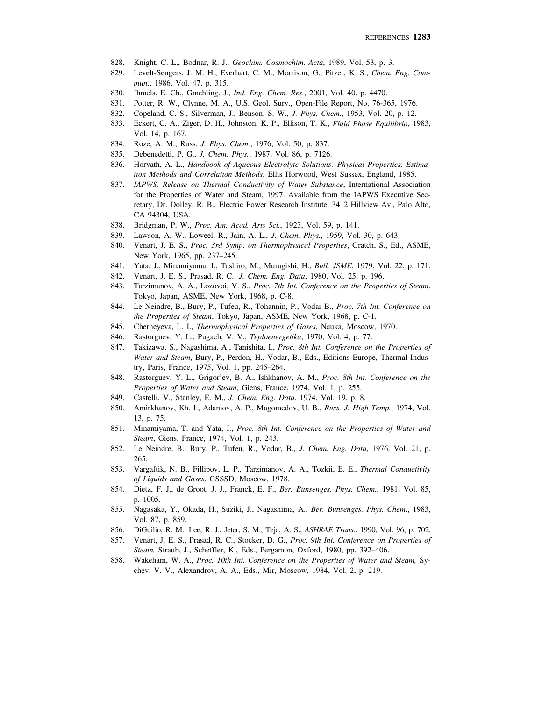- 828. Knight, C. L., Bodnar, R. J., *Geochim. Cosmochim. Acta*, 1989, Vol. 53, p. 3.
- 829. Levelt-Sengers, J. M. H., Everhart, C. M., Morrison, G., Pitzer, K. S., *Chem. Eng. Commun.*, 1986, Vol. 47, p. 315.
- 830. Ihmels, E. Ch., Gmehling, J., *Ind. Eng. Chem. Res.*, 2001, Vol. 40, p. 4470.
- 831. Potter, R. W., Clynne, M. A., U.S. Geol. Surv., Open-File Report, No. 76-365, 1976.
- 832. Copeland, C. S., Silverman, J., Benson, S. W., *J. Phys. Chem.*, 1953, Vol. 20, p. 12.
- 833. Eckert, C. A., Ziger, D. H., Johnston, K. P., Ellison, T. K., *Fluid Phase Equilibria*, 1983, Vol. 14, p. 167.
- 834. Roze, A. M., Russ. *J. Phys. Chem.*, 1976, Vol. 50, p. 837.
- 835. Debenedetti, P. G., *J. Chem. Phys.*, 1987, Vol. 86, p. 7126.
- 836. Horvath, A. L., *Handbook of Aqueous Electrolyte Solutions: Physical Properties, Estimation Methods and Correlation Methods*, Ellis Horwood, West Sussex, England, 1985.
- 837. *IAPWS. Release on Thermal Conductivity of Water Substance*, International Association for the Properties of Water and Steam, 1997. Available from the IAPWS Executive Secretary, Dr. Dolley, R. B., Electric Power Research Institute, 3412 Hillview Av., Palo Alto, CA 94304, USA.
- 838. Bridgman, P. W., *Proc. Am. Acad. Arts Sci.*, 1923, Vol. 59, p. 141.
- 839. Lawson, A. W., Loweel, R., Jain, A. L., *J. Chem. Phys.*, 1959, Vol. 30, p. 643.
- 840. Venart, J. E. S., *Proc. 3rd Symp. on Thermophysical Properties*, Gratch, S., Ed., ASME, New York, 1965, pp. 237–245.
- 841. Yata, J., Minamiyama, I., Tashiro, M., Muragishi, H., *Bull. JSME*, 1979, Vol. 22, p. 171.
- 842. Venart, J. E. S., Prasad, R. C., *J. Chem. Eng. Data*, 1980, Vol. 25, p. 196.
- 843. Tarzimanov, A. A., Lozovoi, V. S., *Proc. 7th Int. Conference on the Properties of Steam*, Tokyo, Japan, ASME, New York, 1968, p. C-8.
- 844. Le Neindre, B., Bury, P., Tufeu, R., Tohannin, P., Vodar B., *Proc. 7th Int. Conference on the Properties of Steam*, Tokyo, Japan, ASME, New York, 1968, p. C-1.
- 845. Cherneyeva, L. I., *Thermophysical Properties of Gases*, Nauka, Moscow, 1970.
- 846. Rastorguev, Y. L., Pugach, V. V., *Teploenergetika*, 1970, Vol. 4, p. 77.
- 847. Takizawa, S., Nagashima, A., Tanishita, I., *Proc. 8th Int. Conference on the Properties of Water and Steam*, Bury, P., Perdon, H., Vodar, B., Eds., Editions Europe, Thermal Industry, Paris, France, 1975, Vol. 1, pp. 245–264.
- 848. Rastorguev, Y. L., Grigor'ev, B. A., Ishkhanov, A. M., *Proc. 8th Int. Conference on the Properties of Water and Steam*, Giens, France, 1974, Vol. 1, p. 255.
- 849. Castelli, V., Stanley, E. M., *J. Chem. Eng. Data*, 1974, Vol. 19, p. 8.
- 850. Amirkhanov, Kh. I., Adamov, A. P., Magomedov, U. B., *Russ. J. High Temp.*, 1974, Vol. 13, p. 75.
- 851. Minamiyama, T. and Yata, I., *Proc. 8th Int. Conference on the Properties of Water and Steam*, Giens, France, 1974, Vol. 1, p. 243.
- 852. Le Neindre, B., Bury, P., Tufeu, R., Vodar, B., *J. Chem. Eng. Data*, 1976, Vol. 21, p. 265.
- 853. Vargaftik, N. B., Fillipov, L. P., Tarzimanov, A. A., Tozkii, E. E., *Thermal Conductivity of Liquids and Gases*, GSSSD, Moscow, 1978.
- 854. Dietz, F. J., de Groot, J. J., Franck, E. F., *Ber. Bunsenges. Phys. Chem.*, 1981, Vol. 85, p. 1005.
- 855. Nagasaka, Y., Okada, H., Suziki, J., Nagashima, A., *Ber. Bunsenges. Phys. Chem.*, 1983, Vol. 87, p. 859.
- 856. DiGuilio, R. M., Lee, R. J., Jeter, S. M., Teja, A. S., *ASHRAE Trans*., 1990, Vol. 96, p. 702.
- 857. Venart, J. E. S., Prasad, R. C., Stocker, D. G., *Proc. 9th Int. Conference on Properties of Steam,* Straub, J., Scheffler, K., Eds., Pergamon, Oxford, 1980, pp. 392–406.
- 858. Wakeham, W. A., *Proc. 10th Int. Conference on the Properties of Water and Steam,* Sychev, V. V., Alexandrov, A. A., Eds., Mir, Moscow, 1984, Vol. 2, p. 219.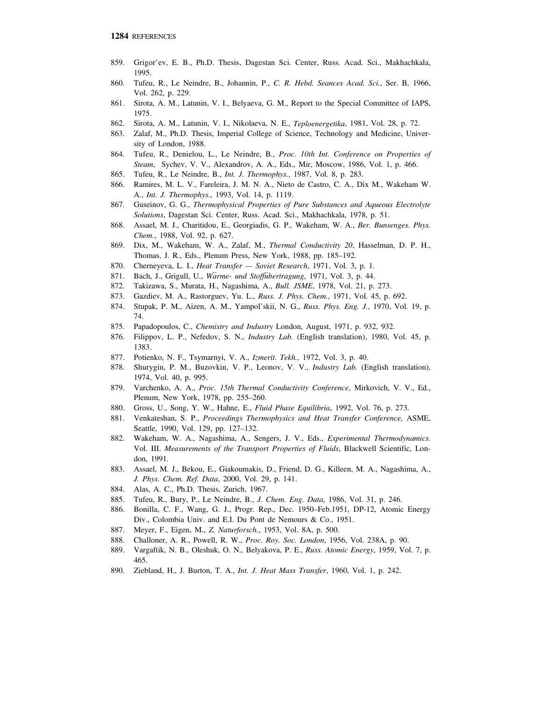- 859. Grigor'ev, E. B., Ph.D. Thesis, Dagestan Sci. Center, Russ. Acad. Sci., Makhachkala, 1995.
- 860. Tufeu, R., Le Neindre, B., Johannin, P., *C. R. Hebd. Seances Acad. Sci.*, Ser. B, 1966, Vol. 262, p. 229.
- 861. Sirota, A. M., Latunin, V. I., Belyaeva, G. M., Report to the Special Committee of IAPS, 1975.
- 862. Sirota, A. M., Latunin, V. I., Nikolaeva, N. E., *Teploenergetika*, 1981, Vol. 28, p. 72.
- 863. Zalaf, M., Ph.D. Thesis, Imperial College of Science, Technology and Medicine, University of London, 1988.
- 864. Tufeu, R., Denielou, L., Le Neindre, B., *Proc. 10th Int. Conference on Properties of Steam*, Sychev, V. V., Alexandrov, A. A., Eds., Mir, Moscow, 1986, Vol. 1, p. 466.
- 865. Tufeu, R., Le Neindre, B., *Int. J. Thermophys.*, 1987, Vol. 8, p. 283.
- 866. Ramires, M. L. V., Fareleira, J. M. N. A., Nieto de Castro, C. A., Dix M., Wakeham W. A., *Int. J. Thermophys.*, 1993, Vol. 14, p. 1119.
- 867. Guseinov, G. G., *Thermophysical Properties of Pure Substances and Aqueous Electrolyte Solutions*, Dagestan Sci. Center, Russ. Acad. Sci., Makhachkala, 1978, p. 51.
- 868. Assael, M. J., Charitidou, E., Georgiadis, G. P., Wakeham, W. A., *Ber. Bunsenges. Phys. Chem.*, 1988, Vol. 92, p. 627.
- 869. Dix, M., Wakeham, W. A., Zalaf, M., *Thermal Conductivity 20*, Hasselman, D. P. H., Thomas, J. R., Eds., Plenum Press, New York, 1988, pp. 185–192.
- 870. Cherneyeva, L. I., *Heat Transfer Soviet Research*, 1971, Vol. 3, p. 1.
- 871. Bach, J., Grigull, U., Warme- und Stoffubertragung, 1971, Vol. 3, p. 44.
- 872. Takizawa, S., Murata, H., Nagashima, A., *Bull. JSME*, 1978, Vol. 21, p. 273.
- 873. Gazdiev, M. A., Rastorguev, Yu. L., *Russ. J. Phys. Chem.*, 1971, Vol. 45, p. 692.
- 874. Stupak, P. M., Aizen, A. M., Yampol'skii, N. G., *Russ. Phys. Eng. J.*, 1970, Vol. 19, p. 74.
- 875. Papadopoulos, C., *Chemistry and Industry* London, August, 1971, p. 932, 932.
- 876. Filippov, L. P., Nefedov, S. N., *Industry Lab.* (English translation), 1980, Vol. 45, p. 1383.
- 877. Potienko, N. F., Tsymarnyi, V. A., *Izmerit. Tekh.*, 1972, Vol. 3, p. 40.
- 878. Shurygin, P. M., Buzovkin, V. P., Leonov, V. V., *Industry Lab.* (English translation), 1974, Vol. 40, p. 995.
- 879. Varchenko, A. A., *Proc. 15th Thermal Conductivity Conference*, Mirkovich, V. V., Ed., Plenum, New York, 1978, pp. 255–260.
- 880. Gross, U., Song, Y. W., Hahne, E., *Fluid Phase Equilibria*, 1992, Vol. 76, p. 273.
- 881. Venkateshan, S. P., *Proceedings Thermophysics and Heat Transfer Conference,* ASME, Seattle, 1990, Vol. 129, pp. 127–132.
- 882. Wakeham, W. A., Nagashima, A., Sengers, J. V., Eds., *Experimental Thermodynamics.* Vol. III. *Measurements of the Transport Properties of Fluids*, Blackwell Scientific, London, 1991.
- 883. Assael, M. J., Bekou, E., Giakoumakis, D., Friend, D. G., Killeen, M. A., Nagashima, A., *J. Phys. Chem. Ref. Data*, 2000, Vol. 29, p. 141.
- 884. Alas, A. C., Ph.D. Thesis, Zurich, 1967.
- 885. Tufeu, R., Bury, P., Le Neindre, B., *J. Chem. Eng. Data*, 1986, Vol. 31, p. 246.
- 886. Bonilla, C. F., Wang, G. J., Progr. Rep., Dec. 1950–Feb.1951, DP-12, Atomic Energy Div., Colombia Univ. and E.I. Du Pont de Nemours & Co., 1951.
- 887. Meyer, F., Eigen, M., *Z. Naturforsch.*, 1953, Vol. 8A, p. 500.
- 888. Challoner, A. R., Powell, R. W., *Proc. Roy. Soc. London*, 1956, Vol. 238A, p. 90.
- 889. Vargaftik, N. B., Oleshuk, O. N., Belyakova, P. E., *Russ. Atomic Energy*, 1959, Vol. 7, p. 465.
- 890. Ziebland, H., J. Burton, T. A., *Int. J. Heat Mass Transfer*, 1960, Vol. 1, p. 242.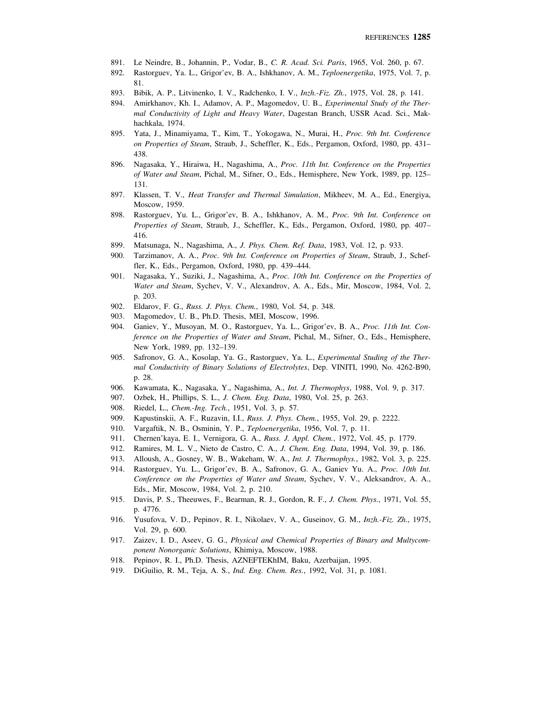- 891. Le Neindre, B., Johannin, P., Vodar, B., *C. R. Acad. Sci. Paris*, 1965, Vol. 260, p. 67.
- 892. Rastorguev, Ya. L., Grigor'ev, B. A., Ishkhanov, A. M., *Teploenergetika*, 1975, Vol. 7, p. 81.
- 893. Bibik, A. P., Litvinenko, I. V., Radchenko, I. V., *Inzh.-Fiz. Zh.*, 1975, Vol. 28, p. 141.
- 894. Amirkhanov, Kh. I., Adamov, A. P., Magomedov, U. B., *Experimental Study of the Thermal Conductivity of Light and Heavy Water*, Dagestan Branch, USSR Acad. Sci., Makhachkala, 1974.
- 895. Yata, J., Minamiyama, T., Kim, T., Yokogawa, N., Murai, H., *Proc. 9th Int. Conference on Properties of Steam*, Straub, J., Scheffler, K., Eds., Pergamon, Oxford, 1980, pp. 431– 438.
- 896. Nagasaka, Y., Hiraiwa, H., Nagashima, A., *Proc. 11th Int. Conference on the Properties of Water and Steam*, Pichal, M., Sifner, O., Eds., Hemisphere, New York, 1989, pp. 125– 131.
- 897. Klassen, T. V., *Heat Transfer and Thermal Simulation*, Mikheev, M. A., Ed., Energiya, Moscow, 1959.
- 898. Rastorguev, Yu. L., Grigor'ev, B. A., Ishkhanov, A. M., *Proc. 9th Int. Conference on Properties of Steam*, Straub, J., Scheffler, K., Eds., Pergamon, Oxford, 1980, pp. 407– 416.
- 899. Matsunaga, N., Nagashima, A., *J. Phys. Chem. Ref. Data*, 1983, Vol. 12, p. 933.
- 900. Tarzimanov, A. A., *Proc. 9th Int. Conference on Properties of Steam*, Straub, J., Scheffler, K., Eds., Pergamon, Oxford, 1980, pp. 439–444.
- 901. Nagasaka, Y., Suziki, J., Nagashima, A., *Proc. 10th Int. Conference on the Properties of Water and Steam*, Sychev, V. V., Alexandrov, A. A., Eds., Mir, Moscow, 1984, Vol. 2, p. 203.
- 902. Eldarov, F. G., *Russ. J. Phys. Chem.*, 1980, Vol. 54, p. 348.
- 903. Magomedov, U. B., Ph.D. Thesis, MEI, Moscow, 1996.
- 904. Ganiev, Y., Musoyan, M. O., Rastorguev, Ya. L., Grigor'ev, B. A., *Proc. 11th Int. Conference on the Properties of Water and Steam*, Pichal, M., Sifner, O., Eds., Hemisphere, New York, 1989, pp. 132–139.
- 905. Safronov, G. A., Kosolap, Ya. G., Rastorguev, Ya. L., *Experimental Studing of the Thermal Conductivity of Binary Solutions of Electrolytes*, Dep. VINITI, 1990, No. 4262-B90, p. 28.
- 906. Kawamata, K., Nagasaka, Y., Nagashima, A., *Int. J. Thermophys*, 1988, Vol. 9, p. 317.
- 907. Ozbek, H., Phillips, S. L., *J. Chem. Eng. Data*, 1980, Vol. 25, p. 263.
- 908. Riedel, L., *Chem.-Ing. Tech.*, 1951, Vol. 3, p. 57.
- 909. Kapustinskii, A. F., Ruzavin, I.I., *Russ. J. Phys. Chem.*, 1955, Vol. 29, p. 2222.
- 910. Vargaftik, N. B., Osminin, Y. P., *Teploenergetika*, 1956, Vol. 7, p. 11.
- 911. Chernen'kaya, E. I., Vernigora, G. A., *Russ. J. Appl. Chem.*, 1972, Vol. 45, p. 1779.
- 912. Ramires, M. L. V., Nieto de Castro, C. A., *J. Chem. Eng. Data*, 1994, Vol. 39, p. 186.
- 913. Alloush, A., Gosney, W. B., Wakeham, W. A., *Int. J. Thermophys.*, 1982, Vol. 3, p. 225.
- 914. Rastorguev, Yu. L., Grigor'ev, B. A., Safronov, G. A., Ganiev Yu. A., *Proc. 10th Int. Conference on the Properties of Water and Steam*, Sychev, V. V., Aleksandrov, A. A., Eds., Mir, Moscow, 1984, Vol. 2, p. 210.
- 915. Davis, P. S., Theeuwes, F., Bearman, R. J., Gordon, R. F., *J. Chem. Phys.*, 1971, Vol. 55, p. 4776.
- 916. Yusufova, V. D., Pepinov, R. I., Nikolaev, V. A., Guseinov, G. M., *Inzh.-Fiz. Zh.*, 1975, Vol. 29, p. 600.
- 917. Zaizev, I. D., Aseev, G. G., *Physical and Chemical Properties of Binary and Multycomponent Nonorganic Solutions*, Khimiya, Moscow, 1988.
- 918. Pepinov, R. I., Ph.D. Thesis, AZNEFTEKhIM, Baku, Azerbaijan, 1995.
- 919. DiGuilio, R. M., Teja, A. S., *Ind. Eng. Chem. Res.*, 1992, Vol. 31, p. 1081.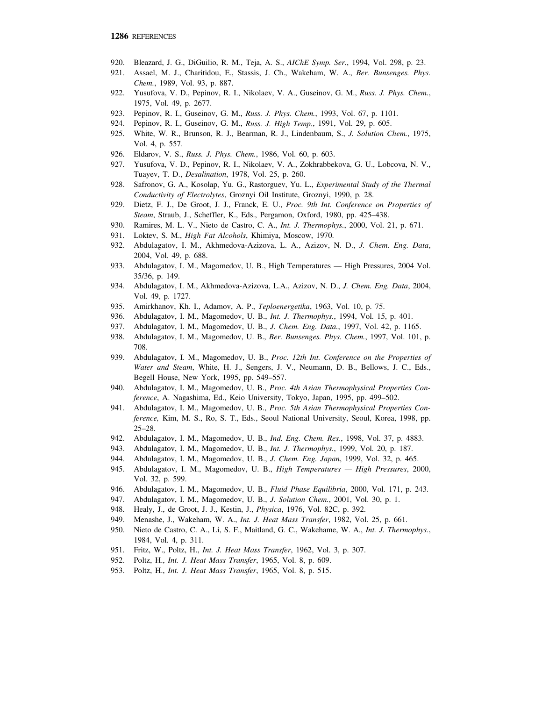- 920. Bleazard, J. G., DiGuilio, R. M., Teja, A. S., *AIChE Symp. Ser.*, 1994, Vol. 298, p. 23.
- 921. Assael, M. J., Charitidou, E., Stassis, J. Ch., Wakeham, W. A., *Ber. Bunsenges. Phys. Chem.*, 1989, Vol. 93, p. 887.
- 922. Yusufova, V. D., Pepinov, R. I., Nikolaev, V. A., Guseinov, G. M., *Russ. J. Phys. Chem.*, 1975, Vol. 49, p. 2677.
- 923. Pepinov, R. I., Guseinov, G. M., *Russ. J. Phys. Chem.*, 1993, Vol. 67, p. 1101.
- 924. Pepinov, R. I., Guseinov, G. M., *Russ. J. High Temp.*, 1991, Vol. 29, p. 605.
- 925. White, W. R., Brunson, R. J., Bearman, R. J., Lindenbaum, S., *J. Solution Chem.*, 1975, Vol. 4, p. 557.
- 926. Eldarov, V. S., *Russ. J. Phys. Chem.*, 1986, Vol. 60, p. 603.
- 927. Yusufova, V. D., Pepinov, R. I., Nikolaev, V. A., Zokhrabbekova, G. U., Lobcova, N. V., Tuayev, T. D., *Desalination*, 1978, Vol. 25, p. 260.
- 928. Safronov, G. A., Kosolap, Yu. G., Rastorguev, Yu. L., *Experimental Study of the Thermal Conductivity of Electrolytes*, Groznyi Oil Institute, Groznyi, 1990, p. 28.
- 929. Dietz, F. J., De Groot, J. J., Franck, E. U., *Proc. 9th Int. Conference on Properties of Steam*, Straub, J., Scheffler, K., Eds., Pergamon, Oxford, 1980, pp. 425–438.
- 930. Ramires, M. L. V., Nieto de Castro, C. A., *Int. J. Thermophys.*, 2000, Vol. 21, p. 671.
- 931. Loktev, S. M., *High Fat Alcohols*, Khimiya, Moscow, 1970.
- 932. Abdulagatov, I. M., Akhmedova-Azizova, L. A., Azizov, N. D., *J. Chem. Eng. Data*, 2004, Vol. 49, p. 688.
- 933. Abdulagatov, I. M., Magomedov, U. B., High Temperatures High Pressures, 2004 Vol. 35/36, p. 149.
- 934. Abdulagatov, I. M., Akhmedova-Azizova, L.A., Azizov, N. D., *J. Chem. Eng. Data*, 2004, Vol. 49, p. 1727.
- 935. Amirkhanov, Kh. I., Adamov, A. P., *Teploenergetika*, 1963, Vol. 10, p. 75.
- 936. Abdulagatov, I. M., Magomedov, U. B., *Int. J. Thermophys.*, 1994, Vol. 15, p. 401.
- 937. Abdulagatov, I. M., Magomedov, U. B., *J. Chem. Eng. Data.*, 1997, Vol. 42, p. 1165.
- 938. Abdulagatov, I. M., Magomedov, U. B., *Ber. Bunsenges. Phys. Chem.*, 1997, Vol. 101, p. 708.
- 939. Abdulagatov, I. M., Magomedov, U. B., *Proc. 12th Int. Conference on the Properties of Water and Steam*, White, H. J., Sengers, J. V., Neumann, D. B., Bellows, J. C., Eds., Begell House, New York, 1995, pp. 549–557.
- 940. Abdulagatov, I. M., Magomedov, U. B., *Proc. 4th Asian Thermophysical Properties Conference*, A. Nagashima, Ed., Keio University, Tokyo, Japan, 1995, pp. 499–502.
- 941. Abdulagatov, I. M., Magomedov, U. B., *Proc. 5th Asian Thermophysical Properties Conference,* Kim, M. S., Ro, S. T., Eds., Seoul National University, Seoul, Korea, 1998, pp. 25–28.
- 942. Abdulagatov, I. M., Magomedov, U. B., *Ind. Eng. Chem. Res.*, 1998, Vol. 37, p. 4883.
- 943. Abdulagatov, I. M., Magomedov, U. B., *Int. J. Thermophys.*, 1999, Vol. 20, p. 187.
- 944. Abdulagatov, I. M., Magomedov, U. B., *J. Chem. Eng. Japan*, 1999, Vol. 32, p. 465.
- 945. Abdulagatov, I. M., Magomedov, U. B., *High Temperatures High Pressures*, 2000, Vol. 32, p. 599.
- 946. Abdulagatov, I. M., Magomedov, U. B., *Fluid Phase Equilibria*, 2000, Vol. 171, p. 243.
- 947. Abdulagatov, I. M., Magomedov, U. B., *J. Solution Chem.*, 2001, Vol. 30, p. 1.
- 948. Healy, J., de Groot, J. J., Kestin, J., *Physica*, 1976, Vol. 82C, p. 392.
- 949. Menashe, J., Wakeham, W. A., *Int. J. Heat Mass Transfer*, 1982, Vol. 25, p. 661.
- 950. Nieto de Castro, C. A., Li, S. F., Maitland, G. C., Wakehame, W. A., *Int. J. Thermophys.*, 1984, Vol. 4, p. 311.
- 951. Fritz, W., Poltz, H., *Int. J. Heat Mass Transfer*, 1962, Vol. 3, p. 307.
- 952. Poltz, H., *Int. J. Heat Mass Transfer*, 1965, Vol. 8, p. 609.
- 953. Poltz, H., *Int. J. Heat Mass Transfer*, 1965, Vol. 8, p. 515.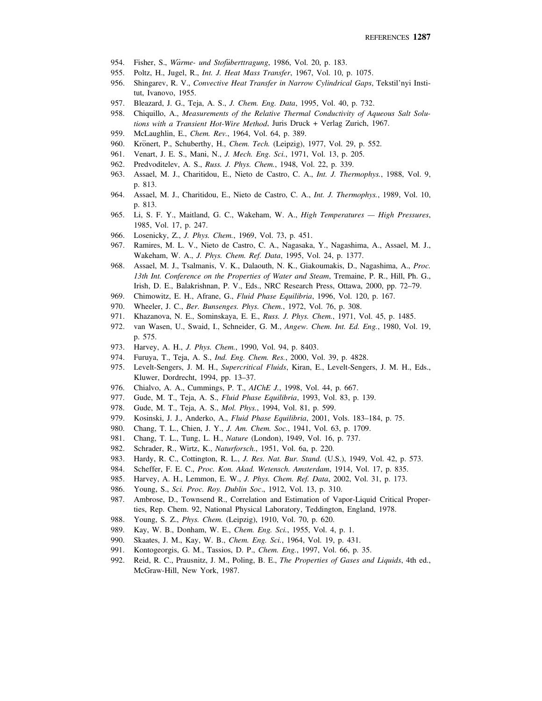- 954. Fisher, S., *Wärme- und Stofuberttragung*, 1986, Vol. 20, p. 183.
- 955. Poltz, H., Jugel, R., *Int. J. Heat Mass Transfer*, 1967, Vol. 10, p. 1075.
- 956. Shingarev, R. V., *Convective Heat Transfer in Narrow Cylindrical Gaps*, Tekstil'nyi Institut, Ivanovo, 1955.
- 957. Bleazard, J. G., Teja, A. S., *J. Chem. Eng. Data*, 1995, Vol. 40, p. 732.
- 958. Chiquillo, A., *Measurements of the Relative Thermal Conductivity of Aqueous Salt Solutions with a Transient Hot-Wire Method*, Juris Druck + Verlag Zurich, 1967.
- 959. McLaughlin, E., *Chem. Rev.*, 1964, Vol. 64, p. 389.
- 960. Kronert, P., Schuberthy, H., *Chem. Tech.* (Leipzig), 1977, Vol. 29, p. 552.
- 961. Venart, J. E. S., Mani, N., *J. Mech. Eng. Sci.*, 1971, Vol. 13, p. 205.
- 962. Predvoditelev, A. S., *Russ. J. Phys. Chem.*, 1948, Vol. 22, p. 339.
- 963. Assael, M. J., Charitidou, E., Nieto de Castro, C. A., *Int. J. Thermophys.*, 1988, Vol. 9, p. 813.
- 964. Assael, M. J., Charitidou, E., Nieto de Castro, C. A., *Int. J. Thermophys.*, 1989, Vol. 10, p. 813.
- 965. Li, S. F. Y., Maitland, G. C., Wakeham, W. A., *High Temperatures High Pressures*, 1985, Vol. 17, p. 247.
- 966. Losenicky, Z., *J. Phys. Chem.*, 1969, Vol. 73, p. 451.
- 967. Ramires, M. L. V., Nieto de Castro, C. A., Nagasaka, Y., Nagashima, A., Assael, M. J., Wakeham, W. A., *J. Phys. Chem. Ref. Data*, 1995, Vol. 24, p. 1377.
- 968. Assael, M. J., Tsalmanis, V. K., Dalaouth, N. K., Giakoumakis, D., Nagashima, A., *Proc. 13th Int. Conference on the Properties of Water and Steam*, Tremaine, P. R., Hill, Ph. G., Irish, D. E., Balakrishnan, P. V., Eds., NRC Research Press, Ottawa, 2000, pp. 72–79.
- 969. Chimowitz, E. H., Afrane, G., *Fluid Phase Equilibria*, 1996, Vol. 120, p. 167.
- 970. Wheeler, J. C., *Ber. Bunsenges. Phys. Chem.*, 1972, Vol. 76, p. 308.
- 971. Khazanova, N. E., Sominskaya, E. E., *Russ. J. Phys. Chem.*, 1971, Vol. 45, p. 1485.
- 972. van Wasen, U., Swaid, I., Schneider, G. M., *Angew. Chem. Int. Ed. Eng.*, 1980, Vol. 19, p. 575.
- 973. Harvey, A. H., *J. Phys. Chem.*, 1990, Vol. 94, p. 8403.
- 974. Furuya, T., Teja, A. S., *Ind. Eng. Chem. Res.*, 2000, Vol. 39, p. 4828.
- 975. Levelt-Sengers, J. M. H., *Supercritical Fluids*, Kiran, E., Levelt-Sengers, J. M. H., Eds., Kluwer, Dordrecht, 1994, pp. 13–37.
- 976. Chialvo, A. A., Cummings, P. T., *AIChE J.*, 1998, Vol. 44, p. 667.
- 977. Gude, M. T., Teja, A. S., *Fluid Phase Equilibria*, 1993, Vol. 83, p. 139.
- 978. Gude, M. T., Teja, A. S., *Mol. Phys.*, 1994, Vol. 81, p. 599.
- 979. Kosinski, J. J., Anderko, A., *Fluid Phase Equilibria*, 2001, Vols. 183–184, p. 75.
- 980. Chang, T. L., Chien, J. Y., *J. Am. Chem. Soc.*, 1941, Vol. 63, p. 1709.
- 981. Chang, T. L., Tung, L. H., *Nature* (London), 1949, Vol. 16, p. 737.
- 982. Schrader, R., Wirtz, K., *Naturforsch.*, 1951, Vol. 6a, p. 220.
- 983. Hardy, R. C., Cottington, R. L., *J. Res. Nat. Bur. Stand.* (U.S.), 1949, Vol. 42, p. 573.
- 984. Scheffer, F. E. C., *Proc. Kon. Akad. Wetensch. Amsterdam*, 1914, Vol. 17, p. 835.
- 985. Harvey, A. H., Lemmon, E. W., *J. Phys. Chem. Ref. Data*, 2002, Vol. 31, p. 173.
- 986. Young, S., *Sci. Proc. Roy. Dublin Soc*., 1912, Vol. 13, p. 310.
- 987. Ambrose, D., Townsend R., Correlation and Estimation of Vapor-Liquid Critical Properties, Rep. Chem. 92, National Physical Laboratory, Teddington, England, 1978.
- 988. Young, S. Z., *Phys. Chem.* (Leipzig), 1910, Vol. 70, p. 620.
- 989. Kay, W. B., Donham, W. E., *Chem. Eng. Sci.*, 1955, Vol. 4, p. 1.
- 990. Skaates, J. M., Kay, W. B., *Chem. Eng. Sci.*, 1964, Vol. 19, p. 431.
- 991. Kontogeorgis, G. M., Tassios, D. P., *Chem. Eng.*, 1997, Vol. 66, p. 35.
- 992. Reid, R. C., Prausnitz, J. M., Poling, B. E., *The Properties of Gases and Liquids*, 4th ed., McGraw-Hill, New York, 1987.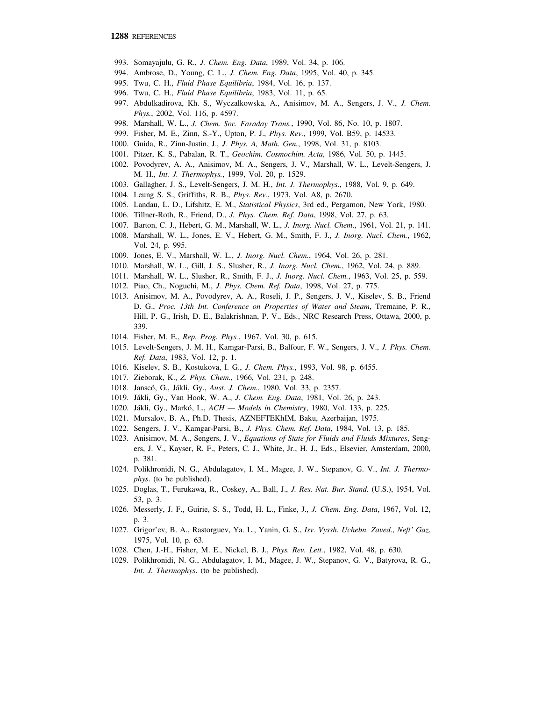- 993. Somayajulu, G. R., *J. Chem. Eng. Data*, 1989, Vol. 34, p. 106.
- 994. Ambrose, D., Young, C. L., *J. Chem. Eng. Data*, 1995, Vol. 40, p. 345.
- 995. Twu, C. H., *Fluid Phase Equilibria*, 1984, Vol. 16, p. 137.
- 996. Twu, C. H., *Fluid Phase Equilibria*, 1983, Vol. 11, p. 65.
- 997. Abdulkadirova, Kh. S., Wyczalkowska, A., Anisimov, M. A., Sengers, J. V., *J. Chem. Phys.*, 2002, Vol. 116, p. 4597.
- 998. Marshall, W. L., *J. Chem. Soc. Faraday Trans.*, 1990, Vol. 86, No. 10, p. 1807.
- 999. Fisher, M. E., Zinn, S.-Y., Upton, P. J., *Phys. Rev.*, 1999, Vol. B59, p. 14533.
- 1000. Guida, R., Zinn-Justin, J., *J. Phys. A, Math. Gen.*, 1998, Vol. 31, p. 8103.
- 1001. Pitzer, K. S., Pabalan, R. T., *Geochim. Cosmochim. Acta*, 1986, Vol. 50, p. 1445.
- 1002. Povodyrev, A. A., Anisimov, M. A., Sengers, J. V., Marshall, W. L., Levelt-Sengers, J. M. H., *Int. J. Thermophys.*, 1999, Vol. 20, p. 1529.
- 1003. Gallagher, J. S., Levelt-Sengers, J. M. H., *Int. J. Thermophys.*, 1988, Vol. 9, p. 649.
- 1004. Leung S. S., Griffiths, R. B., *Phys. Rev.*, 1973, Vol. A8, p. 2670.
- 1005. Landau, L. D., Lifshitz, E. M., *Statistical Physics*, 3rd ed., Pergamon, New York, 1980.
- 1006. Tillner-Roth, R., Friend, D., *J. Phys. Chem. Ref. Data*, 1998, Vol. 27, p. 63.
- 1007. Barton, C. J., Hebert, G. M., Marshall, W. L., *J. Inorg. Nucl. Chem*., 1961, Vol. 21, p. 141.
- 1008. Marshall, W. L., Jones, E. V., Hebert, G. M., Smith, F. J., *J. Inorg. Nucl. Chem.*, 1962, Vol. 24, p. 995.
- 1009. Jones, E. V., Marshall, W. L., *J. Inorg. Nucl. Chem.*, 1964, Vol. 26, p. 281.
- 1010. Marshall, W. L., Gill, J. S., Slusher, R., *J. Inorg. Nucl. Chem.*, 1962, Vol. 24, p. 889.
- 1011. Marshall, W. L., Slusher, R., Smith, F. J., *J. Inorg. Nucl. Chem.*, 1963, Vol. 25, p. 559.
- 1012. Piao, Ch., Noguchi, M., *J. Phys. Chem. Ref. Data*, 1998, Vol. 27, p. 775.
- 1013. Anisimov, M. A., Povodyrev, A. A., Roseli, J. P., Sengers, J. V., Kiselev, S. B., Friend D. G., *Proc. 13th Int. Conference on Properties of Water and Steam*, Tremaine, P. R., Hill, P. G., Irish, D. E., Balakrishnan, P. V., Eds., NRC Research Press, Ottawa, 2000, p. 339.
- 1014. Fisher, M. E., *Rep. Prog. Phys.*, 1967, Vol. 30, p. 615.
- 1015. Levelt-Sengers, J. M. H., Kamgar-Parsi, B., Balfour, F. W., Sengers, J. V., *J. Phys. Chem. Ref. Data*, 1983, Vol. 12, p. 1.
- 1016. Kiselev, S. B., Kostukova, I. G., *J. Chem. Phys.*, 1993, Vol. 98, p. 6455.
- 1017. Zieborak, K., *Z. Phys. Chem.*, 1966, Vol. 231, p. 248.
- 1018. Janscó, G., Jákli, Gy., *Aust. J. Chem.*, 1980, Vol. 33, p. 2357.
- 1019. Jákli, Gy., Van Hook, W. A., *J. Chem. Eng. Data*, 1981, Vol. 26, p. 243.
- 1020. Jákli, Gy., Markó, L., *ACH Models in Chemistry*, 1980, Vol. 133, p. 225.
- 1021. Mursalov, B. A., Ph.D. Thesis, AZNEFTEKhIM, Baku, Azerbaijan, 1975.
- 1022. Sengers, J. V., Kamgar-Parsi, B., *J. Phys. Chem. Ref. Data*, 1984, Vol. 13, p. 185.
- 1023. Anisimov, M. A., Sengers, J. V., *Equations of State for Fluids and Fluids Mixtures*, Sengers, J. V., Kayser, R. F., Peters, C. J., White, Jr., H. J., Eds., Elsevier, Amsterdam, 2000, p. 381.
- 1024. Polikhronidi, N. G., Abdulagatov, I. M., Magee, J. W., Stepanov, G. V., *Int. J. Thermophys*. (to be published).
- 1025. Doglas, T., Furukawa, R., Coskey, A., Ball, J., *J. Res. Nat. Bur. Stand.* (U.S.), 1954, Vol. 53, p. 3.
- 1026. Messerly, J. F., Guirie, S. S., Todd, H. L., Finke, J., *J. Chem. Eng. Data*, 1967, Vol. 12, p. 3.
- 1027. Grigor'ev, B. A., Rastorguev, Ya. L., Yanin, G. S., *Isv. Vyssh. Uchebn. Zaved*., *Neft' Gaz*, 1975, Vol. 10, p. 63.
- 1028. Chen, J.-H., Fisher, M. E., Nickel, B. J., *Phys. Rev. Lett.*, 1982, Vol. 48, p. 630.
- 1029. Polikhronidi, N. G., Abdulagatov, I. M., Magee, J. W., Stepanov, G. V., Batyrova, R. G., *Int. J. Thermophys*. (to be published).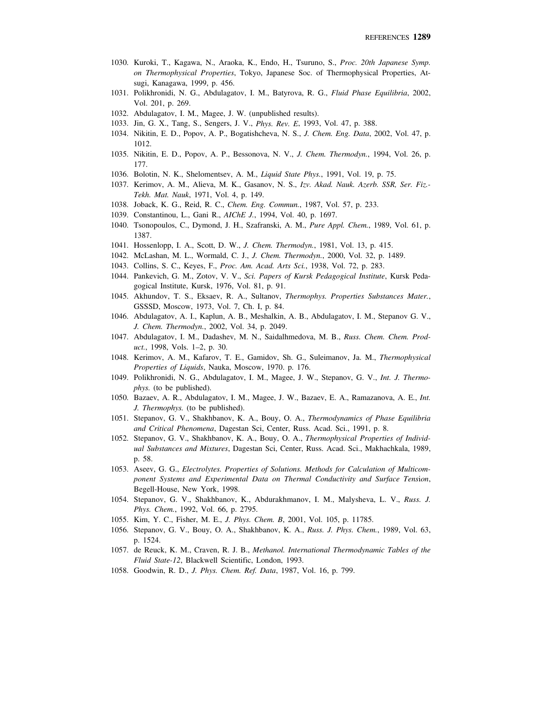- 1030. Kuroki, T., Kagawa, N., Araoka, K., Endo, H., Tsuruno, S., *Proc. 20th Japanese Symp. on Thermophysical Properties*, Tokyo, Japanese Soc. of Thermophysical Properties, Atsugi, Kanagawa, 1999, p. 456.
- 1031. Polikhronidi, N. G., Abdulagatov, I. M., Batyrova, R. G., *Fluid Phase Equilibria*, 2002, Vol. 201, p. 269.
- 1032. Abdulagatov, I. M., Magee, J. W. (unpublished results).
- 1033. Jin, G. X., Tang, S., Sengers, J. V., *Phys. Rev. E*, 1993, Vol. 47, p. 388.
- 1034. Nikitin, E. D., Popov, A. P., Bogatishcheva, N. S., *J. Chem. Eng. Data*, 2002, Vol. 47, p. 1012.
- 1035. Nikitin, E. D., Popov, A. P., Bessonova, N. V., *J. Chem. Thermodyn.*, 1994, Vol. 26, p. 177.
- 1036. Bolotin, N. K., Shelomentsev, A. M., *Liquid State Phys.*, 1991, Vol. 19, p. 75.
- 1037. Kerimov, A. M., Alieva, M. K., Gasanov, N. S., *Izv. Akad. Nauk. Azerb. SSR, Ser. Fiz.- Tekh. Mat. Nauk*, 1971, Vol. 4, p. 149.
- 1038. Joback, K. G., Reid, R. C., *Chem. Eng. Commun.*, 1987, Vol. 57, p. 233.
- 1039. Constantinou, L., Gani R., *AIChE J.*, 1994, Vol. 40, p. 1697.
- 1040. Tsonopoulos, C., Dymond, J. H., Szafranski, A. M., *Pure Appl. Chem.*, 1989, Vol. 61, p. 1387.
- 1041. Hossenlopp, I. A., Scott, D. W., *J. Chem. Thermodyn.*, 1981, Vol. 13, p. 415.
- 1042. McLashan, M. L., Wormald, C. J., *J. Chem. Thermodyn.*, 2000, Vol. 32, p. 1489.
- 1043. Collins, S. C., Keyes, F., *Proc. Am. Acad. Arts Sci.*, 1938, Vol. 72, p. 283.
- 1044. Pankevich, G. M., Zotov, V. V., *Sci. Papers of Kursk Pedagogical Institute*, Kursk Pedagogical Institute, Kursk, 1976, Vol. 81, p. 91.
- 1045. Akhundov, T. S., Eksaev, R. A., Sultanov, *Thermophys. Properties Substances Mater.*, GSSSD, Moscow, 1973, Vol. 7, Ch. I, p. 84.
- 1046. Abdulagatov, A. I., Kaplun, A. B., Meshalkin, A. B., Abdulagatov, I. M., Stepanov G. V., *J. Chem. Thermodyn.*, 2002, Vol. 34, p. 2049.
- 1047. Abdulagatov, I. M., Dadashev, M. N., Saidalhmedova, M. B., *Russ. Chem. Chem. Product.*, 1998, Vols. 1–2, p. 30.
- 1048. Kerimov, A. M., Kafarov, T. E., Gamidov, Sh. G., Suleimanov, Ja. M., *Thermophysical Properties of Liquids*, Nauka, Moscow, 1970. p. 176.
- 1049. Polikhronidi, N. G., Abdulagatov, I. M., Magee, J. W., Stepanov, G. V., *Int. J. Thermophys.* (to be published).
- 1050. Bazaev, A. R., Abdulagatov, I. M., Magee, J. W., Bazaev, E. A., Ramazanova, A. E., *Int. J. Thermophys.* (to be published).
- 1051. Stepanov, G. V., Shakhbanov, K. A., Bouy, O. A., *Thermodynamics of Phase Equilibria and Critical Phenomena*, Dagestan Sci, Center, Russ. Acad. Sci., 1991, p. 8.
- 1052. Stepanov, G. V., Shakhbanov, K. A., Bouy, O. A., *Thermophysical Properties of Individual Substances and Mixtures*, Dagestan Sci, Center, Russ. Acad. Sci., Makhachkala, 1989, p. 58.
- 1053. Aseev, G. G., *Electrolytes. Properties of Solutions. Methods for Calculation of Multicomponent Systems and Experimental Data on Thermal Conductivity and Surface Tens*i*on*, Begell-House, New York, 1998.
- 1054. Stepanov, G. V., Shakhbanov, K., Abdurakhmanov, I. M., Malysheva, L. V., *Russ. J. Phys. Chem.*, 1992, Vol. 66, p. 2795.
- 1055. Kim, Y. C., Fisher, M. E., *J. Phys. Chem. B*, 2001, Vol. 105, p. 11785.
- 1056. Stepanov, G. V., Bouy, O. A., Shakhbanov, K. A., *Russ. J. Phys. Chem.*, 1989, Vol. 63, p. 1524.
- 1057. de Reuck, K. M., Craven, R. J. B., *Methanol. International Thermodynamic Tables of the Fluid State-12*, Blackwell Scientific, London, 1993.
- 1058. Goodwin, R. D., *J. Phys. Chem. Ref. Data*, 1987, Vol. 16, p. 799.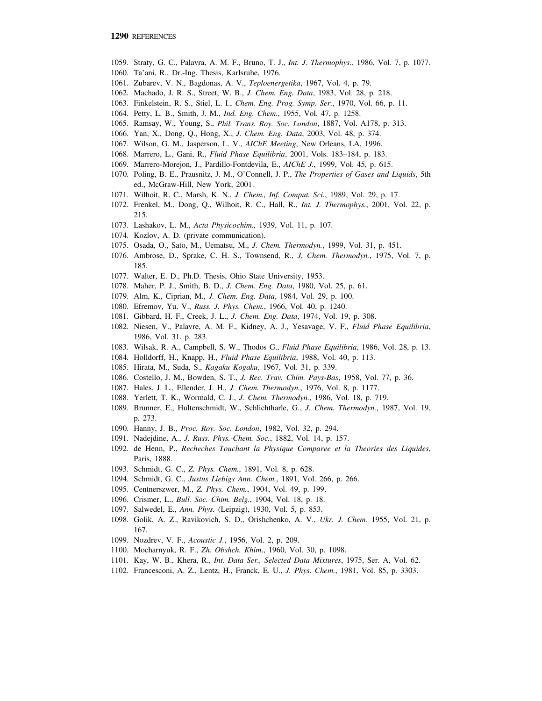- 1059. Straty, G. C., Palavra, A. M. F., Bruno, T. J., *Int. J. Thermophys*., 1986, Vol. 7, p. 1077.
- 1060. Ta'ani, R., Dr.-Ing. Thesis, Karlsruhe, 1976.
- 1061. Zubarev, V. N., Bagdonas, A. V., *Teploenergetika*, 1967, Vol. 4, p. 79.
- 1062. Machado, J. R. S., Street, W. B., *J. Chem. Eng. Data*, 1983, Vol. 28, p. 218.
- 1063. Finkelstein, R. S., Stiel, L. I., *Chem. Eng. Prog. Symp. Ser.*, 1970, Vol. 66, p. 11.
- 1064. Petty, L. B., Smith, J. M., *Ind. Eng. Chem.*, 1955, Vol. 47, p. 1258.
- 1065. Ramsay, W., Young, S., *Phil. Trans. Roy. Soc. London*, 1887, Vol. A178, p. 313.
- 1066. Yan, X., Dong, Q., Hong, X., *J. Chem. Eng. Data*, 2003, Vol. 48, p. 374.
- 1067. Wilson, G. M., Jasperson, L. V., *AIChE Meeting*, New Orleans, LA, 1996.
- 1068. Marrero, L., Gani, R., *Fluid Phase Equilibria*, 2001, Vols. 183–184, p. 183.
- 1069. Marrero-Morejon, J., Pardillo-Fontdevila, E., *AIChE J.*, 1999, Vol. 45, p. 615.
- 1070. Poling, B. E., Prausnitz, J. M., O'Connell, J. P., *The Properties of Gases and Liquids*, 5th ed., McGraw-Hill, New York, 2001.
- 1071. Wilhoit, R. C., Marsh, K. N., *J. Chem., Inf. Comput. Sci.*, 1989, Vol. 29, p. 17.
- 1072. Frenkel, M., Dong, Q., Wilhoit, R. C., Hall, R., *Int. J. Thermophys.*, 2001, Vol. 22, p. 215.
- 1073. Lashakov, L. M., *Acta Physicochim.,* 1939, Vol. 11, p. 107.
- 1074. Kozlov, A. D. (private communication).
- 1075. Osada, O., Sato, M., Uematsu, M., *J. Chem. Thermodyn.*, 1999, Vol. 31, p. 451.
- 1076. Ambrose, D., Sprake, C. H. S., Townsend, R., *J. Chem. Thermodyn.*, 1975, Vol. 7, p. 185.
- 1077. Walter, E. D., Ph.D. Thesis, Ohio State University, 1953.
- 1078. Maher, P. J., Smith, B. D., *J. Chem. Eng. Data*, 1980, Vol. 25, p. 61.
- 1079. Alm, K., Ciprian, M., *J. Chem. Eng. Data*, 1984, Vol. 29, p. 100.
- 1080. Efremov, Yu. V., *Russ. J. Phys. Chem.*, 1966, Vol. 40, p. 1240.
- 1081. Gibbard, H. F., Creek, J. L., *J. Chem. Eng. Data*, 1974, Vol. 19, p. 308.
- 1082. Niesen, V., Palavre, A. M. F., Kidney, A. J., Yesavage, V. F., *Fluid Phase Equilibria*, 1986, Vol. 31, p. 283.
- 1083. Wilsak, R. A., Campbell, S. W., Thodos G., *Fluid Phase Equilibria*, 1986, Vol. 28, p. 13.
- 1084. Holldorff, H., Knapp, H., *Fluid Phase Equilibria*, 1988, Vol. 40, p. 113.
- 1085. Hirata, M., Suda, S., *Kagaku Kogaku*, 1967, Vol. 31, p. 339.
- 1086. Costello, J. M., Bowden, S. T., *J. Rec. Trav. Chim. Pays-Bas*, 1958, Vol. 77, p. 36.
- 1087. Hales, J. L., Ellender, J. H., *J. Chem. Thermodyn.*, 1976, Vol. 8, p. 1177.
- 1088. Yerlett, T. K., Wormald, C. J., *J. Chem. Thermodyn.*, 1986, Vol. 18, p. 719.
- 1089. Brunner, E., Hultenschmidt, W., Schlichtharle, G., *J. Chem. Thermodyn.*, 1987, Vol. 19, p. 273.
- 1090. Hanny, J. B., *Proc. Roy. Soc. London*, 1982, Vol. 32, p. 294.
- 1091. Nadejdine, A., *J. Russ. Phys.-Chem. Soc.*, 1882, Vol. 14, p. 157.
- 1092. de Henn, P., *Recheches Touchant la Physique Comparee et la Theories des Liquides*, Paris, 1888.
- 1093. Schmidt, G. C., *Z. Phys. Chem.*, 1891, Vol. 8, p. 628.
- 1094. Schmidt, G. C., *Justus Liebigs Ann. Chem.*, 1891, Vol. 266, p. 266.
- 1095. Centnerszwer, M., *Z. Phys. Chem.*, 1904, Vol. 49, p. 199.
- 1096. Crismer, L., *Bull. Soc. Chim. Belg.*, 1904, Vol. 18, p. 18.
- 1097. Salwedel, E., *Ann. Phys.* (Leipzig), 1930, Vol. 5, p. 853.
- 1098. Golik, A. Z., Ravikovich, S. D., Orishchenko, A. V., *Ukr. J. Chem.* 1955, Vol. 21, p. 167.
- 1099. Nozdrev, V. F., *Acoustic J.*, 1956, Vol. 2, p. 209.
- 1100. Mocharnyuk, R. F., *Zh. Obshch. Khim*., 1960, Vol. 30, p. 1098.
- 1101. Kay, W. B., Khera, R., *Int. Data Ser., Selected Data Mixtures*, 1975, Ser. A, Vol. 62.
- 1102. Francesconi, A. Z., Lentz, H., Franck, E. U., *J. Phys. Chem.*, 1981, Vol. 85, p. 3303.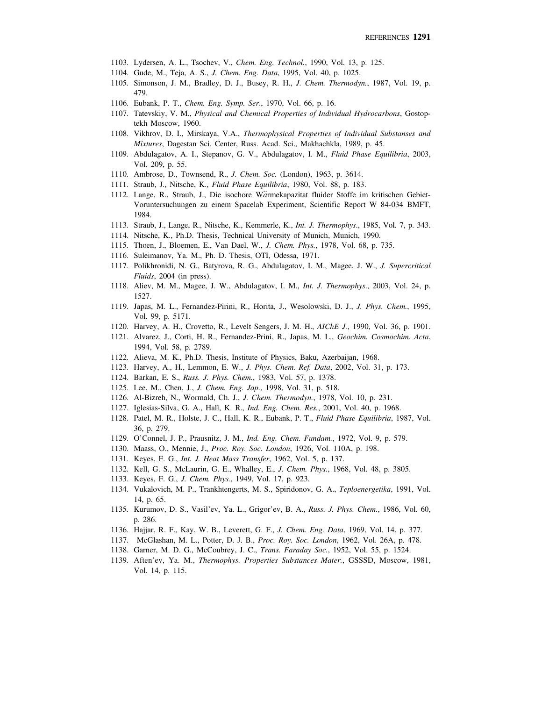- 1103. Lydersen, A. L., Tsochev, V., *Chem. Eng. Technol.*, 1990, Vol. 13, p. 125.
- 1104. Gude, M., Teja, A. S., *J. Chem. Eng. Data*, 1995, Vol. 40, p. 1025.
- 1105. Simonson, J. M., Bradley, D. J., Busey, R. H., *J. Chem. Thermodyn.*, 1987, Vol. 19, p. 479.
- 1106. Eubank, P. T., *Chem. Eng. Symp. Ser*., 1970, Vol. 66, p. 16.
- 1107. Tatevskiy, V. M., *Physical and Chemical Properties of Individual Hydrocarbons*, Gostoptekh Moscow, 1960.
- 1108. Vikhrov, D. I., Mirskaya, V.A., *Thermophysical Properties of Individual Substanses and Mixtures*, Dagestan Sci. Center, Russ. Acad. Sci., Makhachkla, 1989, p. 45.
- 1109. Abdulagatov, A. I., Stepanov, G. V., Abdulagatov, I. M., *Fluid Phase Equilibria*, 2003, Vol. 209, p. 55.
- 1110. Ambrose, D., Townsend, R., *J. Chem. Soc.* (London), 1963, p. 3614.
- 1111. Straub, J., Nitsche, K., *Fluid Phase Equilibria*, 1980, Vol. 88, p. 183.
- 1112. Lange, R., Straub, J., Die isochore Wärmekapazitat fluider Stoffe im kritischen Gebiet-Voruntersuchungen zu einem Spacelab Experiment, Scientific Report W 84-034 BMFT, 1984.
- 1113. Straub, J., Lange, R., Nitsche, K., Kemmerle, K., *Int. J. Thermophys*., 1985, Vol. 7, p. 343.
- 1114. Nitsche, K., Ph.D. Thesis, Technical University of Munich, Munich, 1990.
- 1115. Thoen, J., Bloemen, E., Van Dael, W., *J. Chem. Phys.*, 1978, Vol. 68, p. 735.
- 1116. Suleimanov, Ya. M., Ph. D. Thesis, OTI, Odessa, 1971.
- 1117. Polikhronidi, N. G., Batyrova, R. G., Abdulagatov, I. M., Magee, J. W., *J. Supercritical Fluids*, 2004 (in press).
- 1118. Aliev, M. M., Magee, J. W., Abdulagatov, I. M., *Int. J. Thermophys*., 2003, Vol. 24, p. 1527.
- 1119. Japas, M. L., Fernandez-Pirini, R., Horita, J., Wesolowski, D. J., *J. Phys. Chem.*, 1995, Vol. 99, p. 5171.
- 1120. Harvey, A. H., Crovetto, R., Levelt Sengers, J. M. H., *AIChE J.*, 1990, Vol. 36, p. 1901.
- 1121. Alvarez, J., Corti, H. R., Fernandez-Prini, R., Japas, M. L., *Geochim. Cosmochim. Acta*, 1994, Vol. 58, p. 2789.
- 1122. Alieva, M. K., Ph.D. Thesis, Institute of Physics, Baku, Azerbaijan, 1968.
- 1123. Harvey, A., H., Lemmon, E. W., *J. Phys. Chem. Ref. Data*, 2002, Vol. 31, p. 173.
- 1124. Barkan, E. S., *Russ. J. Phys. Chem.*, 1983, Vol. 57, p. 1378.
- 1125. Lee, M., Chen, J., *J. Chem. Eng. Jap.*, 1998, Vol. 31, p. 518.
- 1126. Al-Bizreh, N., Wormald, Ch. J., *J. Chem. Thermodyn.*, 1978, Vol. 10, p. 231.
- 1127. Iglesias-Silva, G. A., Hall, K. R., *Ind. Eng. Chem. Res.*, 2001, Vol. 40, p. 1968.
- 1128. Patel, M. R., Holste, J. C., Hall, K. R., Eubank, P. T., *Fluid Phase Equilibria*, 1987, Vol. 36, p. 279.
- 1129. O'Connel, J. P., Prausnitz, J. M., *Ind. Eng. Chem. Fundam.*, 1972, Vol. 9, p. 579.
- 1130. Maass, O., Mennie, J., *Proc. Roy. Soc. London*, 1926, Vol. 110A, p. 198.
- 1131. Keyes, F. G., *Int. J. Heat Mass Transfer*, 1962, Vol. 5, p. 137.
- 1132. Kell, G. S., McLaurin, G. E., Whalley, E., *J. Chem. Phys.*, 1968, Vol. 48, p. 3805.
- 1133. Keyes, F. G., *J. Chem. Phys.*, 1949, Vol. 17, p. 923.
- 1134. Vukalovich, M. P., Trankhtengerts, M. S., Spiridonov, G. A., *Teploenergetika*, 1991, Vol. 14, p. 65.
- 1135. Kurumov, D. S., Vasil'ev, Ya. L., Grigor'ev, B. A., *Russ. J. Phys. Chem.*, 1986, Vol. 60, p. 286.
- 1136. Hajjar, R. F., Kay, W. B., Leverett, G. F., *J. Chem. Eng. Data*, 1969, Vol. 14, p. 377.
- 1137. McGlashan, M. L., Potter, D. J. B., *Proc. Roy. Soc. London*, 1962, Vol. 26A, p. 478.
- 1138. Garner, M. D. G., McCoubrey, J. C., *Trans. Faraday Soc.*, 1952, Vol. 55, p. 1524.
- 1139. Aften'ev, Ya. M., *Thermophys. Properties Substances Mater.*, GSSSD, Moscow, 1981, Vol. 14, p. 115.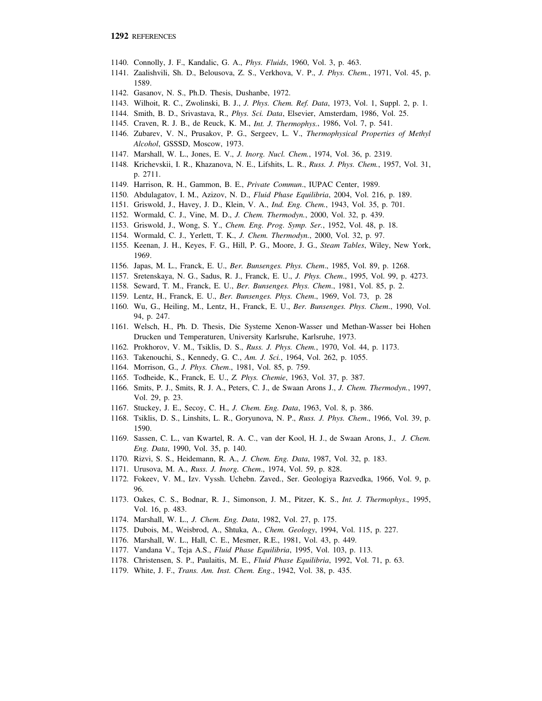- 1140. Connolly, J. F., Kandalic, G. A., *Phys. Fluids*, 1960, Vol. 3, p. 463.
- 1141. Zaalishvili, Sh. D., Belousova, Z. S., Verkhova, V. P., *J. Phys. Chem.*, 1971, Vol. 45, p. 1589.
- 1142. Gasanov, N. S., Ph.D. Thesis, Dushanbe, 1972.
- 1143. Wilhoit, R. C., Zwolinski, B. J., *J. Phys. Chem. Ref. Data*, 1973, Vol. 1, Suppl. 2, p. 1.
- 1144. Smith, B. D., Srivastava, R., *Phys. Sci. Data*, Elsevier, Amsterdam, 1986, Vol. 25.
- 1145. Craven, R. J. B., de Reuck, K. M., *Int. J. Thermophys.*, 1986, Vol. 7, p. 541.
- 1146. Zubarev, V. N., Prusakov, P. G., Sergeev, L. V., *Thermophysical Properties of Methyl Alcohol*, GSSSD, Moscow, 1973.
- 1147. Marshall, W. L., Jones, E. V., *J. Inorg. Nucl. Chem.*, 1974, Vol. 36, p. 2319.
- 1148. Krichevskii, I. R., Khazanova, N. E., Lifshits, L. R., *Russ. J. Phys. Chem.*, 1957, Vol. 31, p. 2711.
- 1149. Harrison, R. H., Gammon, B. E., *Private Commun*., IUPAC Center, 1989.
- 1150. Abdulagatov, I. M., Azizov, N. D., *Fluid Phase Equilibria*, 2004, Vol. 216, p. 189.
- 1151. Griswold, J., Havey, J. D., Klein, V. A., *Ind. Eng. Chem.*, 1943, Vol. 35, p. 701.
- 1152. Wormald, C. J., Vine, M. D., *J. Chem. Thermodyn.*, 2000, Vol. 32, p. 439.
- 1153. Griswold, J., Wong, S. Y., *Chem. Eng. Prog. Symp. Ser.*, 1952, Vol. 48, p. 18.
- 1154. Wormald, C. J., Yerlett, T. K., *J. Chem. Thermodyn.*, 2000, Vol. 32, p. 97.
- 1155. Keenan, J. H., Keyes, F. G., Hill, P. G., Moore, J. G., *Steam Tables*, Wiley, New York, 1969.
- 1156. Japas, M. L., Franck, E. U., *Ber. Bunsenges. Phys. Chem*., 1985, Vol. 89, p. 1268.
- 1157. Sretenskaya, N. G., Sadus, R. J., Franck, E. U., *J. Phys. Chem*., 1995, Vol. 99, p. 4273.
- 1158. Seward, T. M., Franck, E. U., *Ber. Bunsenges. Phys. Chem*., 1981, Vol. 85, p. 2.
- 1159. Lentz, H., Franck, E. U., *Ber. Bunsenges. Phys. Chem*., 1969, Vol. 73, p. 28
- 1160. Wu, G., Heiling, M., Lentz, H., Franck, E. U., *Ber. Bunsenges. Phys. Chem*., 1990, Vol. 94, p. 247.
- 1161. Welsch, H., Ph. D. Thesis, Die Systeme Xenon-Wasser und Methan-Wasser bei Hohen Drucken und Temperaturen, University Karlsruhe, Karlsruhe, 1973.
- 1162. Prokhorov, V. M., Tsiklis, D. S., *Russ. J. Phys. Chem.*, 1970, Vol. 44, p. 1173.
- 1163. Takenouchi, S., Kennedy, G. C., *Am. J. Sci.*, 1964, Vol. 262, p. 1055.
- 1164. Morrison, G., *J. Phys. Chem*., 1981, Vol. 85, p. 759.
- 1165. Todheide, K., Franck, E. U., *Z. Phys. Chemie*, 1963, Vol. 37, p. 387.
- 1166. Smits, P. J., Smits, R. J. A., Peters, C. J., de Swaan Arons J., *J. Chem. Thermodyn.*, 1997, Vol. 29, p. 23.
- 1167. Stuckey, J. E., Secoy, C. H., *J. Chem. Eng. Data*, 1963, Vol. 8, p. 386.
- 1168. Tsiklis, D. S., Linshits, L. R., Goryunova, N. P., *Russ. J. Phys. Chem*., 1966, Vol. 39, p. 1590.
- 1169. Sassen, C. L., van Kwartel, R. A. C., van der Kool, H. J., de Swaan Arons, J., *J. Chem. Eng. Data*, 1990, Vol. 35, p. 140.
- 1170. Rizvi, S. S., Heidemann, R. A., *J. Chem. Eng. Data*, 1987, Vol. 32, p. 183.
- 1171. Urusova, M. A., *Russ. J. Inorg. Chem*., 1974, Vol. 59, p. 828.
- 1172. Fokeev, V. M., Izv. Vyssh. Uchebn. Zaved., Ser. Geologiya Razvedka, 1966, Vol. 9, p. 96.
- 1173. Oakes, C. S., Bodnar, R. J., Simonson, J. M., Pitzer, K. S., *Int. J. Thermophys*., 1995, Vol. 16, p. 483.
- 1174. Marshall, W. L., *J. Chem. Eng. Data*, 1982, Vol. 27, p. 175.
- 1175. Dubois, M., Weisbrod, A., Shtuka, A., *Chem. Geology*, 1994, Vol. 115, p. 227.
- 1176. Marshall, W. L., Hall, C. E., Mesmer, R.E., 1981, Vol. 43, p. 449.
- 1177. Vandana V., Teja A.S., *Fluid Phase Equilibria*, 1995, Vol. 103, p. 113.
- 1178. Christensen, S. P., Paulaitis, M. E., *Fluid Phase Equilibria*, 1992, Vol. 71, p. 63.
- 1179. White, J. F., *Trans. Am. Inst. Chem. Eng*., 1942, Vol. 38, p. 435.